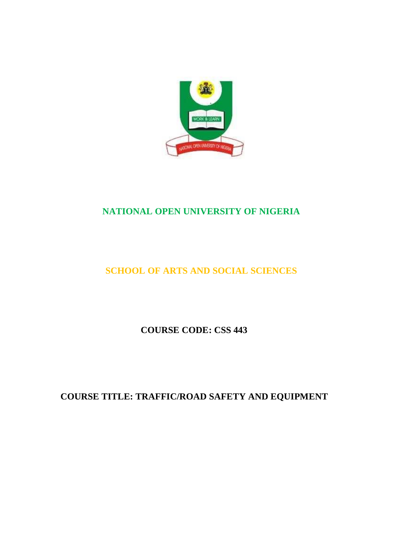

# **NATIONAL OPEN UNIVERSITY OF NIGERIA**

# **SCHOOL OF ARTS AND SOCIAL SCIENCES**

**COURSE CODE: CSS 443**

**COURSE TITLE: TRAFFIC/ROAD SAFETY AND EQUIPMENT**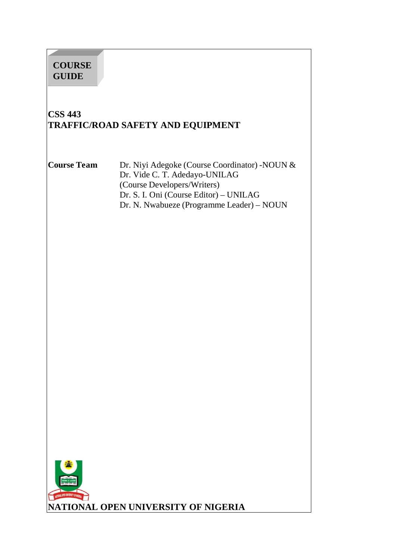# **COURSE GUIDE**

# **CSS 443 TRAFFIC/ROAD SAFETY AND EQUIPMENT**

**Course Team** Dr. Niyi Adegoke (Course Coordinator) -NOUN & Dr. Vide C. T. Adedayo-UNILAG (Course Developers/Writers) Dr. S. I. Oni (Course Editor) – UNILAG Dr. N. Nwabueze (Programme Leader) – NOUN

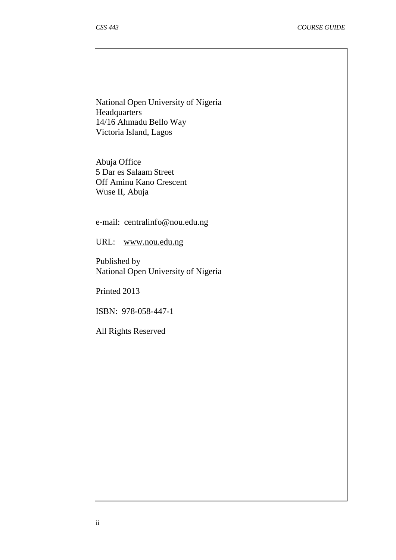National Open University of Nigeria Headquarters 14/16 Ahmadu Bello Way Victoria Island, Lagos

Abuja Office 5 Dar es Salaam Street Off Aminu Kano Crescent Wuse II, Abuja

e-mail: [centralinfo@nou.edu.ng](mailto:centralinfo@nou.edu.ng)

URL: [www.nou.edu.ng](http://www.nou.edu.ng/)

Published by National Open University of Nigeria

Printed 2013

ISBN: 978-058-447-1

All Rights Reserved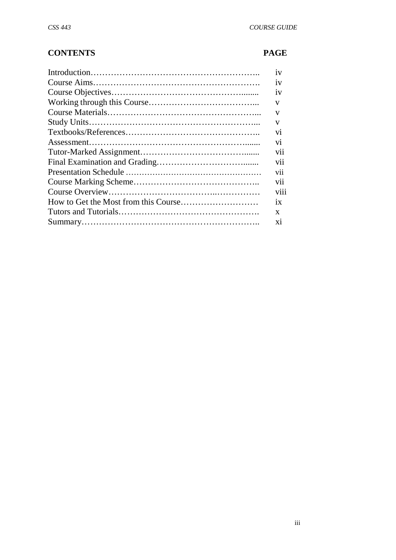# **CONTENTS PAGE**

| 1V   |
|------|
| 1V   |
| 1V   |
| V    |
| v    |
| V    |
| V1   |
| vi   |
| V11  |
| vii  |
| vii  |
| vii  |
| viii |
| 1X   |
| X    |
| X1   |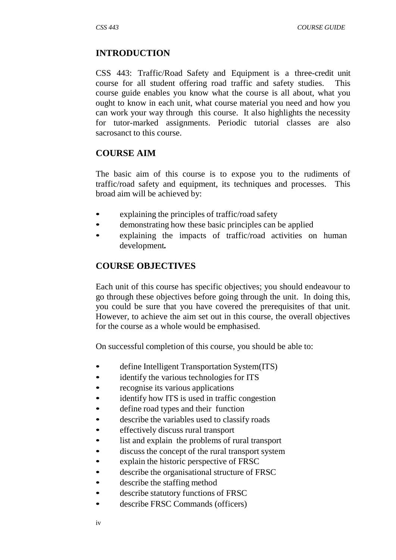#### **INTRODUCTION**

CSS 443: Traffic/Road Safety and Equipment is a three-credit unit course for all student offering road traffic and safety studies. This course guide enables you know what the course is all about, what you ought to know in each unit, what course material you need and how you can work your way through this course. It also highlights the necessity for tutor-marked assignments. Periodic tutorial classes are also sacrosanct to this course.

#### **COURSE AIM**

The basic aim of this course is to expose you to the rudiments of traffic/road safety and equipment, its techniques and processes. This broad aim will be achieved by:

- explaining the principles of traffic/road safety
- demonstrating how these basic principles can be applied
- explaining the impacts of traffic/road activities on human development*.*

#### **COURSE OBJECTIVES**

Each unit of this course has specific objectives; you should endeavour to go through these objectives before going through the unit. In doing this, you could be sure that you have covered the prerequisites of that unit. However, to achieve the aim set out in this course, the overall objectives for the course as a whole would be emphasised.

On successful completion of this course, you should be able to:

- define Intelligent Transportation System(ITS)
- identify the various technologies for ITS
- recognise its various applications
- identify how ITS is used in traffic congestion
- define road types and their function
- describe the variables used to classify roads
- effectively discuss rural transport
- list and explain the problems of rural transport
- discuss the concept of the rural transport system
- explain the historic perspective of FRSC
- describe the organisational structure of FRSC
- describe the staffing method
- describe statutory functions of FRSC
- describe FRSC Commands (officers)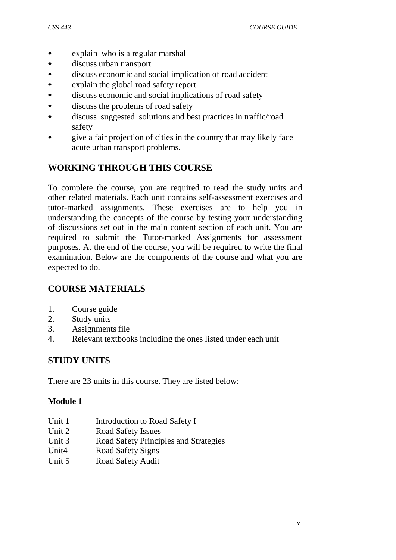- explain who is a regular marshal
- discuss urban transport
- discuss economic and social implication of road accident
- explain the global road safety report
- discuss economic and social implications of road safety
- discuss the problems of road safety
- discuss suggested solutions and best practices in traffic/road safety
- give a fair projection of cities in the country that may likely face acute urban transport problems.

# **WORKING THROUGH THIS COURSE**

To complete the course, you are required to read the study units and other related materials. Each unit contains self-assessment exercises and tutor-marked assignments. These exercises are to help you in understanding the concepts of the course by testing your understanding of discussions set out in the main content section of each unit. You are required to submit the Tutor-marked Assignments for assessment purposes. At the end of the course, you will be required to write the final examination. Below are the components of the course and what you are expected to do.

# **COURSE MATERIALS**

- 1. Course guide
- 2. Study units
- 3. Assignments file
- 4. Relevant textbooks including the ones listed under each unit

# **STUDY UNITS**

There are 23 units in this course. They are listed below:

#### **Module 1**

- Unit 1 Introduction to Road Safety I
- Unit 2 Road Safety Issues
- Unit 3 Road Safety Principles and Strategies
- Unit4 Road Safety Signs
- Unit 5 Road Safety Audit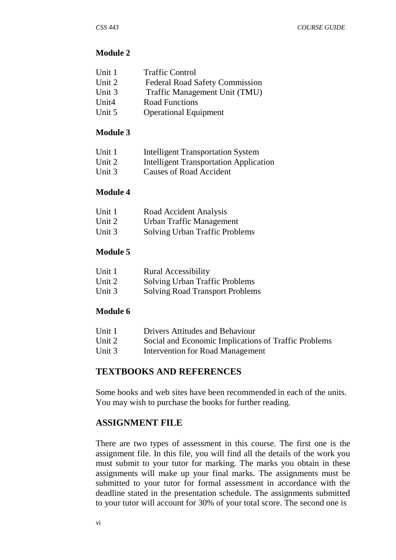#### **Module 2**

| Unit 1 | <b>Traffic Control</b>                |
|--------|---------------------------------------|
| Unit 2 | <b>Federal Road Safety Commission</b> |
| Unit 3 | Traffic Management Unit (TMU)         |
| Unit4  | <b>Road Functions</b>                 |
| Unit 5 | <b>Operational Equipment</b>          |

#### **Module 3**

| Unit 1 | <b>Intelligent Transportation System</b>      |
|--------|-----------------------------------------------|
| Unit 2 | <b>Intelligent Transportation Application</b> |
| Unit 3 | Causes of Road Accident                       |

#### **Module 4**

| Unit 1 | Road Accident Analysis         |
|--------|--------------------------------|
| Unit 2 | Urban Traffic Management       |
| Unit 3 | Solving Urban Traffic Problems |

#### **Module 5**

| Unit 1 | <b>Rural Accessibility</b>             |
|--------|----------------------------------------|
| Unit 2 | Solving Urban Traffic Problems         |
| Unit 3 | <b>Solving Road Transport Problems</b> |

#### **Module 6**

| Unit 1 | Drivers Attitudes and Behaviour                      |
|--------|------------------------------------------------------|
| Unit 2 | Social and Economic Implications of Traffic Problems |
| Unit 3 | Intervention for Road Management                     |

#### **TEXTBOOKS AND REFERENCES**

Some books and web sites have been recommended in each of the units. You may wish to purchase the books for further reading.

#### **ASSIGNMENT FILE**

There are two types of assessment in this course. The first one is the assignment file. In this file, you will find all the details of the work you must submit to your tutor for marking. The marks you obtain in these assignments will make up your final marks. The assignments must be submitted to your tutor for formal assessment in accordance with the deadline stated in the presentation schedule. The assignments submitted to your tutor will account for 30% of your total score. The second one is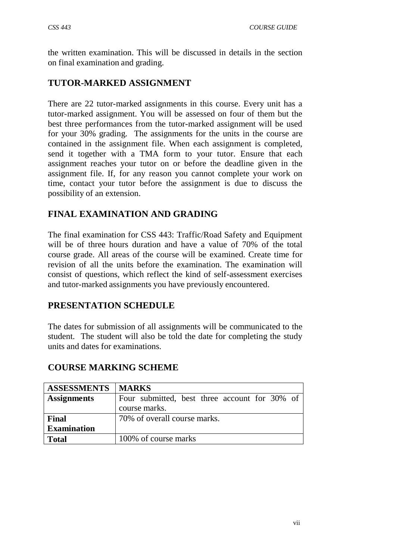the written examination. This will be discussed in details in the section on final examination and grading.

# **TUTOR-MARKED ASSIGNMENT**

There are 22 tutor-marked assignments in this course. Every unit has a tutor-marked assignment. You will be assessed on four of them but the best three performances from the tutor-marked assignment will be used for your 30% grading. The assignments for the units in the course are contained in the assignment file. When each assignment is completed, send it together with a TMA form to your tutor. Ensure that each assignment reaches your tutor on or before the deadline given in the assignment file. If, for any reason you cannot complete your work on time, contact your tutor before the assignment is due to discuss the possibility of an extension.

# **FINAL EXAMINATION AND GRADING**

The final examination for CSS 443: Traffic/Road Safety and Equipment will be of three hours duration and have a value of 70% of the total course grade. All areas of the course will be examined. Create time for revision of all the units before the examination. The examination will consist of questions, which reflect the kind of self-assessment exercises and tutor-marked assignments you have previously encountered.

## **PRESENTATION SCHEDULE**

The dates for submission of all assignments will be communicated to the student. The student will also be told the date for completing the study units and dates for examinations.

| <b>ASSESSMENTS</b> | <b>MARKS</b>                                  |
|--------------------|-----------------------------------------------|
| <b>Assignments</b> | Four submitted, best three account for 30% of |
|                    | course marks.                                 |
| Final              | 70% of overall course marks.                  |
| <b>Examination</b> |                                               |
| <b>Total</b>       | 100% of course marks                          |

## **COURSE MARKING SCHEME**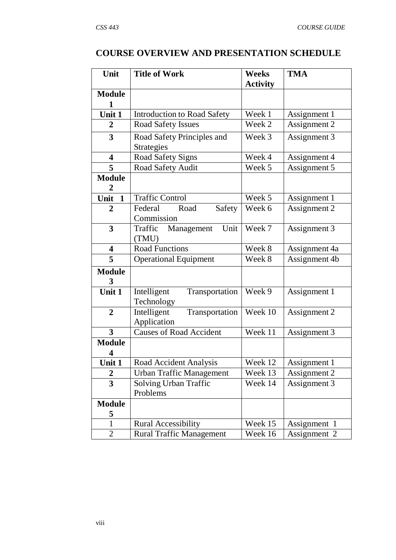# **COURSE OVERVIEW AND PRESENTATION SCHEDULE**

| Unit                    | <b>Title of Work</b>                                    | <b>TMA</b><br><b>Weeks</b> |               |  |  |
|-------------------------|---------------------------------------------------------|----------------------------|---------------|--|--|
|                         |                                                         | <b>Activity</b>            |               |  |  |
| <b>Module</b>           |                                                         |                            |               |  |  |
|                         |                                                         |                            |               |  |  |
| Unit 1                  | <b>Introduction to Road Safety</b>                      | Week 1                     | Assignment 1  |  |  |
| $\overline{2}$          | <b>Road Safety Issues</b>                               | Week 2                     | Assignment 2  |  |  |
| $\overline{\mathbf{3}}$ | Road Safety Principles and                              | Week 3                     | Assignment 3  |  |  |
|                         | <b>Strategies</b>                                       |                            |               |  |  |
| $\overline{\mathbf{4}}$ | Road Safety Signs                                       | Week 4                     | Assignment 4  |  |  |
| 5                       | Road Safety Audit                                       | Week 5                     | Assignment 5  |  |  |
| <b>Module</b><br>2      |                                                         |                            |               |  |  |
| Unit<br>$\mathbf{1}$    | <b>Traffic Control</b>                                  | Week 5                     | Assignment 1  |  |  |
| 2                       | Road<br>Federal<br>Safety                               | Week 6                     | Assignment 2  |  |  |
|                         | Commission                                              |                            |               |  |  |
| $\overline{\mathbf{3}}$ | Unit<br>Traffic<br>Management                           | Week 7                     | Assignment 3  |  |  |
|                         | (TMU)                                                   |                            |               |  |  |
| 4                       | <b>Road Functions</b>                                   | Week 8                     | Assignment 4a |  |  |
| 5                       | <b>Operational Equipment</b><br>Week 8<br>Assignment 4b |                            |               |  |  |
| <b>Module</b>           |                                                         |                            |               |  |  |
| 3<br>Unit 1             | Intelligent                                             | Week 9                     |               |  |  |
|                         | Transportation<br>Technology                            |                            | Assignment 1  |  |  |
| $\overline{2}$          | Transportation<br>Intelligent                           | Week 10                    | Assignment 2  |  |  |
|                         | Application                                             |                            |               |  |  |
| $\overline{\mathbf{3}}$ | <b>Causes of Road Accident</b>                          | Week 11                    | Assignment 3  |  |  |
| <b>Module</b>           |                                                         |                            |               |  |  |
| 4                       |                                                         |                            |               |  |  |
| Unit 1                  | Road Accident Analysis                                  | Week 12                    | Assignment 1  |  |  |
| $\overline{2}$          | <b>Urban Traffic Management</b>                         | Week 13                    | Assignment 2  |  |  |
| 3                       | Solving Urban Traffic                                   | Week 14                    | Assignment 3  |  |  |
|                         | Problems                                                |                            |               |  |  |
| <b>Module</b>           |                                                         |                            |               |  |  |
| 5                       |                                                         |                            |               |  |  |
| 1                       | <b>Rural Accessibility</b>                              | Week 15                    | Assignment 1  |  |  |
| $\overline{2}$          | <b>Rural Traffic Management</b>                         | Week 16                    | Assignment 2  |  |  |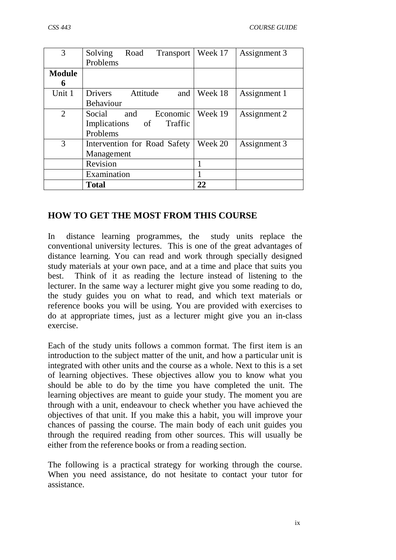| 3             | Solving<br>Road<br>Transport | Week 17 | Assignment 3 |
|---------------|------------------------------|---------|--------------|
|               | Problems                     |         |              |
| <b>Module</b> |                              |         |              |
| n             |                              |         |              |
| Unit 1        | Drivers<br>Attitude<br>and   | Week 18 | Assignment 1 |
|               | <b>Behaviour</b>             |         |              |
| 2             | Economic<br>Social<br>and    | Week 19 | Assignment 2 |
|               | Implications of<br>Traffic   |         |              |
|               | Problems                     |         |              |
| 3             | Intervention for Road Safety | Week 20 | Assignment 3 |
|               | Management                   |         |              |
|               | Revision                     |         |              |
|               | Examination                  |         |              |
|               | <b>Total</b>                 | 22      |              |

## **HOW TO GET THE MOST FROM THIS COURSE**

In distance learning programmes, the study units replace the conventional university lectures. This is one of the great advantages of distance learning. You can read and work through specially designed study materials at your own pace, and at a time and place that suits you best. Think of it as reading the lecture instead of listening to the lecturer. In the same way a lecturer might give you some reading to do, the study guides you on what to read, and which text materials or reference books you will be using. You are provided with exercises to do at appropriate times, just as a lecturer might give you an in-class exercise.

Each of the study units follows a common format. The first item is an introduction to the subject matter of the unit, and how a particular unit is integrated with other units and the course as a whole. Next to this is a set of learning objectives. These objectives allow you to know what you should be able to do by the time you have completed the unit. The learning objectives are meant to guide your study. The moment you are through with a unit, endeavour to check whether you have achieved the objectives of that unit. If you make this a habit, you will improve your chances of passing the course. The main body of each unit guides you through the required reading from other sources. This will usually be either from the reference books or from a reading section.

The following is a practical strategy for working through the course. When you need assistance, do not hesitate to contact your tutor for assistance.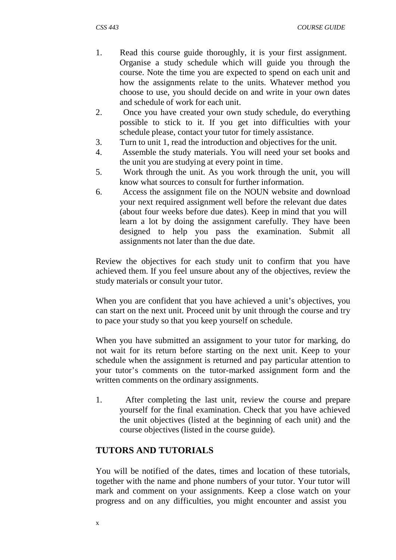- 1. Read this course guide thoroughly, it is your first assignment. Organise a study schedule which will guide you through the course. Note the time you are expected to spend on each unit and how the assignments relate to the units. Whatever method you choose to use, you should decide on and write in your own dates and schedule of work for each unit.
- 2. Once you have created your own study schedule, do everything possible to stick to it. If you get into difficulties with your schedule please, contact your tutor for timely assistance.
- 3. Turn to unit 1, read the introduction and objectives for the unit.
- 4. Assemble the study materials. You will need your set books and the unit you are studying at every point in time.
- 5. Work through the unit. As you work through the unit, you will know what sources to consult for further information.
- 6. Access the assignment file on the NOUN website and download your next required assignment well before the relevant due dates (about four weeks before due dates). Keep in mind that you will learn a lot by doing the assignment carefully. They have been designed to help you pass the examination. Submit all assignments not later than the due date.

Review the objectives for each study unit to confirm that you have achieved them. If you feel unsure about any of the objectives, review the study materials or consult your tutor.

When you are confident that you have achieved a unit's objectives, you can start on the next unit. Proceed unit by unit through the course and try to pace your study so that you keep yourself on schedule.

When you have submitted an assignment to your tutor for marking, do not wait for its return before starting on the next unit. Keep to your schedule when the assignment is returned and pay particular attention to your tutor's comments on the tutor-marked assignment form and the written comments on the ordinary assignments.

1. After completing the last unit, review the course and prepare yourself for the final examination. Check that you have achieved the unit objectives (listed at the beginning of each unit) and the course objectives (listed in the course guide).

# **TUTORS AND TUTORIALS**

You will be notified of the dates, times and location of these tutorials, together with the name and phone numbers of your tutor. Your tutor will mark and comment on your assignments. Keep a close watch on your progress and on any difficulties, you might encounter and assist you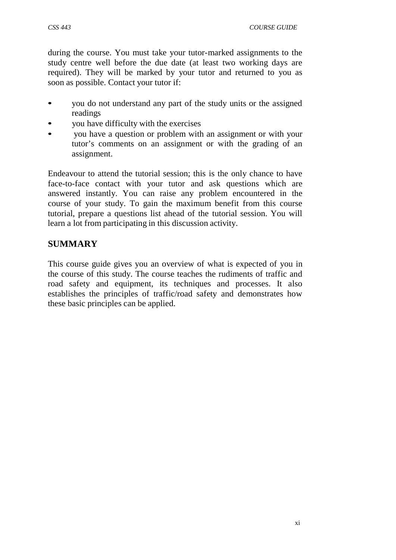during the course. You must take your tutor-marked assignments to the study centre well before the due date (at least two working days are required). They will be marked by your tutor and returned to you as soon as possible. Contact your tutor if:

- you do not understand any part of the study units or the assigned readings
- you have difficulty with the exercises
- you have a question or problem with an assignment or with your tutor's comments on an assignment or with the grading of an assignment.

Endeavour to attend the tutorial session; this is the only chance to have face-to-face contact with your tutor and ask questions which are answered instantly. You can raise any problem encountered in the course of your study. To gain the maximum benefit from this course tutorial, prepare a questions list ahead of the tutorial session. You will learn a lot from participating in this discussion activity.

# **SUMMARY**

This course guide gives you an overview of what is expected of you in the course of this study. The course teaches the rudiments of traffic and road safety and equipment, its techniques and processes. It also establishes the principles of traffic/road safety and demonstrates how these basic principles can be applied.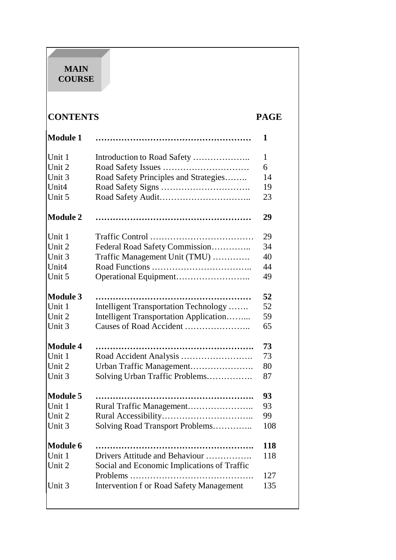# **MAIN COURSE**

# **CONTENTS PAGE**

| <b>Module 1</b> |                                             | 1   |
|-----------------|---------------------------------------------|-----|
| Unit 1          |                                             | 1   |
| Unit 2          |                                             | 6   |
| Unit 3          | Road Safety Principles and Strategies       | 14  |
| Unit4           |                                             | 19  |
| Unit 5          |                                             | 23  |
| <b>Module 2</b> |                                             | 29  |
| Unit 1          |                                             | 29  |
| Unit 2          | Federal Road Safety Commission              | 34  |
| Unit 3          | Traffic Management Unit (TMU)               | 40  |
| Unit4           |                                             | 44  |
| Unit 5          |                                             | 49  |
| <b>Module 3</b> |                                             | 52  |
| Unit 1          | Intelligent Transportation Technology       | 52  |
| Unit 2          | Intelligent Transportation Application      | 59  |
| Unit 3          |                                             | 65  |
| <b>Module 4</b> |                                             | 73  |
| Unit 1          |                                             | 73  |
| Unit 2          | Urban Traffic Management                    | 80  |
| Unit 3          | Solving Urban Traffic Problems              | 87  |
| <b>Module 5</b> |                                             | 93  |
| Unit 1          | Rural Traffic Management                    | 93  |
| Unit 2          |                                             | 99  |
| Unit 3          | Solving Road Transport Problems             | 108 |
| <b>Module 6</b> |                                             | 118 |
| Unit 1          | Drivers Attitude and Behaviour              | 118 |
| Unit 2          | Social and Economic Implications of Traffic |     |
|                 |                                             | 127 |
| Unit 3          | Intervention f or Road Safety Management    | 135 |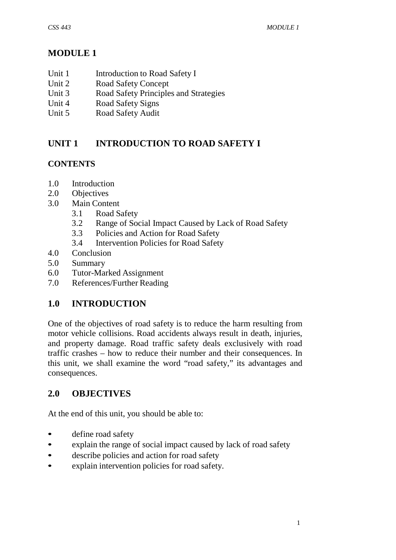# **MODULE 1**

- Unit 1 Introduction to Road Safety I
- Unit 2 Road Safety Concept
- Unit 3 Road Safety Principles and Strategies
- Unit 4 Road Safety Signs
- Unit 5 Road Safety Audit

# **UNIT 1 INTRODUCTION TO ROAD SAFETY I**

# **CONTENTS**

- 1.0 Introduction
- 2.0 Objectives
- 3.0 Main Content
	- 3.1 Road Safety
	- 3.2 Range of Social Impact Caused by Lack of Road Safety
	- 3.3 Policies and Action for Road Safety
	- 3.4 Intervention Policies for Road Safety
- 4.0 Conclusion
- 5.0 Summary
- 6.0 Tutor-Marked Assignment
- 7.0 References/Further Reading

# **1.0 INTRODUCTION**

One of the objectives of road safety is to reduce the harm resulting from motor vehicle collisions. Road accidents always result in death, injuries, and property damage. Road traffic safety deals exclusively with road traffic crashes – how to reduce their number and their consequences. In this unit, we shall examine the word "road safety," its advantages and consequences.

# **2.0 OBJECTIVES**

At the end of this unit, you should be able to:

- define road safety
- explain the range of social impact caused by lack of road safety
- describe policies and action for road safety
- explain intervention policies for road safety.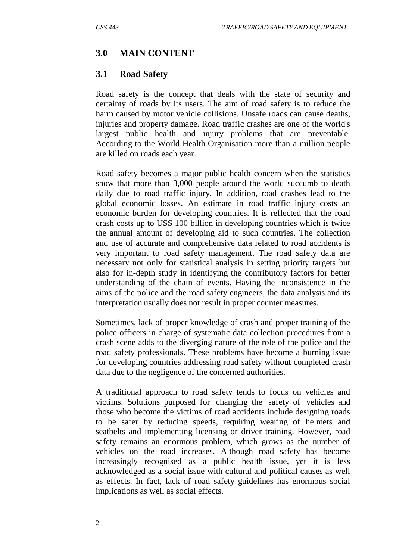#### **3.0 MAIN CONTENT**

#### **3.1 Road Safety**

Road safety is the concept that deals with the state of security and certainty of roads by its users. The aim of road safety is to reduce the harm caused by motor vehicle collisions. Unsafe roads can cause deaths, injuries and property damage. Road traffic crashes are one of the world's largest public health and injury problems that are preventable. According to the World Health Organisation more than a million people are killed on roads each year.

Road safety becomes a major public health concern when the statistics show that more than 3,000 people around the world succumb to death daily due to road traffic injury. In addition, road crashes lead to the global economic losses. An estimate in road traffic injury costs an economic burden for developing countries. It is reflected that the road crash costs up to USS 100 billion in developing countries which is twice the annual amount of developing aid to such countries. The collection and use of accurate and comprehensive data related to road accidents is very important to road safety management. The road safety data are necessary not only for statistical analysis in setting priority targets but also for in-depth study in identifying the contributory factors for better understanding of the chain of events. Having the inconsistence in the aims of the police and the road safety engineers, the data analysis and its interpretation usually does not result in proper counter measures.

Sometimes, lack of proper knowledge of crash and proper training of the police officers in charge of systematic data collection procedures from a crash scene adds to the diverging nature of the role of the police and the road safety professionals. These problems have become a burning issue for developing countries addressing road safety without completed crash data due to the negligence of the concerned authorities.

A traditional approach to road safety tends to focus on vehicles and victims. Solutions purposed for changing the safety of vehicles and those who become the victims of road accidents include designing roads to be safer by reducing speeds, requiring wearing of helmets and seatbelts and implementing licensing or driver training. However, road safety remains an enormous problem, which grows as the number of vehicles on the road increases. Although road safety has become increasingly recognised as a public health issue, yet it is less acknowledged as a social issue with cultural and political causes as well as effects. In fact, lack of road safety guidelines has enormous social implications as well as social effects.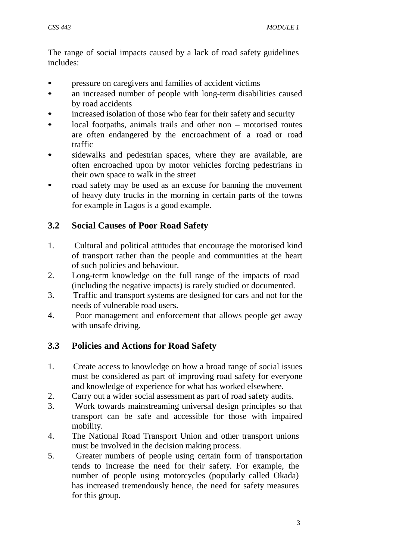The range of social impacts caused by a lack of road safety guidelines includes:

- pressure on caregivers and families of accident victims
- an increased number of people with long-term disabilities caused by road accidents
- increased isolation of those who fear for their safety and security
- local footpaths, animals trails and other non motorised routes are often endangered by the encroachment of a road or road traffic
- sidewalks and pedestrian spaces, where they are available, are often encroached upon by motor vehicles forcing pedestrians in their own space to walk in the street
- road safety may be used as an excuse for banning the movement of heavy duty trucks in the morning in certain parts of the towns for example in Lagos is a good example.

# **3.2 Social Causes of Poor Road Safety**

- 1. Cultural and political attitudes that encourage the motorised kind of transport rather than the people and communities at the heart of such policies and behaviour.
- 2. Long-term knowledge on the full range of the impacts of road (including the negative impacts) is rarely studied or documented.
- 3. Traffic and transport systems are designed for cars and not for the needs of vulnerable road users.
- 4. Poor management and enforcement that allows people get away with unsafe driving.

# **3.3 Policies and Actions for Road Safety**

- 1. Create access to knowledge on how a broad range of social issues must be considered as part of improving road safety for everyone and knowledge of experience for what has worked elsewhere.
- 2. Carry out a wider social assessment as part of road safety audits.
- 3. Work towards mainstreaming universal design principles so that transport can be safe and accessible for those with impaired mobility.
- 4. The National Road Transport Union and other transport unions must be involved in the decision making process.
- 5. Greater numbers of people using certain form of transportation tends to increase the need for their safety. For example, the number of people using motorcycles (popularly called Okada) has increased tremendously hence, the need for safety measures for this group.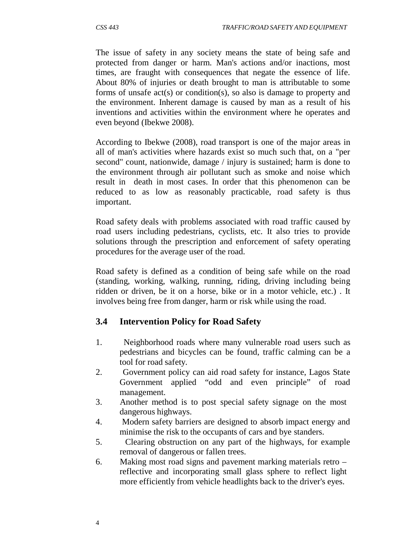The issue of safety in any society means the state of being safe and protected from danger or harm. Man's actions and/or inactions, most times, are fraught with consequences that negate the essence of life. About 80% of injuries or death brought to man is attributable to some forms of unsafe act(s) or condition(s), so also is damage to property and the environment. Inherent damage is caused by man as a result of his inventions and activities within the environment where he operates and even beyond (Ibekwe 2008).

According to Ibekwe (2008), road transport is one of the major areas in all of man's activities where hazards exist so much such that, on a "per second" count, nationwide, damage / injury is sustained; harm is done to the environment through air pollutant such as smoke and noise which result in death in most cases. In order that this phenomenon can be reduced to as low as reasonably practicable, road safety is thus important.

Road safety deals with problems associated with road traffic caused by road users including pedestrians, cyclists, etc. It also tries to provide solutions through the prescription and enforcement of safety operating procedures for the average user of the road.

Road safety is defined as a condition of being safe while on the road (standing, working, walking, running, riding, driving including being ridden or driven, be it on a horse, bike or in a motor vehicle, etc.) . It involves being free from danger, harm or risk while using the road.

## **3.4 Intervention Policy for Road Safety**

- 1. Neighborhood roads where many vulnerable road users such as pedestrians and bicycles can be found, traffic calming can be a tool for road safety.
- 2. Government policy can aid road safety for instance, Lagos State Government applied "odd and even principle" of road management.
- 3. Another method is to post special safety signage on the most dangerous highways.
- 4. Modern safety barriers are designed to absorb impact energy and minimise the risk to the occupants of cars and bye standers.
- 5. Clearing obstruction on any part of the highways, for example removal of dangerous or fallen trees.
- 6. Making most road signs and pavement marking materials retro reflective and incorporating small glass sphere to reflect light more efficiently from vehicle headlights back to the driver's eyes.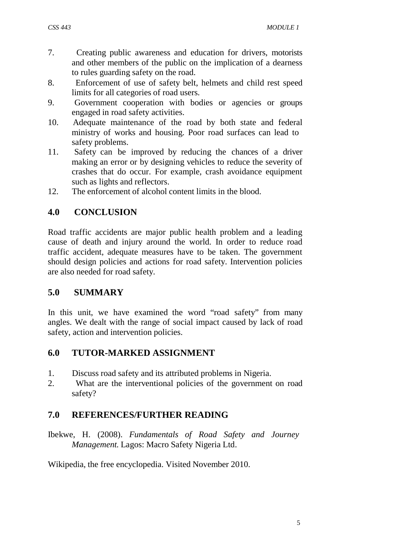- 7. Creating public awareness and education for drivers, motorists and other members of the public on the implication of a dearness to rules guarding safety on the road.
- 8. Enforcement of use of safety belt, helmets and child rest speed limits for all categories of road users.
- 9. Government cooperation with bodies or agencies or groups engaged in road safety activities.
- 10. Adequate maintenance of the road by both state and federal ministry of works and housing. Poor road surfaces can lead to safety problems.
- 11. Safety can be improved by reducing the chances of a driver making an error or by designing vehicles to reduce the severity of crashes that do occur. For example, crash avoidance equipment such as lights and reflectors.
- 12. The enforcement of alcohol content limits in the blood.

# **4.0 CONCLUSION**

Road traffic accidents are major public health problem and a leading cause of death and injury around the world. In order to reduce road traffic accident, adequate measures have to be taken. The government should design policies and actions for road safety. Intervention policies are also needed for road safety.

## **5.0 SUMMARY**

In this unit, we have examined the word "road safety" from many angles. We dealt with the range of social impact caused by lack of road safety, action and intervention policies.

## **6.0 TUTOR-MARKED ASSIGNMENT**

- 1. Discuss road safety and its attributed problems in Nigeria.
- 2. What are the interventional policies of the government on road safety?

# **7.0 REFERENCES/FURTHER READING**

Ibekwe, H. (2008). *Fundamentals of Road Safety and Journey Management.* Lagos: Macro Safety Nigeria Ltd.

Wikipedia, the free encyclopedia. Visited November 2010.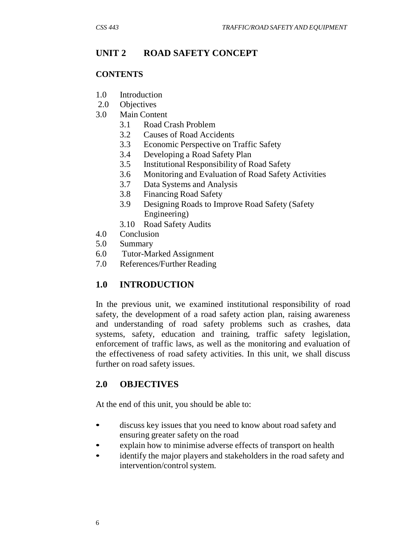# **UNIT 2 ROAD SAFETY CONCEPT**

#### **CONTENTS**

- 1.0 Introduction
- 2.0 Objectives
- 3.0 Main Content
	- 3.1 Road Crash Problem
	- 3.2 Causes of Road Accidents
	- 3.3 Economic Perspective on Traffic Safety
	- 3.4 Developing a Road Safety Plan
	- 3.5 Institutional Responsibility of Road Safety
	- 3.6 Monitoring and Evaluation of Road Safety Activities
	- 3.7 Data Systems and Analysis
	- 3.8 Financing Road Safety
	- 3.9 Designing Roads to Improve Road Safety (Safety Engineering)
	- 3.10 Road Safety Audits
- 4.0 Conclusion
- 5.0 Summary
- 6.0 Tutor-Marked Assignment
- 7.0 References/Further Reading

# **1.0 INTRODUCTION**

In the previous unit, we examined institutional responsibility of road safety, the development of a road safety action plan, raising awareness and understanding of road safety problems such as crashes, data systems, safety, education and training, traffic safety legislation, enforcement of traffic laws, as well as the monitoring and evaluation of the effectiveness of road safety activities. In this unit, we shall discuss further on road safety issues.

# **2.0 OBJECTIVES**

At the end of this unit, you should be able to:

- discuss key issues that you need to know about road safety and ensuring greater safety on the road
- explain how to minimise adverse effects of transport on health<br>• identify the major players and stakeholders in the road safety a
- identify the major players and stakeholders in the road safety and intervention/control system.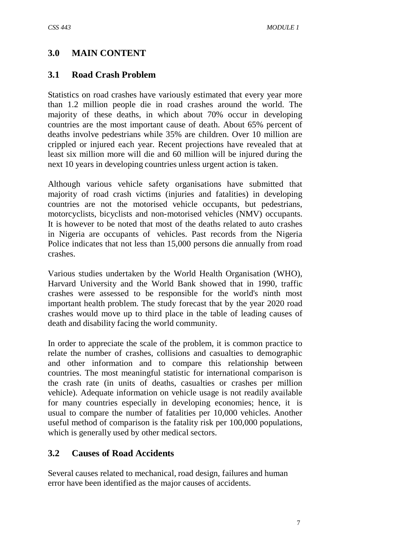# **3.0 MAIN CONTENT**

#### **3.1 Road Crash Problem**

Statistics on road crashes have variously estimated that every year more than 1.2 million people die in road crashes around the world. The majority of these deaths, in which about 70% occur in developing countries are the most important cause of death. About 65% percent of deaths involve pedestrians while 35% are children. Over 10 million are crippled or injured each year. Recent projections have revealed that at least six million more will die and 60 million will be injured during the next 10 years in developing countries unless urgent action is taken.

Although various vehicle safety organisations have submitted that majority of road crash victims (injuries and fatalities) in developing countries are not the motorised vehicle occupants, but pedestrians, motorcyclists, bicyclists and non-motorised vehicles (NMV) occupants. It is however to be noted that most of the deaths related to auto crashes in Nigeria are occupants of vehicles. Past records from the Nigeria Police indicates that not less than 15,000 persons die annually from road crashes.

Various studies undertaken by the World Health Organisation (WHO), Harvard University and the World Bank showed that in 1990, traffic crashes were assessed to be responsible for the world's ninth most important health problem. The study forecast that by the year 2020 road crashes would move up to third place in the table of leading causes of death and disability facing the world community.

In order to appreciate the scale of the problem, it is common practice to relate the number of crashes, collisions and casualties to demographic and other information and to compare this relationship between countries. The most meaningful statistic for international comparison is the crash rate (in units of deaths, casualties or crashes per million vehicle). Adequate information on vehicle usage is not readily available for many countries especially in developing economies; hence, it is usual to compare the number of fatalities per 10,000 vehicles. Another useful method of comparison is the fatality risk per 100,000 populations, which is generally used by other medical sectors.

#### **3.2 Causes of Road Accidents**

Several causes related to mechanical, road design, failures and human error have been identified as the major causes of accidents.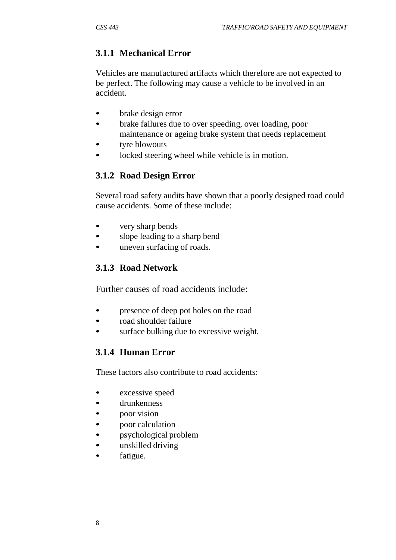# **3.1.1 Mechanical Error**

Vehicles are manufactured artifacts which therefore are not expected to be perfect. The following may cause a vehicle to be involved in an accident.

- brake design error
- brake failures due to over speeding, over loading, poor maintenance or ageing brake system that needs replacement
- tyre blowouts
- locked steering wheel while vehicle is in motion.

# **3.1.2 Road Design Error**

Several road safety audits have shown that a poorly designed road could cause accidents. Some of these include:

- very sharp bends
- slope leading to a sharp bend
- uneven surfacing of roads.

# **3.1.3 Road Network**

Further causes of road accidents include:

- presence of deep pot holes on the road
- road shoulder failure
- surface bulking due to excessive weight.

# **3.1.4 Human Error**

These factors also contribute to road accidents:

- excessive speed
- drunkenness
- poor vision
- poor calculation
- psychological problem
- unskilled driving
- fatigue.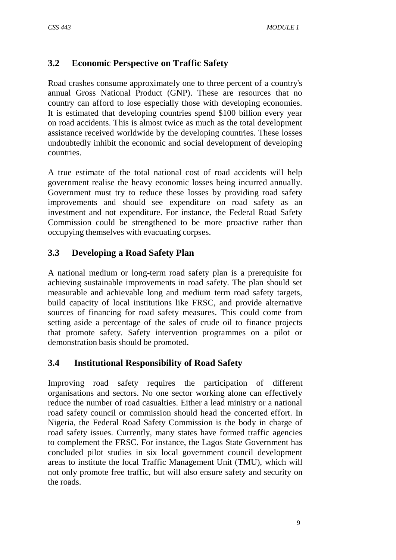# **3.2 Economic Perspective on Traffic Safety**

Road crashes consume approximately one to three percent of a country's annual Gross National Product (GNP). These are resources that no country can afford to lose especially those with developing economies. It is estimated that developing countries spend \$100 billion every year on road accidents. This is almost twice as much as the total development assistance received worldwide by the developing countries. These losses undoubtedly inhibit the economic and social development of developing countries.

A true estimate of the total national cost of road accidents will help government realise the heavy economic losses being incurred annually. Government must try to reduce these losses by providing road safety improvements and should see expenditure on road safety as an investment and not expenditure. For instance, the Federal Road Safety Commission could be strengthened to be more proactive rather than occupying themselves with evacuating corpses.

# **3.3 Developing a Road Safety Plan**

A national medium or long-term road safety plan is a prerequisite for achieving sustainable improvements in road safety. The plan should set measurable and achievable long and medium term road safety targets, build capacity of local institutions like FRSC, and provide alternative sources of financing for road safety measures. This could come from setting aside a percentage of the sales of crude oil to finance projects that promote safety. Safety intervention programmes on a pilot or demonstration basis should be promoted.

## **3.4 Institutional Responsibility of Road Safety**

Improving road safety requires the participation of different organisations and sectors. No one sector working alone can effectively reduce the number of road casualties. Either a lead ministry or a national road safety council or commission should head the concerted effort. In Nigeria, the Federal Road Safety Commission is the body in charge of road safety issues. Currently, many states have formed traffic agencies to complement the FRSC. For instance, the Lagos State Government has concluded pilot studies in six local government council development areas to institute the local Traffic Management Unit (TMU), which will not only promote free traffic, but will also ensure safety and security on the roads.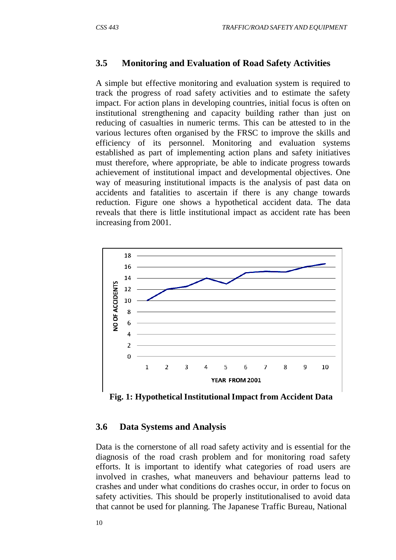#### **3.5 Monitoring and Evaluation of Road Safety Activities**

A simple but effective monitoring and evaluation system is required to track the progress of road safety activities and to estimate the safety impact. For action plans in developing countries, initial focus is often on institutional strengthening and capacity building rather than just on reducing of casualties in numeric terms. This can be attested to in the various lectures often organised by the FRSC to improve the skills and efficiency of its personnel. Monitoring and evaluation systems established as part of implementing action plans and safety initiatives must therefore, where appropriate, be able to indicate progress towards achievement of institutional impact and developmental objectives. One way of measuring institutional impacts is the analysis of past data on accidents and fatalities to ascertain if there is any change towards reduction. Figure one shows a hypothetical accident data. The data reveals that there is little institutional impact as accident rate has been increasing from 2001.



**Fig. 1: Hypothetical Institutional Impact from Accident Data**

#### **3.6 Data Systems and Analysis**

Data is the cornerstone of all road safety activity and is essential for the diagnosis of the road crash problem and for monitoring road safety efforts. It is important to identify what categories of road users are involved in crashes, what maneuvers and behaviour patterns lead to crashes and under what conditions do crashes occur, in order to focus on safety activities. This should be properly institutionalised to avoid data that cannot be used for planning. The Japanese Traffic Bureau, National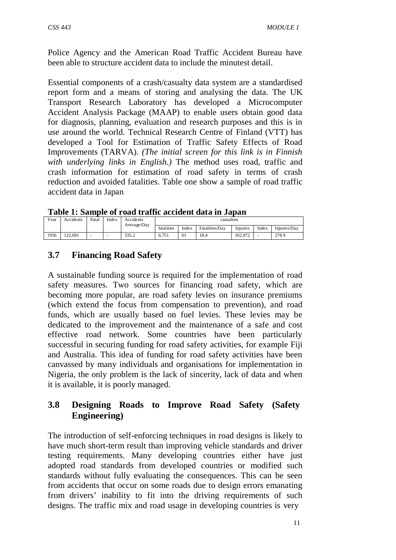Police Agency and the American Road Traffic Accident Bureau have been able to structure accident data to include the minutest detail.

Essential components of a crash/casualty data system are a standardised report form and a means of storing and analysing the data. The UK Transport Research Laboratory has developed a Microcomputer Accident Analysis Package (MAAP) to enable users obtain good data for diagnosis, planning, evaluation and research purposes and this is in use around the world. Technical Research Centre of Finland (VTT) has developed a Tool for Estimation of Traffic Safety Effects of Road Improvements (TARVA). *(The initial screen for this link is in Finnish with underlying links in English.)* The method uses road, traffic and crash information for estimation of road safety in terms of crash reduction and avoided fatalities. Table one show a sample of road traffic accident data in Japan

**Table 1: Sample of road traffic accident data in Japan**

| Year | Accidents | Fatal | Index | Accidents<br>Average/Day | casualties |       |                |          |       |              |
|------|-----------|-------|-------|--------------------------|------------|-------|----------------|----------|-------|--------------|
|      |           |       |       |                          | fatalities | Index | Fatalities/Dav | Injuries | Index | Injuries/Dav |
| 1956 | 122.691   | -     |       | 3352<br>JJJ.Z            | 6.751      | 61    | 18.4           | 102.072  | -     | 278.9        |

# **3.7 Financing Road Safety**

A sustainable funding source is required for the implementation of road safety measures. Two sources for financing road safety, which are becoming more popular, are road safety levies on insurance premiums (which extend the focus from compensation to prevention), and road funds, which are usually based on fuel levies. These levies may be dedicated to the improvement and the maintenance of a safe and cost effective road network. Some countries have been particularly successful in securing funding for road safety activities, for example Fiji and Australia. This idea of funding for road safety activities have been canvassed by many individuals and organisations for implementation in Nigeria, the only problem is the lack of sincerity, lack of data and when it is available, it is poorly managed.

# **3.8 Designing Roads to Improve Road Safety (Safety Engineering)**

The introduction of self-enforcing techniques in road designs is likely to have much short-term result than improving vehicle standards and driver testing requirements. Many developing countries either have just adopted road standards from developed countries or modified such standards without fully evaluating the consequences. This can be seen from accidents that occur on some roads due to design errors emanating from drivers' inability to fit into the driving requirements of such designs. The traffic mix and road usage in developing countries is very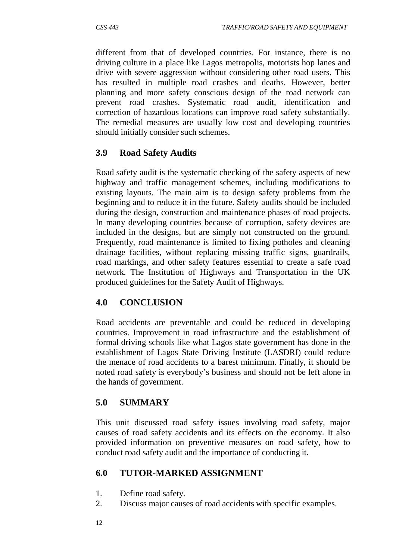different from that of developed countries. For instance, there is no driving culture in a place like Lagos metropolis, motorists hop lanes and drive with severe aggression without considering other road users. This has resulted in multiple road crashes and deaths. However, better planning and more safety conscious design of the road network can prevent road crashes. Systematic road audit, identification and correction of hazardous locations can improve road safety substantially. The remedial measures are usually low cost and developing countries should initially consider such schemes.

## **3.9 Road Safety Audits**

Road safety audit is the systematic checking of the safety aspects of new highway and traffic management schemes, including modifications to existing layouts. The main aim is to design safety problems from the beginning and to reduce it in the future. Safety audits should be included during the design, construction and maintenance phases of road projects. In many developing countries because of corruption, safety devices are included in the designs, but are simply not constructed on the ground. Frequently, road maintenance is limited to fixing potholes and cleaning drainage facilities, without replacing missing traffic signs, guardrails, road markings, and other safety features essential to create a safe road network. The Institution of Highways and Transportation in the UK produced guidelines for the Safety Audit of Highways.

## **4.0 CONCLUSION**

Road accidents are preventable and could be reduced in developing countries. Improvement in road infrastructure and the establishment of formal driving schools like what Lagos state government has done in the establishment of Lagos State Driving Institute (LASDRI) could reduce the menace of road accidents to a barest minimum. Finally, it should be noted road safety is everybody's business and should not be left alone in the hands of government.

## **5.0 SUMMARY**

This unit discussed road safety issues involving road safety, major causes of road safety accidents and its effects on the economy. It also provided information on preventive measures on road safety, how to conduct road safety audit and the importance of conducting it.

## **6.0 TUTOR-MARKED ASSIGNMENT**

- 1. Define road safety.
- 2. Discuss major causes of road accidents with specific examples.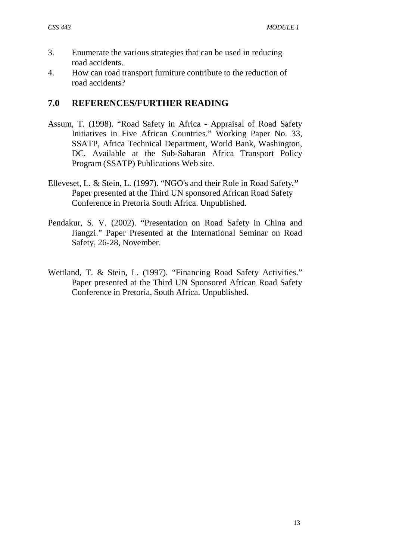- 3. Enumerate the various strategies that can be used in reducing road accidents.
- 4. How can road transport furniture contribute to the reduction of road accidents?

#### **7.0 REFERENCES/FURTHER READING**

- Assum, T. (1998). "Road Safety in Africa Appraisal of Road Safety Initiatives in Five African Countries." Working Paper No. 33, SSATP, Africa Technical Department, World Bank, Washington, DC. Available at the Sub-Saharan Africa Transport Policy Program (SSATP) Publications Web site.
- Elleveset, L. & Stein, L. (1997). "NGO's and their Role in Road Safety*.***"**  Paper presented at the Third UN sponsored African Road Safety Conference in Pretoria South Africa. Unpublished.
- Pendakur, S. V. (2002). "Presentation on Road Safety in China and Jiangzi." Paper Presented at the International Seminar on Road Safety, 26-28, November.
- Wettland, T. & Stein, L. (1997). "Financing Road Safety Activities." Paper presented at the Third UN Sponsored African Road Safety Conference in Pretoria, South Africa. Unpublished.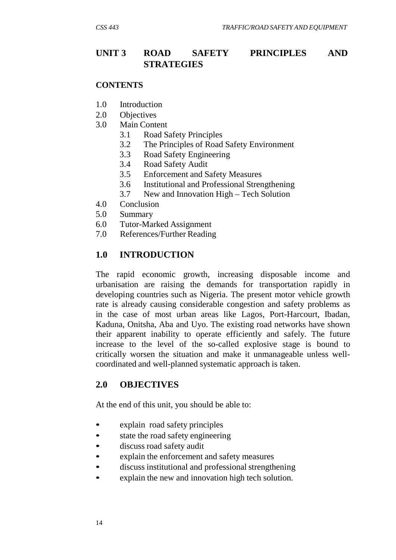## **UNIT 3 ROAD SAFETY PRINCIPLES AND STRATEGIES**

#### **CONTENTS**

- 1.0 Introduction
- 2.0 Objectives
- 3.0 Main Content
	- 3.1 Road Safety Principles
	- 3.2 The Principles of Road Safety Environment
	- 3.3 Road Safety Engineering
	- 3.4 Road Safety Audit
	- 3.5 Enforcement and Safety Measures
	- 3.6 Institutional and Professional Strengthening
	- 3.7 New and Innovation High Tech Solution
- 4.0 Conclusion
- 5.0 Summary
- 6.0 Tutor-Marked Assignment
- 7.0 References/Further Reading

#### **1.0 INTRODUCTION**

The rapid economic growth, increasing disposable income and urbanisation are raising the demands for transportation rapidly in developing countries such as Nigeria. The present motor vehicle growth rate is already causing considerable congestion and safety problems as in the case of most urban areas like Lagos, Port-Harcourt, Ibadan, Kaduna, Onitsha, Aba and Uyo. The existing road networks have shown their apparent inability to operate efficiently and safely. The future increase to the level of the so-called explosive stage is bound to critically worsen the situation and make it unmanageable unless wellcoordinated and well-planned systematic approach is taken.

#### **2.0 OBJECTIVES**

At the end of this unit, you should be able to:

- explain road safety principles
- state the road safety engineering
- discuss road safety audit
- explain the enforcement and safety measures
- discuss institutional and professional strengthening
- explain the new and innovation high tech solution.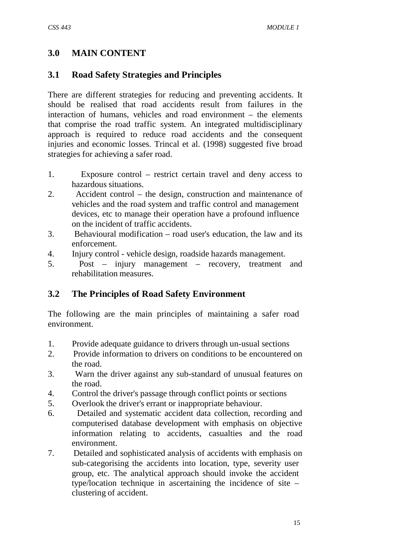# **3.0 MAIN CONTENT**

# **3.1 Road Safety Strategies and Principles**

There are different strategies for reducing and preventing accidents. It should be realised that road accidents result from failures in the interaction of humans, vehicles and road environment – the elements that comprise the road traffic system. An integrated multidisciplinary approach is required to reduce road accidents and the consequent injuries and economic losses. Trincal et al. (1998) suggested five broad strategies for achieving a safer road.

- 1. Exposure control restrict certain travel and deny access to hazardous situations.
- 2. Accident control the design, construction and maintenance of vehicles and the road system and traffic control and management devices, etc to manage their operation have a profound influence on the incident of traffic accidents.
- 3. Behavioural modification road user's education, the law and its enforcement.
- 4. Injury control vehicle design, roadside hazards management.
- 5. Post injury management recovery, treatment and rehabilitation measures.

# **3.2 The Principles of Road Safety Environment**

The following are the main principles of maintaining a safer road environment.

- 1. Provide adequate guidance to drivers through un-usual sections
- 2. Provide information to drivers on conditions to be encountered on the road.
- 3. Warn the driver against any sub-standard of unusual features on the road.
- 4. Control the driver's passage through conflict points or sections
- 5. Overlook the driver's errant or inappropriate behaviour.
- 6. Detailed and systematic accident data collection, recording and computerised database development with emphasis on objective information relating to accidents, casualties and the road environment.
- 7. Detailed and sophisticated analysis of accidents with emphasis on sub-categorising the accidents into location, type, severity user group, etc. The analytical approach should invoke the accident type/location technique in ascertaining the incidence of site – clustering of accident.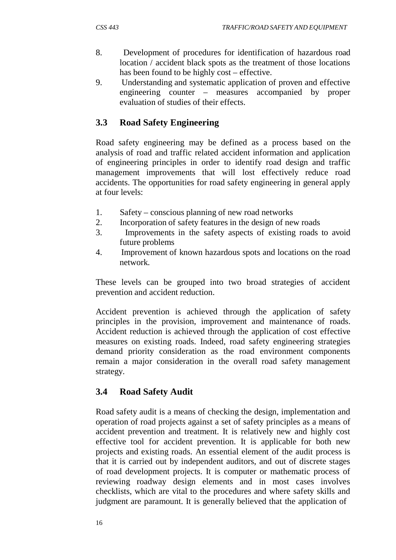- 8. Development of procedures for identification of hazardous road location / accident black spots as the treatment of those locations has been found to be highly cost – effective.
- 9. Understanding and systematic application of proven and effective engineering counter – measures accompanied by proper evaluation of studies of their effects.

# **3.3 Road Safety Engineering**

Road safety engineering may be defined as a process based on the analysis of road and traffic related accident information and application of engineering principles in order to identify road design and traffic management improvements that will lost effectively reduce road accidents. The opportunities for road safety engineering in general apply at four levels:

- 1. Safety conscious planning of new road networks
- 2. Incorporation of safety features in the design of new roads
- 3. Improvements in the safety aspects of existing roads to avoid future problems
- 4. Improvement of known hazardous spots and locations on the road network.

These levels can be grouped into two broad strategies of accident prevention and accident reduction.

Accident prevention is achieved through the application of safety principles in the provision, improvement and maintenance of roads. Accident reduction is achieved through the application of cost effective measures on existing roads. Indeed, road safety engineering strategies demand priority consideration as the road environment components remain a major consideration in the overall road safety management strategy.

# **3.4 Road Safety Audit**

Road safety audit is a means of checking the design, implementation and operation of road projects against a set of safety principles as a means of accident prevention and treatment. It is relatively new and highly cost effective tool for accident prevention. It is applicable for both new projects and existing roads. An essential element of the audit process is that it is carried out by independent auditors, and out of discrete stages of road development projects. It is computer or mathematic process of reviewing roadway design elements and in most cases involves checklists, which are vital to the procedures and where safety skills and judgment are paramount. It is generally believed that the application of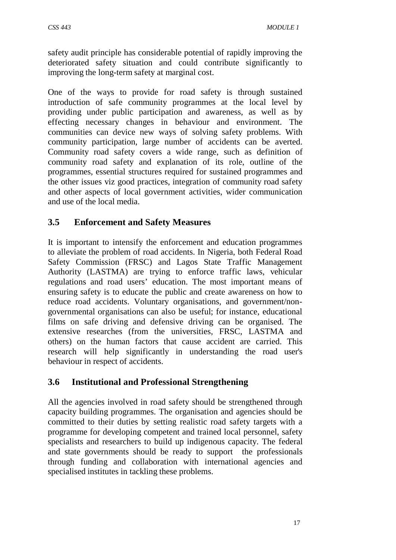safety audit principle has considerable potential of rapidly improving the deteriorated safety situation and could contribute significantly to improving the long-term safety at marginal cost.

One of the ways to provide for road safety is through sustained introduction of safe community programmes at the local level by providing under public participation and awareness, as well as by effecting necessary changes in behaviour and environment. The communities can device new ways of solving safety problems. With community participation, large number of accidents can be averted. Community road safety covers a wide range, such as definition of community road safety and explanation of its role, outline of the programmes, essential structures required for sustained programmes and the other issues viz good practices, integration of community road safety and other aspects of local government activities, wider communication and use of the local media.

## **3.5 Enforcement and Safety Measures**

It is important to intensify the enforcement and education programmes to alleviate the problem of road accidents. In Nigeria, both Federal Road Safety Commission (FRSC) and Lagos State Traffic Management Authority (LASTMA) are trying to enforce traffic laws, vehicular regulations and road users' education. The most important means of ensuring safety is to educate the public and create awareness on how to reduce road accidents. Voluntary organisations, and government/nongovernmental organisations can also be useful; for instance, educational films on safe driving and defensive driving can be organised. The extensive researches (from the universities, FRSC, LASTMA and others) on the human factors that cause accident are carried. This research will help significantly in understanding the road user's behaviour in respect of accidents.

## **3.6 Institutional and Professional Strengthening**

All the agencies involved in road safety should be strengthened through capacity building programmes. The organisation and agencies should be committed to their duties by setting realistic road safety targets with a programme for developing competent and trained local personnel, safety specialists and researchers to build up indigenous capacity. The federal and state governments should be ready to support the professionals through funding and collaboration with international agencies and specialised institutes in tackling these problems.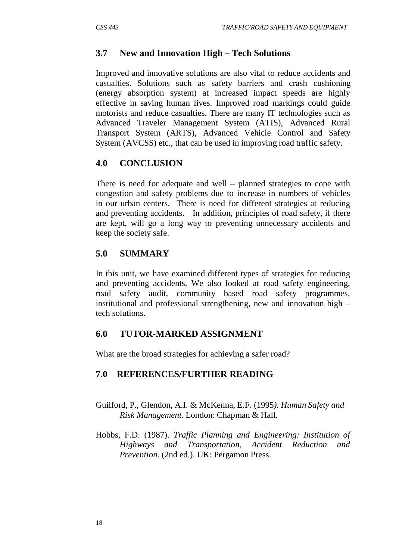# **3.7 New and Innovation High – Tech Solutions**

Improved and innovative solutions are also vital to reduce accidents and casualties. Solutions such as safety barriers and crash cushioning (energy absorption system) at increased impact speeds are highly effective in saving human lives. Improved road markings could guide motorists and reduce casualties. There are many IT technologies such as Advanced Traveler Management System (ATIS), Advanced Rural Transport System (ARTS), Advanced Vehicle Control and Safety System (AVCSS) etc., that can be used in improving road traffic safety.

# **4.0 CONCLUSION**

There is need for adequate and well – planned strategies to cope with congestion and safety problems due to increase in numbers of vehicles in our urban centers. There is need for different strategies at reducing and preventing accidents. In addition, principles of road safety, if there are kept, will go a long way to preventing unnecessary accidents and keep the society safe.

# **5.0 SUMMARY**

In this unit, we have examined different types of strategies for reducing and preventing accidents. We also looked at road safety engineering, road safety audit, community based road safety programmes, institutional and professional strengthening, new and innovation high – tech solutions.

## **6.0 TUTOR-MARKED ASSIGNMENT**

What are the broad strategies for achieving a safer road?

## **7.0 REFERENCES/FURTHER READING**

- Guilford, P., Glendon, A.I. & McKenna, E.F. (1995*). Human Safety and Risk Management*. London: Chapman & Hall.
- Hobbs, F.D. (1987). *Traffic Planning and Engineering: Institution of Highways and Transportation, Accident Reduction and Prevention*. (2nd ed.). UK: Pergamon Press.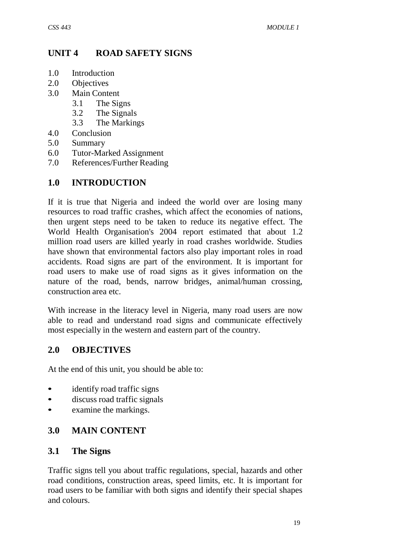# **UNIT 4 ROAD SAFETY SIGNS**

- 1.0 Introduction
- 2.0 Objectives<br>3.0 Main Conte
- Main Content
	- 3.1 The Signs
	- 3.2 The Signals
	- 3.3 The Markings
- 4.0 Conclusion
- 5.0 Summary
- 6.0 Tutor-Marked Assignment
- 7.0 References/Further Reading

## **1.0 INTRODUCTION**

If it is true that Nigeria and indeed the world over are losing many resources to road traffic crashes, which affect the economies of nations, then urgent steps need to be taken to reduce its negative effect. The World Health Organisation's 2004 report estimated that about 1.2 million road users are killed yearly in road crashes worldwide. Studies have shown that environmental factors also play important roles in road accidents. Road signs are part of the environment. It is important for road users to make use of road signs as it gives information on the nature of the road, bends, narrow bridges, animal/human crossing, construction area etc.

With increase in the literacy level in Nigeria, many road users are now able to read and understand road signs and communicate effectively most especially in the western and eastern part of the country.

#### **2.0 OBJECTIVES**

At the end of this unit, you should be able to:

- identify road traffic signs
- discuss road traffic signals
- examine the markings.

## **3.0 MAIN CONTENT**

#### **3.1 The Signs**

Traffic signs tell you about traffic regulations, special, hazards and other road conditions, construction areas, speed limits, etc. It is important for road users to be familiar with both signs and identify their special shapes and colours.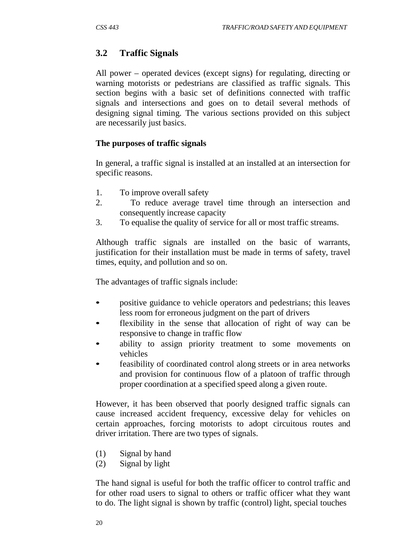# **3.2 Traffic Signals**

All power – operated devices (except signs) for regulating, directing or warning motorists or pedestrians are classified as traffic signals. This section begins with a basic set of definitions connected with traffic signals and intersections and goes on to detail several methods of designing signal timing. The various sections provided on this subject are necessarily just basics.

#### **The purposes of traffic signals**

In general, a traffic signal is installed at an installed at an intersection for specific reasons.

- 1. To improve overall safety
- 2. To reduce average travel time through an intersection and consequently increase capacity
- 3. To equalise the quality of service for all or most traffic streams.

Although traffic signals are installed on the basic of warrants, justification for their installation must be made in terms of safety, travel times, equity, and pollution and so on.

The advantages of traffic signals include:

- positive guidance to vehicle operators and pedestrians; this leaves less room for erroneous judgment on the part of drivers
- flexibility in the sense that allocation of right of way can be responsive to change in traffic flow
- ability to assign priority treatment to some movements on vehicles
- feasibility of coordinated control along streets or in area networks and provision for continuous flow of a platoon of traffic through proper coordination at a specified speed along a given route.

However, it has been observed that poorly designed traffic signals can cause increased accident frequency, excessive delay for vehicles on certain approaches, forcing motorists to adopt circuitous routes and driver irritation. There are two types of signals.

- (1) Signal by hand
- (2) Signal by light

The hand signal is useful for both the traffic officer to control traffic and for other road users to signal to others or traffic officer what they want to do. The light signal is shown by traffic (control) light, special touches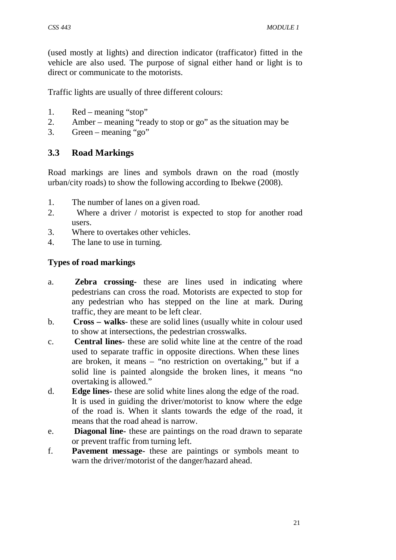(used mostly at lights) and direction indicator (trafficator) fitted in the vehicle are also used. The purpose of signal either hand or light is to direct or communicate to the motorists.

Traffic lights are usually of three different colours:

- 1. Red meaning "stop"
- 2. Amber meaning "ready to stop or go" as the situation may be
- 3. Green meaning "go"

# **3.3 Road Markings**

Road markings are lines and symbols drawn on the road (mostly urban/city roads) to show the following according to Ibekwe (2008).

- 1. The number of lanes on a given road.
- 2. Where a driver / motorist is expected to stop for another road users.
- 3. Where to overtakes other vehicles.
- 4. The lane to use in turning.

#### **Types of road markings**

- a. **Zebra crossing-** these are lines used in indicating where pedestrians can cross the road. Motorists are expected to stop for any pedestrian who has stepped on the line at mark. During traffic, they are meant to be left clear.
- b. **Cross – walks** these are solid lines (usually white in colour used to show at intersections, the pedestrian crosswalks.
- c. **Central lines-** these are solid white line at the centre of the road used to separate traffic in opposite directions. When these lines are broken, it means – "no restriction on overtaking," but if a solid line is painted alongside the broken lines, it means "no overtaking is allowed."
- d. **Edge lines-** these are solid white lines along the edge of the road. It is used in guiding the driver/motorist to know where the edge of the road is. When it slants towards the edge of the road, it means that the road ahead is narrow.
- e. **Diagonal line-** these are paintings on the road drawn to separate or prevent traffic from turning left.
- f. **Pavement message-** these are paintings or symbols meant to warn the driver/motorist of the danger/hazard ahead.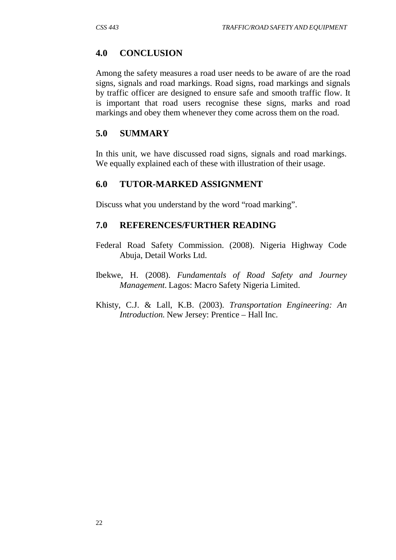# **4.0 CONCLUSION**

Among the safety measures a road user needs to be aware of are the road signs, signals and road markings. Road signs, road markings and signals by traffic officer are designed to ensure safe and smooth traffic flow. It is important that road users recognise these signs, marks and road markings and obey them whenever they come across them on the road.

#### **5.0 SUMMARY**

In this unit, we have discussed road signs, signals and road markings. We equally explained each of these with illustration of their usage.

## **6.0 TUTOR-MARKED ASSIGNMENT**

Discuss what you understand by the word "road marking".

#### **7.0 REFERENCES/FURTHER READING**

- Federal Road Safety Commission. (2008). Nigeria Highway Code Abuja, Detail Works Ltd.
- Ibekwe, H. (2008). *Fundamentals of Road Safety and Journey Management*. Lagos: Macro Safety Nigeria Limited.
- Khisty, C.J. & Lall, K.B. (2003). *Transportation Engineering: An Introduction.* New Jersey: Prentice – Hall Inc.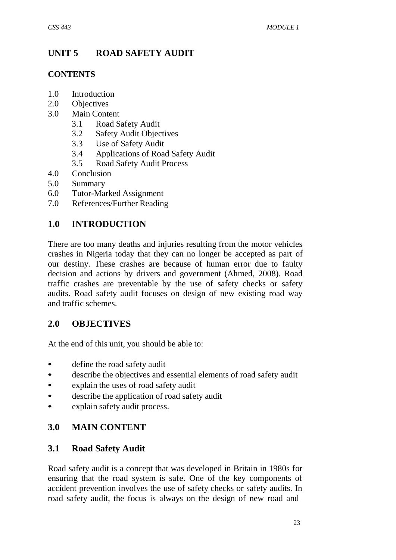# **UNIT 5 ROAD SAFETY AUDIT**

#### **CONTENTS**

- 1.0 Introduction
- 2.0 Objectives
- 3.0 Main Content
	- 3.1 Road Safety Audit
	- 3.2 Safety Audit Objectives
	- 3.3 Use of Safety Audit
	- 3.4 Applications of Road Safety Audit
	- 3.5 Road Safety Audit Process
- 4.0 Conclusion
- 5.0 Summary
- 6.0 Tutor-Marked Assignment
- 7.0 References/Further Reading

### **1.0 INTRODUCTION**

There are too many deaths and injuries resulting from the motor vehicles crashes in Nigeria today that they can no longer be accepted as part of our destiny. These crashes are because of human error due to faulty decision and actions by drivers and government (Ahmed, 2008). Road traffic crashes are preventable by the use of safety checks or safety audits. Road safety audit focuses on design of new existing road way and traffic schemes.

### **2.0 OBJECTIVES**

At the end of this unit, you should be able to:

- define the road safety audit
- describe the objectives and essential elements of road safety audit
- explain the uses of road safety audit
- describe the application of road safety audit
- explain safety audit process.

### **3.0 MAIN CONTENT**

### **3.1 Road Safety Audit**

Road safety audit is a concept that was developed in Britain in 1980s for ensuring that the road system is safe. One of the key components of accident prevention involves the use of safety checks or safety audits. In road safety audit, the focus is always on the design of new road and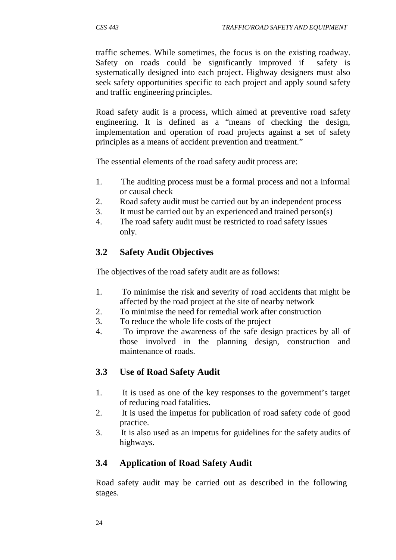traffic schemes. While sometimes, the focus is on the existing roadway. Safety on roads could be significantly improved if safety is systematically designed into each project. Highway designers must also seek safety opportunities specific to each project and apply sound safety and traffic engineering principles.

Road safety audit is a process, which aimed at preventive road safety engineering. It is defined as a "means of checking the design, implementation and operation of road projects against a set of safety principles as a means of accident prevention and treatment."

The essential elements of the road safety audit process are:

- 1. The auditing process must be a formal process and not a informal or causal check
- 2. Road safety audit must be carried out by an independent process
- 3. It must be carried out by an experienced and trained person(s)
- 4. The road safety audit must be restricted to road safety issues only.

# **3.2 Safety Audit Objectives**

The objectives of the road safety audit are as follows:

- 1. To minimise the risk and severity of road accidents that might be affected by the road project at the site of nearby network
- 2. To minimise the need for remedial work after construction
- 3. To reduce the whole life costs of the project
- 4. To improve the awareness of the safe design practices by all of those involved in the planning design, construction and maintenance of roads.

### **3.3 Use of Road Safety Audit**

- 1. It is used as one of the key responses to the government's target of reducing road fatalities.
- 2. It is used the impetus for publication of road safety code of good practice.
- 3. It is also used as an impetus for guidelines for the safety audits of highways.

### **3.4 Application of Road Safety Audit**

Road safety audit may be carried out as described in the following stages.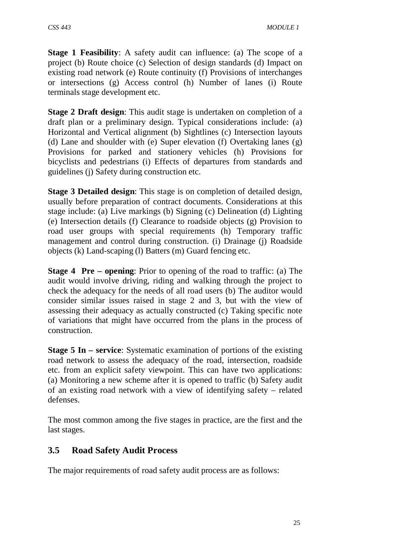**Stage 1 Feasibility**: A safety audit can influence: (a) The scope of a project (b) Route choice (c) Selection of design standards (d) Impact on existing road network (e) Route continuity (f) Provisions of interchanges or intersections (g) Access control (h) Number of lanes (i) Route terminals stage development etc.

**Stage 2 Draft design**: This audit stage is undertaken on completion of a draft plan or a preliminary design. Typical considerations include: (a) Horizontal and Vertical alignment (b) Sightlines (c) Intersection layouts (d) Lane and shoulder with (e) Super elevation (f) Overtaking lanes (g) Provisions for parked and stationery vehicles (h) Provisions for bicyclists and pedestrians (i) Effects of departures from standards and guidelines (j) Safety during construction etc.

**Stage 3 Detailed design**: This stage is on completion of detailed design, usually before preparation of contract documents. Considerations at this stage include: (a) Live markings (b) Signing (c) Delineation (d) Lighting (e) Intersection details (f) Clearance to roadside objects (g) Provision to road user groups with special requirements (h) Temporary traffic management and control during construction. (i) Drainage (j) Roadside objects (k) Land-scaping (l) Batters (m) Guard fencing etc.

**Stage 4 Pre – opening**: Prior to opening of the road to traffic: (a) The audit would involve driving, riding and walking through the project to check the adequacy for the needs of all road users (b) The auditor would consider similar issues raised in stage 2 and 3, but with the view of assessing their adequacy as actually constructed (c) Taking specific note of variations that might have occurred from the plans in the process of construction.

**Stage 5 In – service**: Systematic examination of portions of the existing road network to assess the adequacy of the road, intersection, roadside etc. from an explicit safety viewpoint. This can have two applications: (a) Monitoring a new scheme after it is opened to traffic (b) Safety audit of an existing road network with a view of identifying safety – related defenses.

The most common among the five stages in practice, are the first and the last stages.

# **3.5 Road Safety Audit Process**

The major requirements of road safety audit process are as follows: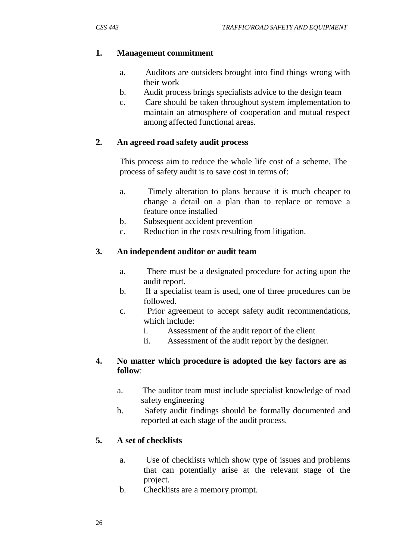#### **1. Management commitment**

- a. Auditors are outsiders brought into find things wrong with their work
- b. Audit process brings specialists advice to the design team
- c. Care should be taken throughout system implementation to maintain an atmosphere of cooperation and mutual respect among affected functional areas.

#### **2. An agreed road safety audit process**

This process aim to reduce the whole life cost of a scheme. The process of safety audit is to save cost in terms of:

- a. Timely alteration to plans because it is much cheaper to change a detail on a plan than to replace or remove a feature once installed
- b. Subsequent accident prevention
- c. Reduction in the costs resulting from litigation.

#### **3. An independent auditor or audit team**

- a. There must be a designated procedure for acting upon the audit report.
- b. If a specialist team is used, one of three procedures can be followed.
- c. Prior agreement to accept safety audit recommendations, which include:
	- i. Assessment of the audit report of the client
	- ii. Assessment of the audit report by the designer.

#### **4. No matter which procedure is adopted the key factors are as follow**:

- a. The auditor team must include specialist knowledge of road safety engineering
- b. Safety audit findings should be formally documented and reported at each stage of the audit process.

#### **5. A set of checklists**

- a. Use of checklists which show type of issues and problems that can potentially arise at the relevant stage of the project.
- b. Checklists are a memory prompt.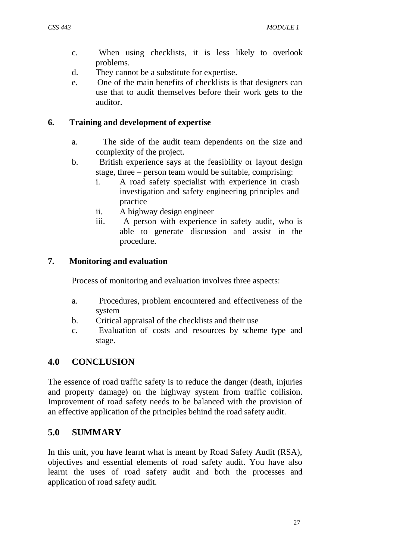- c. When using checklists, it is less likely to overlook problems.
- d. They cannot be a substitute for expertise.
- e. One of the main benefits of checklists is that designers can use that to audit themselves before their work gets to the auditor.

### **6. Training and development of expertise**

- a. The side of the audit team dependents on the size and complexity of the project.
- b. British experience says at the feasibility or layout design stage, three – person team would be suitable, comprising:
	- i. A road safety specialist with experience in crash investigation and safety engineering principles and practice
	- ii. A highway design engineer
	- iii. A person with experience in safety audit, who is able to generate discussion and assist in the procedure.

#### **7. Monitoring and evaluation**

Process of monitoring and evaluation involves three aspects:

- a. Procedures, problem encountered and effectiveness of the system
- b. Critical appraisal of the checklists and their use
- c. Evaluation of costs and resources by scheme type and stage.

# **4.0 CONCLUSION**

The essence of road traffic safety is to reduce the danger (death, injuries and property damage) on the highway system from traffic collision. Improvement of road safety needs to be balanced with the provision of an effective application of the principles behind the road safety audit.

### **5.0 SUMMARY**

In this unit, you have learnt what is meant by Road Safety Audit (RSA), objectives and essential elements of road safety audit. You have also learnt the uses of road safety audit and both the processes and application of road safety audit.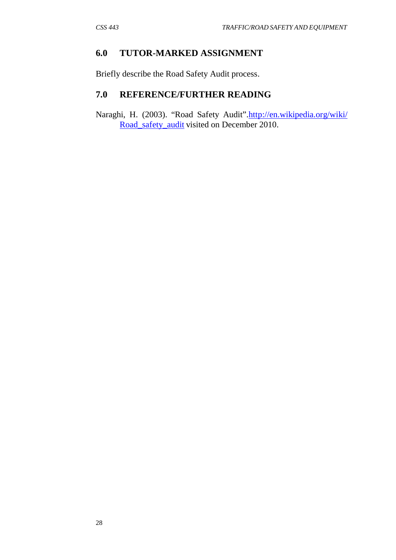#### **6.0 TUTOR-MARKED ASSIGNMENT**

Briefly describe the Road Safety Audit process.

### **7.0 REFERENCE/FURTHER READING**

Naraghi, H. (2003). "Road Safety Audit"[.http://en.wikipedia.org/wiki/](http://en.wikipedia.org/wiki/) Road\_safety\_audit visited on December 2010.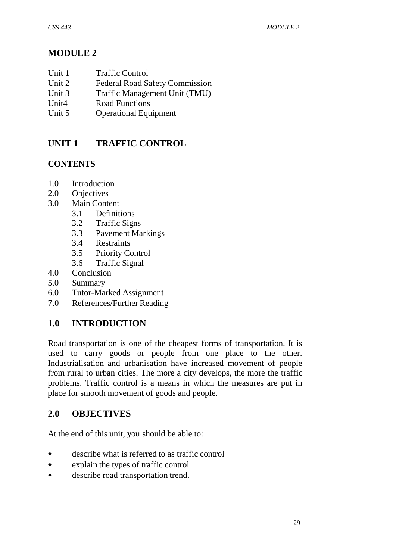# **MODULE 2**

| Unit 1<br><b>Traffic Control</b> |
|----------------------------------|
|----------------------------------|

- Unit 2 Federal Road Safety Commission
- Unit 3 Traffic Management Unit (TMU)
- Unit<sub>4</sub> Road Functions<br>Unit 5 Operational Equ
- **Operational Equipment**

# **UNIT 1 TRAFFIC CONTROL**

# **CONTENTS**

- 1.0 Introduction
- 2.0 Objectives
- 3.0 Main Content
	- 3.1 Definitions
	- 3.2 Traffic Signs
	- 3.3 Pavement Markings
	- 3.4 Restraints
	- 3.5 Priority Control
	- 3.6 Traffic Signal
- 4.0 Conclusion
- 5.0 Summary
- 6.0 Tutor-Marked Assignment
- 7.0 References/Further Reading

# **1.0 INTRODUCTION**

Road transportation is one of the cheapest forms of transportation. It is used to carry goods or people from one place to the other. Industrialisation and urbanisation have increased movement of people from rural to urban cities. The more a city develops, the more the traffic problems. Traffic control is a means in which the measures are put in place for smooth movement of goods and people.

# **2.0 OBJECTIVES**

At the end of this unit, you should be able to:

- describe what is referred to as traffic control
- explain the types of traffic control
- describe road transportation trend.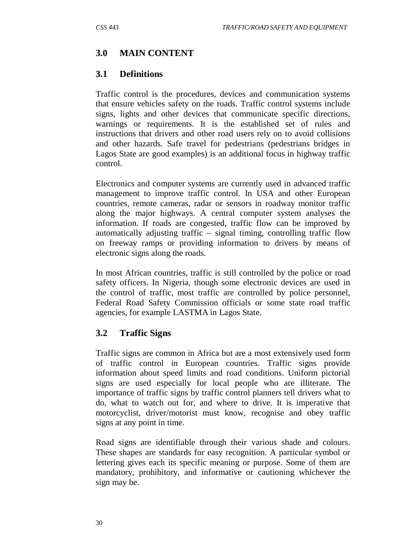### **3.0 MAIN CONTENT**

#### **3.1 Definitions**

Traffic control is the procedures, devices and communication systems that ensure vehicles safety on the roads. Traffic control systems include signs, lights and other devices that communicate specific directions, warnings or requirements. It is the established set of rules and instructions that drivers and other road users rely on to avoid collisions and other hazards. Safe travel for pedestrians (pedestrians bridges in Lagos State are good examples) is an additional focus in highway traffic control.

Electronics and computer systems are currently used in advanced traffic management to improve traffic control. In USA and other European countries, remote cameras, radar or sensors in roadway monitor traffic along the major highways. A central computer system analyses the information. If roads are congested, traffic flow can be improved by automatically adjusting traffic – signal timing, controlling traffic flow on freeway ramps or providing information to drivers by means of electronic signs along the roads.

In most African countries, traffic is still controlled by the police or road safety officers. In Nigeria, though some electronic devices are used in the control of traffic, most traffic are controlled by police personnel, Federal Road Safety Commission officials or some state road traffic agencies, for example LASTMA in Lagos State.

### **3.2 Traffic Signs**

Traffic signs are common in Africa but are a most extensively used form of traffic control in European countries. Traffic signs provide information about speed limits and road conditions. Uniform pictorial signs are used especially for local people who are illiterate. The importance of traffic signs by traffic control planners tell drivers what to do, what to watch out for, and where to drive. It is imperative that motorcyclist, driver/motorist must know, recognise and obey traffic signs at any point in time.

Road signs are identifiable through their various shade and colours. These shapes are standards for easy recognition. A particular symbol or lettering gives each its specific meaning or purpose. Some of them are mandatory, prohibitory, and informative or cautioning whichever the sign may be.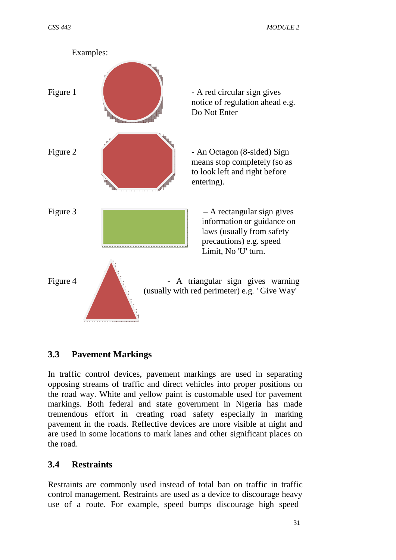

### **3.3 Pavement Markings**

In traffic control devices, pavement markings are used in separating opposing streams of traffic and direct vehicles into proper positions on the road way. White and yellow paint is customable used for pavement markings. Both federal and state government in Nigeria has made tremendous effort in creating road safety especially in marking pavement in the roads. Reflective devices are more visible at night and are used in some locations to mark lanes and other significant places on the road.

#### **3.4 Restraints**

Restraints are commonly used instead of total ban on traffic in traffic control management. Restraints are used as a device to discourage heavy use of a route. For example, speed bumps discourage high speed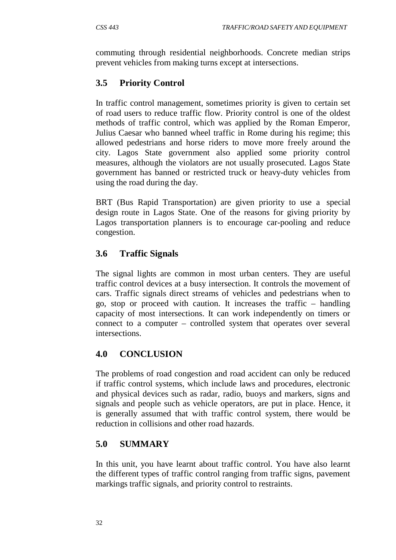commuting through residential neighborhoods. Concrete median strips prevent vehicles from making turns except at intersections.

# **3.5 Priority Control**

In traffic control management, sometimes priority is given to certain set of road users to reduce traffic flow. Priority control is one of the oldest methods of traffic control, which was applied by the Roman Emperor, Julius Caesar who banned wheel traffic in Rome during his regime; this allowed pedestrians and horse riders to move more freely around the city. Lagos State government also applied some priority control measures, although the violators are not usually prosecuted. Lagos State government has banned or restricted truck or heavy-duty vehicles from using the road during the day.

BRT (Bus Rapid Transportation) are given priority to use a special design route in Lagos State. One of the reasons for giving priority by Lagos transportation planners is to encourage car-pooling and reduce congestion.

# **3.6 Traffic Signals**

The signal lights are common in most urban centers. They are useful traffic control devices at a busy intersection. It controls the movement of cars. Traffic signals direct streams of vehicles and pedestrians when to go, stop or proceed with caution. It increases the traffic – handling capacity of most intersections. It can work independently on timers or connect to a computer – controlled system that operates over several intersections.

# **4.0 CONCLUSION**

The problems of road congestion and road accident can only be reduced if traffic control systems, which include laws and procedures, electronic and physical devices such as radar, radio, buoys and markers, signs and signals and people such as vehicle operators, are put in place. Hence, it is generally assumed that with traffic control system, there would be reduction in collisions and other road hazards.

# **5.0 SUMMARY**

In this unit, you have learnt about traffic control. You have also learnt the different types of traffic control ranging from traffic signs, pavement markings traffic signals, and priority control to restraints.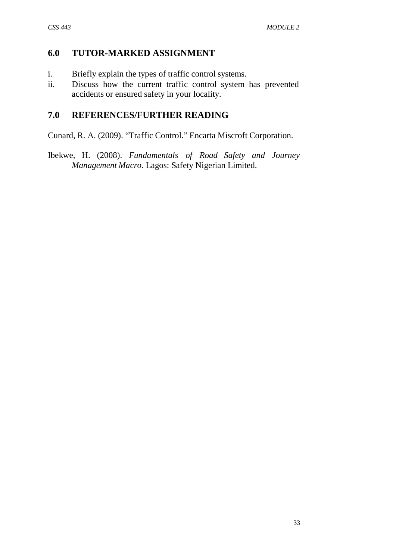#### **6.0 TUTOR-MARKED ASSIGNMENT**

- i. Briefly explain the types of traffic control systems.
- ii. Discuss how the current traffic control system has prevented accidents or ensured safety in your locality.

#### **7.0 REFERENCES/FURTHER READING**

Cunard, R. A. (2009). "Traffic Control." Encarta Miscroft Corporation.

Ibekwe, H. (2008). *Fundamentals of Road Safety and Journey Management Macro.* Lagos: Safety Nigerian Limited.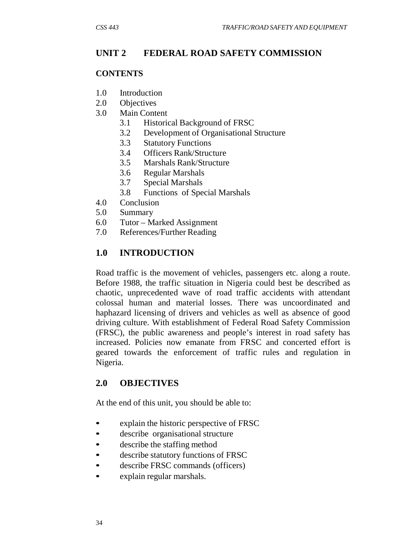### **UNIT 2 FEDERAL ROAD SAFETY COMMISSION**

#### **CONTENTS**

- 1.0 Introduction
- 2.0 Objectives
- 3.0 Main Content
	- 3.1 Historical Background of FRSC
	- 3.2 Development of Organisational Structure
	- 3.3 Statutory Functions
	- 3.4 Officers Rank/Structure
	- 3.5 Marshals Rank/Structure
	- 3.6 Regular Marshals
	- 3.7 Special Marshals
	- 3.8 Functions of Special Marshals
- 4.0 Conclusion
- 5.0 Summary
- 6.0 Tutor Marked Assignment
- 7.0 References/Further Reading

### **1.0 INTRODUCTION**

Road traffic is the movement of vehicles, passengers etc. along a route. Before 1988, the traffic situation in Nigeria could best be described as chaotic, unprecedented wave of road traffic accidents with attendant colossal human and material losses. There was uncoordinated and haphazard licensing of drivers and vehicles as well as absence of good driving culture. With establishment of Federal Road Safety Commission (FRSC), the public awareness and people's interest in road safety has increased. Policies now emanate from FRSC and concerted effort is geared towards the enforcement of traffic rules and regulation in Nigeria.

### **2.0 OBJECTIVES**

At the end of this unit, you should be able to:

- explain the historic perspective of FRSC
- describe organisational structure
- describe the staffing method
- describe statutory functions of FRSC
- describe FRSC commands (officers)
- explain regular marshals.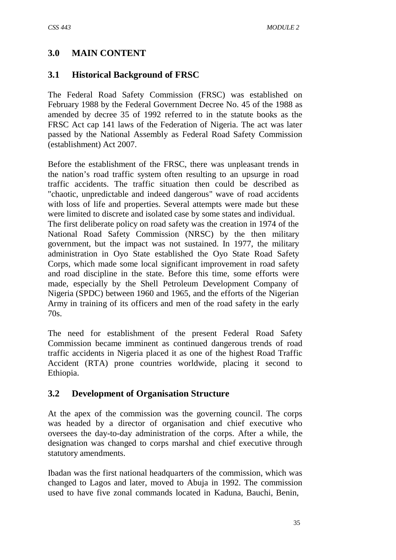### **3.0 MAIN CONTENT**

### **3.1 Historical Background of FRSC**

The Federal Road Safety Commission (FRSC) was established on February 1988 by the Federal Government Decree No. 45 of the 1988 as amended by decree 35 of 1992 referred to in the statute books as the FRSC Act cap 141 laws of the Federation of Nigeria. The act was later passed by the National Assembly as Federal Road Safety Commission (establishment) Act 2007.

Before the establishment of the FRSC, there was unpleasant trends in the nation's road traffic system often resulting to an upsurge in road traffic accidents. The traffic situation then could be described as "chaotic, unpredictable and indeed dangerous" wave of road accidents with loss of life and properties. Several attempts were made but these were limited to discrete and isolated case by some states and individual. The first deliberate policy on road safety was the creation in 1974 of the National Road Safety Commission (NRSC) by the then military government, but the impact was not sustained. In 1977, the military administration in Oyo State established the Oyo State Road Safety Corps, which made some local significant improvement in road safety and road discipline in the state. Before this time, some efforts were made, especially by the Shell Petroleum Development Company of Nigeria (SPDC) between 1960 and 1965, and the efforts of the Nigerian Army in training of its officers and men of the road safety in the early 70s.

The need for establishment of the present Federal Road Safety Commission became imminent as continued dangerous trends of road traffic accidents in Nigeria placed it as one of the highest Road Traffic Accident (RTA) prone countries worldwide, placing it second to Ethiopia.

### **3.2 Development of Organisation Structure**

At the apex of the commission was the governing council. The corps was headed by a director of organisation and chief executive who oversees the day-to-day administration of the corps. After a while, the designation was changed to corps marshal and chief executive through statutory amendments.

Ibadan was the first national headquarters of the commission, which was changed to Lagos and later, moved to Abuja in 1992. The commission used to have five zonal commands located in Kaduna, Bauchi, Benin,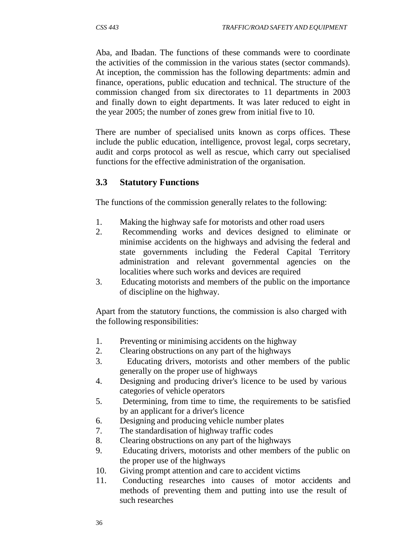Aba, and Ibadan. The functions of these commands were to coordinate the activities of the commission in the various states (sector commands). At inception, the commission has the following departments: admin and finance, operations, public education and technical. The structure of the commission changed from six directorates to 11 departments in 2003 and finally down to eight departments. It was later reduced to eight in the year 2005; the number of zones grew from initial five to 10.

There are number of specialised units known as corps offices. These include the public education, intelligence, provost legal, corps secretary, audit and corps protocol as well as rescue, which carry out specialised functions for the effective administration of the organisation.

### **3.3 Statutory Functions**

The functions of the commission generally relates to the following:

- 1. Making the highway safe for motorists and other road users
- 2. Recommending works and devices designed to eliminate or minimise accidents on the highways and advising the federal and state governments including the Federal Capital Territory administration and relevant governmental agencies on the localities where such works and devices are required
- 3. Educating motorists and members of the public on the importance of discipline on the highway.

Apart from the statutory functions, the commission is also charged with the following responsibilities:

- 1. Preventing or minimising accidents on the highway
- 2. Clearing obstructions on any part of the highways
- 3. Educating drivers, motorists and other members of the public generally on the proper use of highways
- 4. Designing and producing driver's licence to be used by various categories of vehicle operators
- 5. Determining, from time to time, the requirements to be satisfied by an applicant for a driver's licence
- 6. Designing and producing vehicle number plates
- 7. The standardisation of highway traffic codes
- 8. Clearing obstructions on any part of the highways
- 9. Educating drivers, motorists and other members of the public on the proper use of the highways
- 10. Giving prompt attention and care to accident victims
- 11. Conducting researches into causes of motor accidents and methods of preventing them and putting into use the result of such researches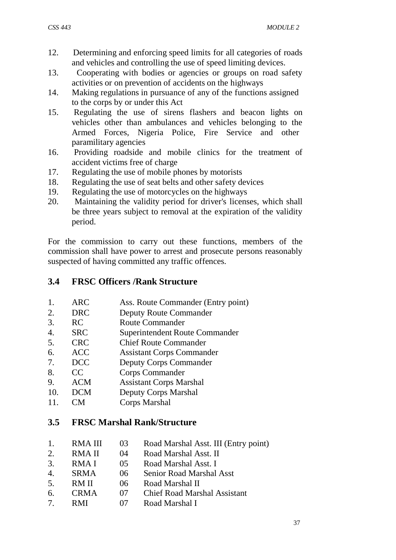- 12. Determining and enforcing speed limits for all categories of roads and vehicles and controlling the use of speed limiting devices.
- 13. Cooperating with bodies or agencies or groups on road safety activities or on prevention of accidents on the highways
- 14. Making regulations in pursuance of any of the functions assigned to the corps by or under this Act
- 15. Regulating the use of sirens flashers and beacon lights on vehicles other than ambulances and vehicles belonging to the Armed Forces, Nigeria Police, Fire Service and other paramilitary agencies
- 16. Providing roadside and mobile clinics for the treatment of accident victims free of charge
- 17. Regulating the use of mobile phones by motorists
- 18. Regulating the use of seat belts and other safety devices
- 19. Regulating the use of motorcycles on the highways
- 20. Maintaining the validity period for driver's licenses, which shall be three years subject to removal at the expiration of the validity period.

For the commission to carry out these functions, members of the commission shall have power to arrest and prosecute persons reasonably suspected of having committed any traffic offences.

### **3.4 FRSC Officers /Rank Structure**

- 1. ARC Ass. Route Commander (Entry point)
- 2. DRC Deputy Route Commander
- 3. RC Route Commander
- 4. SRC Superintendent Route Commander
- 5. CRC Chief Route Commander
- 6. ACC Assistant Corps Commander
- 7. DCC Deputy Corps Commander
- 8. CC Corps Commander<br>
9. ACM Assistant Corps Ma
- 9. ACM Assistant Corps Marshal
- 10. DCM Deputy Corps Marshal
- 11. CM Corps Marshal

### **3.5 FRSC Marshal Rank/Structure**

| 1.                    | <b>RMAIII</b> | 03           | Road Marshal Asst. III (Entry point) |
|-----------------------|---------------|--------------|--------------------------------------|
| 2.                    | RMA II        | 04           | Road Marshal Asst. II                |
| 3.                    | RMA I         | 0.5          | Road Marshal Asst. I                 |
| $\mathcal{A}_{\cdot}$ | <b>SRMA</b>   | 06           | <b>Senior Road Marshal Asst</b>      |
| 5.                    | RM II         | $06^{\circ}$ | Road Marshal II                      |
| 6.                    | <b>CRMA</b>   | 07           | <b>Chief Road Marshal Assistant</b>  |
| $\tau$                | R M I         |              | Road Marshal I                       |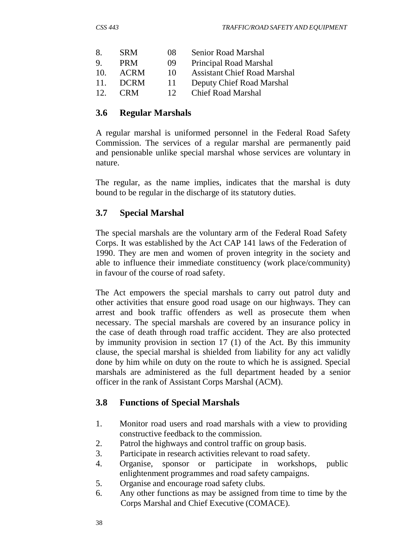| $\mathsf{X}_{\cdot}$ | <b>SRM</b>  | $^{08}$         | Senior Road Marshal                 |
|----------------------|-------------|-----------------|-------------------------------------|
| -9                   | <b>PRM</b>  | 09              | Principal Road Marshal              |
| 10.                  | <b>ACRM</b> | 10              | <b>Assistant Chief Road Marshal</b> |
| 11.                  | <b>DCRM</b> | 11              | Deputy Chief Road Marshal           |
| 12 <sup>7</sup>      | <b>CRM</b>  | 12 <sup>°</sup> | <b>Chief Road Marshal</b>           |

#### **3.6 Regular Marshals**

A regular marshal is uniformed personnel in the Federal Road Safety Commission. The services of a regular marshal are permanently paid and pensionable unlike special marshal whose services are voluntary in nature.

The regular, as the name implies, indicates that the marshal is duty bound to be regular in the discharge of its statutory duties.

### **3.7 Special Marshal**

The special marshals are the voluntary arm of the Federal Road Safety Corps. It was established by the Act CAP 141 laws of the Federation of 1990. They are men and women of proven integrity in the society and able to influence their immediate constituency (work place/community) in favour of the course of road safety.

The Act empowers the special marshals to carry out patrol duty and other activities that ensure good road usage on our highways. They can arrest and book traffic offenders as well as prosecute them when necessary. The special marshals are covered by an insurance policy in the case of death through road traffic accident. They are also protected by immunity provision in section 17 (1) of the Act. By this immunity clause, the special marshal is shielded from liability for any act validly done by him while on duty on the route to which he is assigned. Special marshals are administered as the full department headed by a senior officer in the rank of Assistant Corps Marshal (ACM).

### **3.8 Functions of Special Marshals**

- 1. Monitor road users and road marshals with a view to providing constructive feedback to the commission.
- 2. Patrol the highways and control traffic on group basis.
- 3. Participate in research activities relevant to road safety.
- 4. Organise, sponsor or participate in workshops, public enlightenment programmes and road safety campaigns.
- 5. Organise and encourage road safety clubs.
- 6. Any other functions as may be assigned from time to time by the Corps Marshal and Chief Executive (COMACE).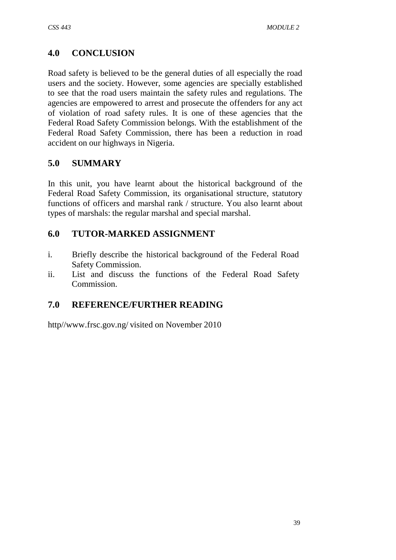# **4.0 CONCLUSION**

Road safety is believed to be the general duties of all especially the road users and the society. However, some agencies are specially established to see that the road users maintain the safety rules and regulations. The agencies are empowered to arrest and prosecute the offenders for any act of violation of road safety rules. It is one of these agencies that the Federal Road Safety Commission belongs. With the establishment of the Federal Road Safety Commission, there has been a reduction in road accident on our highways in Nigeria.

### **5.0 SUMMARY**

In this unit, you have learnt about the historical background of the Federal Road Safety Commission, its organisational structure, statutory functions of officers and marshal rank / structure. You also learnt about types of marshals: the regular marshal and special marshal.

### **6.0 TUTOR-MARKED ASSIGNMENT**

- i. Briefly describe the historical background of the Federal Road Safety Commission.
- ii. List and discuss the functions of the Federal Road Safety Commission.

# **7.0 REFERENCE/FURTHER READING**

[http//www.frsc.gov.ng/](http://www.frsc.gov.ng/) visited on November 2010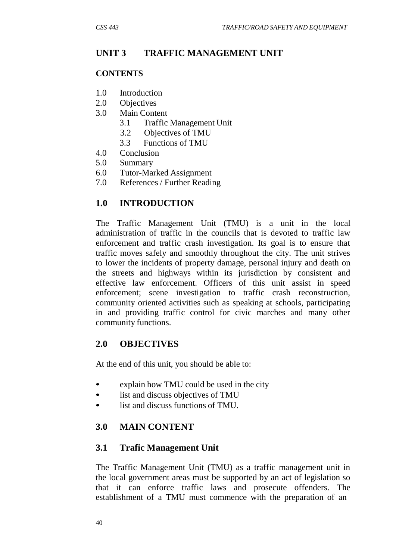### **UNIT 3 TRAFFIC MANAGEMENT UNIT**

#### **CONTENTS**

- 1.0 Introduction
- 2.0 Objectives
- 3.0 Main Content
	- 3.1 Traffic Management Unit
	- 3.2 Objectives of TMU
	- 3.3 Functions of TMU
- 4.0 Conclusion
- 5.0 Summary
- 6.0 Tutor-Marked Assignment
- 7.0 References / Further Reading

#### **1.0 INTRODUCTION**

The Traffic Management Unit (TMU) is a unit in the local administration of traffic in the councils that is devoted to traffic law enforcement and traffic crash investigation. Its goal is to ensure that traffic moves safely and smoothly throughout the city. The unit strives to lower the incidents of property damage, personal injury and death on the streets and highways within its jurisdiction by consistent and effective law enforcement. Officers of this unit assist in speed enforcement; scene investigation to traffic crash reconstruction, community oriented activities such as speaking at schools, participating in and providing traffic control for civic marches and many other community functions.

#### **2.0 OBJECTIVES**

At the end of this unit, you should be able to:

- explain how TMU could be used in the city
- list and discuss objectives of TMU
- list and discuss functions of TMU.

### **3.0 MAIN CONTENT**

### **3.1 Trafic Management Unit**

The Traffic Management Unit (TMU) as a traffic management unit in the local government areas must be supported by an act of legislation so that it can enforce traffic laws and prosecute offenders. The establishment of a TMU must commence with the preparation of an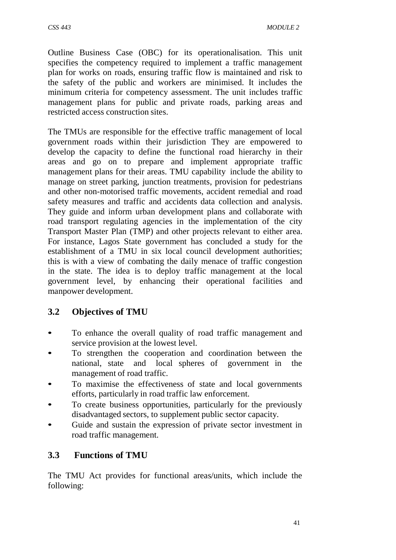Outline Business Case (OBC) for its operationalisation. This unit specifies the competency required to implement a traffic management plan for works on roads, ensuring traffic flow is maintained and risk to the safety of the public and workers are minimised. It includes the minimum criteria for competency assessment. The unit includes traffic management plans for public and private roads, parking areas and restricted access construction sites.

The TMUs are responsible for the effective traffic management of local government roads within their jurisdiction They are empowered to develop the capacity to define the functional road hierarchy in their areas and go on to prepare and implement appropriate traffic management plans for their areas. TMU capability include the ability to manage on street parking, junction treatments, provision for pedestrians and other non-motorised traffic movements, accident remedial and road safety measures and traffic and accidents data collection and analysis. They guide and inform urban development plans and collaborate with road transport regulating agencies in the implementation of the city Transport Master Plan (TMP) and other projects relevant to either area. For instance, Lagos State government has concluded a study for the establishment of a TMU in six local council development authorities; this is with a view of combating the daily menace of traffic congestion in the state. The idea is to deploy traffic management at the local government level, by enhancing their operational facilities and manpower development.

# **3.2 Objectives of TMU**

- To enhance the overall quality of road traffic management and service provision at the lowest level.
- To strengthen the cooperation and coordination between the national, state and local spheres of government in the management of road traffic.
- To maximise the effectiveness of state and local governments efforts, particularly in road traffic law enforcement.
- To create business opportunities, particularly for the previously disadvantaged sectors, to supplement public sector capacity.
- Guide and sustain the expression of private sector investment in road traffic management.

# **3.3 Functions of TMU**

The TMU Act provides for functional areas/units, which include the following: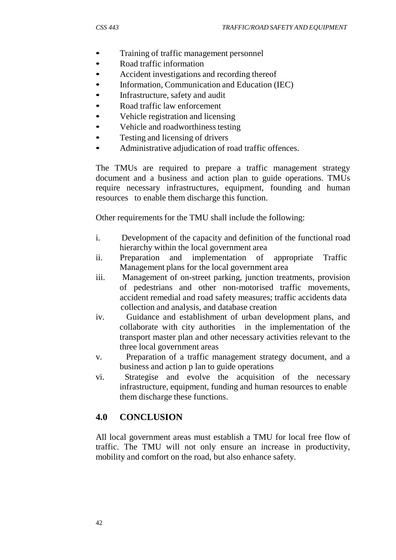- Training of traffic management personnel
- Road traffic information
- Accident investigations and recording thereof
- Information, Communication and Education (IEC)
- Infrastructure, safety and audit
- Road traffic law enforcement
- Vehicle registration and licensing
- Vehicle and roadworthiness testing
- Testing and licensing of drivers
- Administrative adjudication of road traffic offences.

The TMUs are required to prepare a traffic management strategy document and a business and action plan to guide operations. TMUs require necessary infrastructures, equipment, founding and human resources to enable them discharge this function.

Other requirements for the TMU shall include the following:

- i. Development of the capacity and definition of the functional road hierarchy within the local government area
- ii. Preparation and implementation of appropriate Traffic Management plans for the local government area
- iii. Management of on-street parking, junction treatments, provision of pedestrians and other non-motorised traffic movements, accident remedial and road safety measures; traffic accidents data collection and analysis, and database creation
- iv. Guidance and establishment of urban development plans, and collaborate with city authorities in the implementation of the transport master plan and other necessary activities relevant to the three local government areas
- v. Preparation of a traffic management strategy document, and a business and action p lan to guide operations
- vi. Strategise and evolve the acquisition of the necessary infrastructure, equipment, funding and human resources to enable them discharge these functions.

# **4.0 CONCLUSION**

All local government areas must establish a TMU for local free flow of traffic. The TMU will not only ensure an increase in productivity, mobility and comfort on the road, but also enhance safety.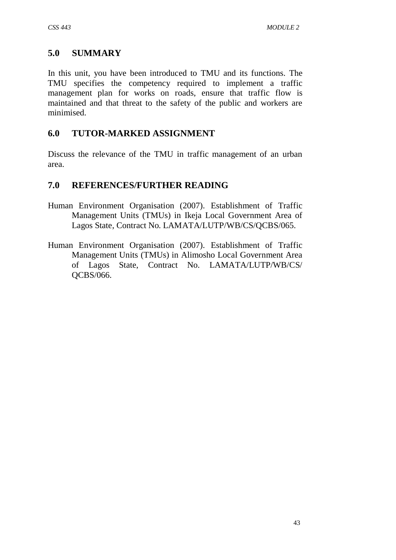### **5.0 SUMMARY**

In this unit, you have been introduced to TMU and its functions. The TMU specifies the competency required to implement a traffic management plan for works on roads, ensure that traffic flow is maintained and that threat to the safety of the public and workers are minimised.

### **6.0 TUTOR-MARKED ASSIGNMENT**

Discuss the relevance of the TMU in traffic management of an urban area.

### **7.0 REFERENCES/FURTHER READING**

- Human Environment Organisation (2007). Establishment of Traffic Management Units (TMUs) in Ikeja Local Government Area of Lagos State, Contract No. LAMATA/LUTP/WB/CS/QCBS/065.
- Human Environment Organisation (2007). Establishment of Traffic Management Units (TMUs) in Alimosho Local Government Area of Lagos State, Contract No. LAMATA/LUTP/WB/CS/ QCBS/066.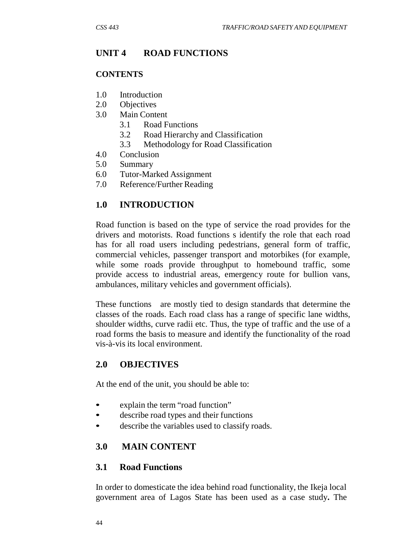# **UNIT 4 ROAD FUNCTIONS**

#### **CONTENTS**

- 1.0 Introduction
- 2.0 Objectives
- 3.0 Main Content
	- 3.1 Road Functions
	- 3.2 Road Hierarchy and Classification
	- 3.3 Methodology for Road Classification
- 4.0 Conclusion
- 5.0 Summary
- 6.0 Tutor-Marked Assignment
- 7.0 Reference/Further Reading

# **1.0 INTRODUCTION**

Road function is based on the type of service the road provides for the drivers and motorists. Road functions s identify the role that each road has for all road users including pedestrians, general form of traffic, commercial vehicles, passenger transport and motorbikes (for example, while some roads provide throughput to homebound traffic, some provide access to industrial areas, emergency route for bullion vans, ambulances, military vehicles and government officials).

These functions are mostly tied to design standards that determine the classes of the roads. Each road class has a range of specific lane widths, shoulder widths, curve radii etc. Thus, the type of traffic and the use of a road forms the basis to measure and identify the functionality of the road vis-à-vis its local environment.

### **2.0 OBJECTIVES**

At the end of the unit, you should be able to:

- explain the term "road function"
- describe road types and their functions
- describe the variables used to classify roads.

# **3.0 MAIN CONTENT**

### **3.1 Road Functions**

In order to domesticate the idea behind road functionality, the Ikeja local government area of Lagos State has been used as a case study**.** The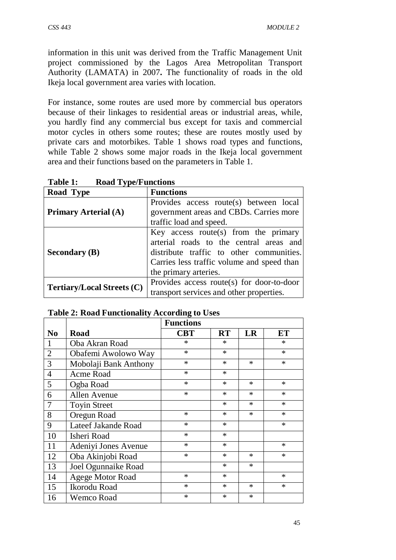information in this unit was derived from the Traffic Management Unit project commissioned by the Lagos Area Metropolitan Transport Authority (LAMATA) in 2007**.** The functionality of roads in the old Ikeja local government area varies with location.

For instance, some routes are used more by commercial bus operators because of their linkages to residential areas or industrial areas, while, you hardly find any commercial bus except for taxis and commercial motor cycles in others some routes; these are routes mostly used by private cars and motorbikes. Table 1 shows road types and functions, while Table 2 shows some major roads in the Ikeja local government area and their functions based on the parameters in Table 1.

| $10000 \pm 10001 \pm 000000$      |                                            |
|-----------------------------------|--------------------------------------------|
| Road Type                         | <b>Functions</b>                           |
|                                   | Provides access route(s) between local     |
| <b>Primary Arterial (A)</b>       | government areas and CBDs. Carries more    |
|                                   | traffic load and speed.                    |
|                                   | Key access route(s) from the primary       |
|                                   | arterial roads to the central areas and    |
| <b>Secondary (B)</b>              | distribute traffic to other communities.   |
|                                   | Carries less traffic volume and speed than |
|                                   | the primary arteries.                      |
|                                   | Provides access route(s) for door-to-door  |
| <b>Tertiary/Local Streets (C)</b> | transport services and other properties.   |

**Table 1: Road Type/Functions**

|  |  | <b>Table 2: Road Functionality According to Uses</b> |  |  |
|--|--|------------------------------------------------------|--|--|
|--|--|------------------------------------------------------|--|--|

|                |                       | <b>Functions</b> |           |        |        |
|----------------|-----------------------|------------------|-----------|--------|--------|
| N <sub>0</sub> | <b>Road</b>           | <b>CBT</b>       | <b>RT</b> | LR     | ET     |
| 1              | Oba Akran Road        | $\ast$           | $\ast$    |        | $\ast$ |
| $\overline{2}$ | Obafemi Awolowo Way   | $\ast$           | $\ast$    |        | $\ast$ |
| 3              | Mobolaji Bank Anthony | $\ast$           | $\ast$    | $\ast$ | $\ast$ |
| $\overline{4}$ | Acme Road             | $\ast$           | $\ast$    |        |        |
| 5              | Ogba Road             | $\ast$           | $\ast$    | $\ast$ | $\ast$ |
| 6              | Allen Avenue          | $\ast$           | $\ast$    | $\ast$ | $\ast$ |
| 7              | <b>Toyin Street</b>   |                  | $\ast$    | $\ast$ | $\ast$ |
| 8              | Oregun Road           | $\ast$           | $\ast$    | $\ast$ | $\ast$ |
| 9              | Lateef Jakande Road   | $\ast$           | $\ast$    |        | $\ast$ |
| 10             | Isheri Road           | $\ast$           | $\ast$    |        |        |
| 11             | Adeniyi Jones Avenue  | $\ast$           | $\ast$    |        | $\ast$ |
| 12             | Oba Akinjobi Road     | $\ast$           | $\ast$    | $\ast$ | $\ast$ |
| 13             | Joel Ogunnaike Road   |                  | $\ast$    | $\ast$ |        |
| 14             | Agege Motor Road      | $\ast$           | $\ast$    |        | $\ast$ |
| 15             | Ikorodu Road          | $\ast$           | $\ast$    | $\ast$ | $\ast$ |
| 16             | <b>Wemco Road</b>     | $\ast$           | $\ast$    | $\ast$ |        |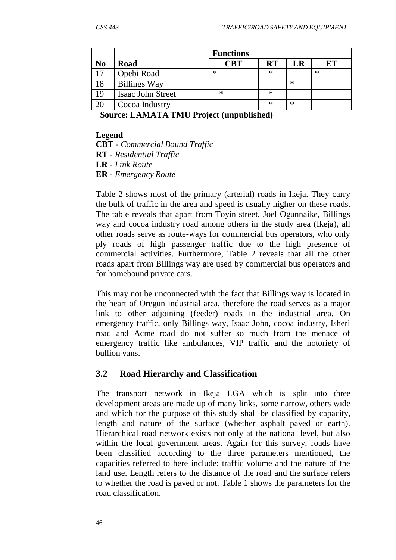|                |                     | <b>Functions</b> |           |        |    |
|----------------|---------------------|------------------|-----------|--------|----|
| N <sub>0</sub> | Road                | <b>CBT</b>       | <b>RT</b> | LR     | EТ |
| 17             | Opebi Road          | $\ast$           | $\ast$    |        | ∗  |
| 18             | <b>Billings Way</b> |                  |           | $\ast$ |    |
| 19             | Isaac John Street   | $\ast$           | $\ast$    |        |    |
| 20             | Cocoa Industry      |                  | $\ast$    | $\ast$ |    |

**Source: LAMATA TMU Project (unpublished)**

#### **Legend**

**CBT** *- Commercial Bound Traffic* **RT** *- Residential Traffic* **LR** *- Link Route* **ER** *- Emergency Route*

Table 2 shows most of the primary (arterial) roads in Ikeja. They carry the bulk of traffic in the area and speed is usually higher on these roads. The table reveals that apart from Toyin street, Joel Ogunnaike, Billings way and cocoa industry road among others in the study area (Ikeja), all other roads serve as route-ways for commercial bus operators, who only ply roads of high passenger traffic due to the high presence of commercial activities. Furthermore, Table 2 reveals that all the other roads apart from Billings way are used by commercial bus operators and for homebound private cars.

This may not be unconnected with the fact that Billings way is located in the heart of Oregun industrial area, therefore the road serves as a major link to other adjoining (feeder) roads in the industrial area. On emergency traffic, only Billings way, Isaac John, cocoa industry, Isheri road and Acme road do not suffer so much from the menace of emergency traffic like ambulances, VIP traffic and the notoriety of bullion vans.

### **3.2 Road Hierarchy and Classification**

The transport network in Ikeja LGA which is split into three development areas are made up of many links, some narrow, others wide and which for the purpose of this study shall be classified by capacity, length and nature of the surface (whether asphalt paved or earth). Hierarchical road network exists not only at the national level, but also within the local government areas. Again for this survey, roads have been classified according to the three parameters mentioned, the capacities referred to here include: traffic volume and the nature of the land use. Length refers to the distance of the road and the surface refers to whether the road is paved or not. Table 1 shows the parameters for the road classification.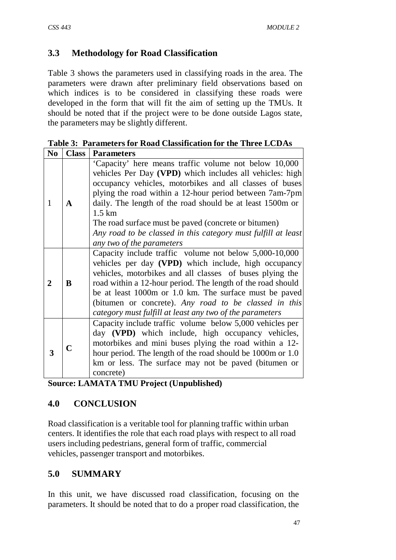# **3.3 Methodology for Road Classification**

Table 3 shows the parameters used in classifying roads in the area. The parameters were drawn after preliminary field observations based on which indices is to be considered in classifying these roads were developed in the form that will fit the aim of setting up the TMUs. It should be noted that if the project were to be done outside Lagos state, the parameters may be slightly different.

| 170.         | -Ciass      | <b>Parameters</b>                                                                                                 |
|--------------|-------------|-------------------------------------------------------------------------------------------------------------------|
|              |             | 'Capacity' here means traffic volume not below 10,000<br>vehicles Per Day (VPD) which includes all vehicles: high |
|              |             | occupancy vehicles, motorbikes and all classes of buses                                                           |
|              |             | plying the road within a 12-hour period between 7am-7pm                                                           |
| 1            | A           | daily. The length of the road should be at least 1500m or                                                         |
|              |             | $1.5 \mathrm{km}$                                                                                                 |
|              |             | The road surface must be paved (concrete or bitumen)                                                              |
|              |             | Any road to be classed in this category must fulfill at least                                                     |
|              |             | any two of the parameters                                                                                         |
|              |             | Capacity include traffic volume not below 5,000-10,000                                                            |
|              | B           | vehicles per day (VPD) which include, high occupancy                                                              |
|              |             | vehicles, motorbikes and all classes of buses plying the                                                          |
| $\mathbf{2}$ |             | road within a 12-hour period. The length of the road should                                                       |
|              |             | be at least 1000m or 1.0 km. The surface must be paved                                                            |
|              |             | (bitumen or concrete). Any road to be classed in this                                                             |
|              |             | category must fulfill at least any two of the parameters                                                          |
|              |             | Capacity include traffic volume below 5,000 vehicles per                                                          |
|              | $\mathbf C$ | day (VPD) which include, high occupancy vehicles,                                                                 |
|              |             | motorbikes and mini buses plying the road within a 12-                                                            |
| 3            |             | hour period. The length of the road should be 1000m or 1.0                                                        |
|              |             | km or less. The surface may not be paved (bitumen or                                                              |
|              |             | concrete)                                                                                                         |

**Table 3: Parameters for Road Classification for the Three LCDAs No Class Parameters**

**Source: LAMATA TMU Project (Unpublished)**

# **4.0 CONCLUSION**

Road classification is a veritable tool for planning traffic within urban centers. It identifies the role that each road plays with respect to all road users including pedestrians, general form of traffic, commercial vehicles, passenger transport and motorbikes.

# **5.0 SUMMARY**

In this unit, we have discussed road classification, focusing on the parameters. It should be noted that to do a proper road classification, the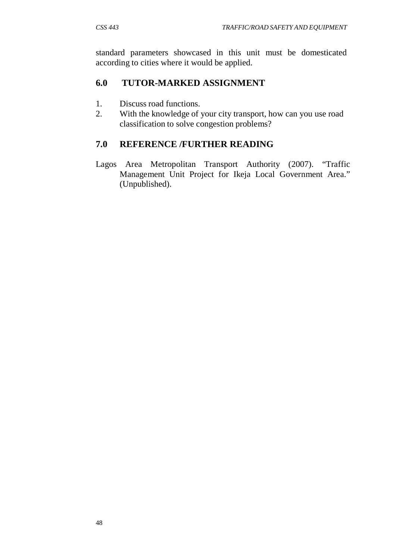standard parameters showcased in this unit must be domesticated according to cities where it would be applied.

### **6.0 TUTOR-MARKED ASSIGNMENT**

- 1. Discuss road functions.
- 2. With the knowledge of your city transport, how can you use road classification to solve congestion problems?

# **7.0 REFERENCE /FURTHER READING**

Lagos Area Metropolitan Transport Authority (2007). "Traffic Management Unit Project for Ikeja Local Government Area." (Unpublished).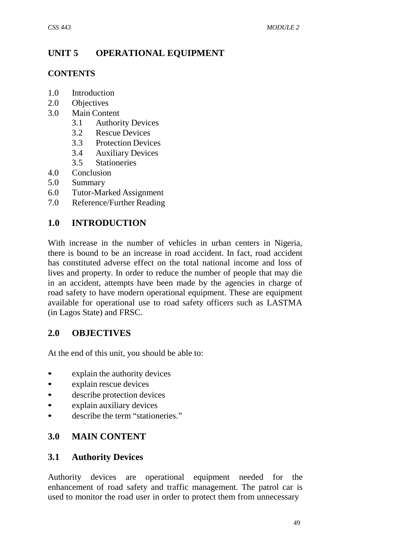# **UNIT 5 OPERATIONAL EQUIPMENT**

#### **CONTENTS**

- 1.0 Introduction
- 2.0 Objectives
- 3.0 Main Content
	- 3.1 Authority Devices
	- 3.2 Rescue Devices
	- 3.3 Protection Devices
	- 3.4 Auxiliary Devices
	- 3.5 Stationeries
- 4.0 Conclusion
- 5.0 Summary
- 6.0 Tutor-Marked Assignment
- 7.0 Reference/Further Reading

### **1.0 INTRODUCTION**

With increase in the number of vehicles in urban centers in Nigeria, there is bound to be an increase in road accident. In fact, road accident has constituted adverse effect on the total national income and loss of lives and property. In order to reduce the number of people that may die in an accident, attempts have been made by the agencies in charge of road safety to have modern operational equipment. These are equipment available for operational use to road safety officers such as LASTMA (in Lagos State) and FRSC.

#### **2.0 OBJECTIVES**

At the end of this unit, you should be able to:

- explain the authority devices
- explain rescue devices
- describe protection devices
- explain auxiliary devices
- describe the term "stationeries."

#### **3.0 MAIN CONTENT**

#### **3.1 Authority Devices**

Authority devices are operational equipment needed for the enhancement of road safety and traffic management. The patrol car is used to monitor the road user in order to protect them from unnecessary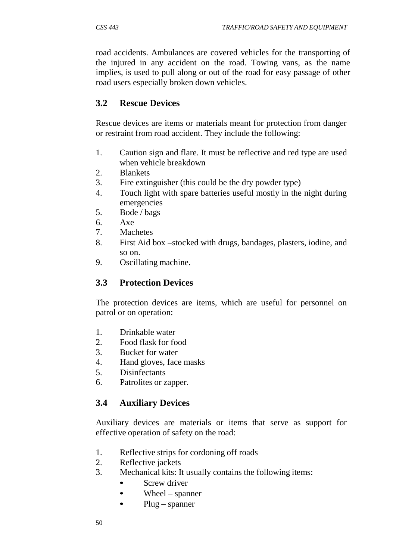road accidents. Ambulances are covered vehicles for the transporting of the injured in any accident on the road. Towing vans, as the name implies, is used to pull along or out of the road for easy passage of other road users especially broken down vehicles.

### **3.2 Rescue Devices**

Rescue devices are items or materials meant for protection from danger or restraint from road accident. They include the following:

- 1. Caution sign and flare. It must be reflective and red type are used when vehicle breakdown
- 2. Blankets
- 3. Fire extinguisher (this could be the dry powder type)
- 4. Touch light with spare batteries useful mostly in the night during emergencies
- 5. Bode / bags
- 6. Axe
- 7. Machetes
- 8. First Aid box –stocked with drugs, bandages, plasters, iodine, and so on.
- 9. Oscillating machine.

### **3.3 Protection Devices**

The protection devices are items, which are useful for personnel on patrol or on operation:

- 1. Drinkable water
- 2. Food flask for food
- 3. Bucket for water
- 4. Hand gloves, face masks
- 5. Disinfectants
- 6. Patrolites or zapper.

# **3.4 Auxiliary Devices**

Auxiliary devices are materials or items that serve as support for effective operation of safety on the road:

- 1. Reflective strips for cordoning off roads
- 2. Reflective jackets
- 3. Mechanical kits: It usually contains the following items:
	- Screw driver
	- $W$ heel spanner
	- $\bullet$  Plug spanner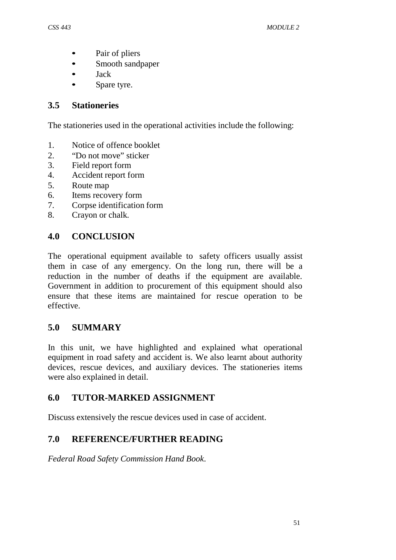- Pair of pliers
- Smooth sandpaper
- Jack
- Spare tyre.

### **3.5 Stationeries**

The stationeries used in the operational activities include the following:

- 1. Notice of offence booklet
- 2. "Do not move" sticker
- 3. Field report form
- 4. Accident report form
- 5. Route map
- 6. Items recovery form
- 7. Corpse identification form
- 8. Crayon or chalk.

# **4.0 CONCLUSION**

The operational equipment available to safety officers usually assist them in case of any emergency. On the long run, there will be a reduction in the number of deaths if the equipment are available. Government in addition to procurement of this equipment should also ensure that these items are maintained for rescue operation to be effective.

# **5.0 SUMMARY**

In this unit, we have highlighted and explained what operational equipment in road safety and accident is. We also learnt about authority devices, rescue devices, and auxiliary devices. The stationeries items were also explained in detail.

# **6.0 TUTOR-MARKED ASSIGNMENT**

Discuss extensively the rescue devices used in case of accident.

# **7.0 REFERENCE/FURTHER READING**

*Federal Road Safety Commission Hand Book*.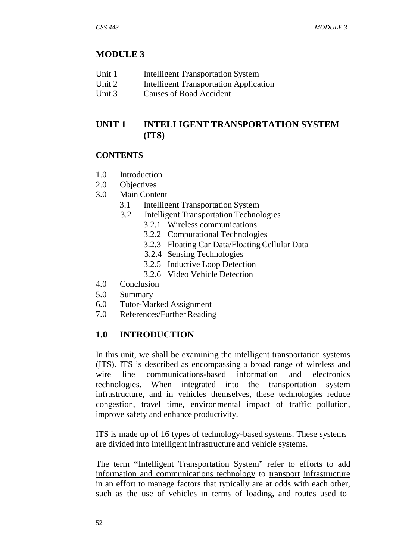### **MODULE 3**

- Unit 1 Intelligent Transportation System
- Unit 2 Intelligent Transportation Application
- Unit 3 Causes of Road Accident

# **UNIT 1 INTELLIGENT TRANSPORTATION SYSTEM (ITS)**

### **CONTENTS**

- 1.0 Introduction
- 2.0 Objectives
- 3.0 Main Content
	- 3.1 Intelligent Transportation System
	- 3.2 Intelligent Transportation Technologies
		- 3.2.1 Wireless communications
		- 3.2.2 Computational Technologies
		- 3.2.3 Floating Car Data/Floating Cellular Data
		- 3.2.4 Sensing Technologies
		- 3.2.5 Inductive Loop Detection
		- 3.2.6 Video Vehicle Detection
- 4.0 Conclusion
- 5.0 Summary
- 6.0 Tutor-Marked Assignment
- 7.0 References/Further Reading

### **1.0 INTRODUCTION**

In this unit, we shall be examining the intelligent transportation systems (ITS). ITS is described as encompassing a broad range of wireless and wire line communications-based information and electronics technologies. When integrated into the transportation system infrastructure, and in vehicles themselves, these technologies reduce congestion, travel time, environmental impact of traffic pollution, improve safety and enhance productivity.

ITS is made up of 16 types of technology-based systems. These systems are divided into intelligent infrastructure and vehicle systems.

The term **"**Intelligent Transportation System" refer to efforts to add information and communications technology to transport infrastructure in an effort to manage factors that typically are at odds with each other, such as the use of vehicles in terms of loading, and routes used to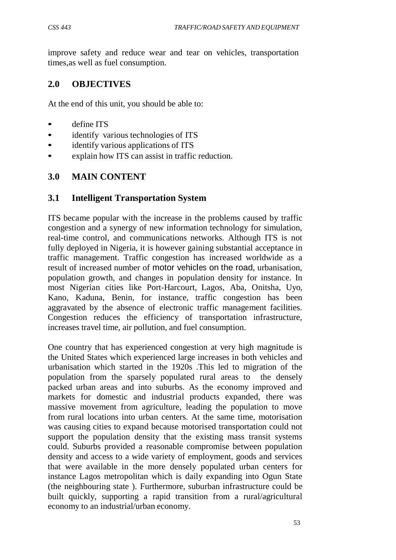improve safety and reduce wear and tear on vehicles, transportation times,as well as fuel consumption.

### **2.0 OBJECTIVES**

At the end of this unit, you should be able to:

- define ITS
- identify various technologies of ITS
- identify various applications of ITS
- explain how ITS can assist in traffic reduction.

#### **3.0 MAIN CONTENT**

#### **3.1 Intelligent Transportation System**

ITS became popular with the increase in the problems caused by traffic congestion and a synergy of new information technology for simulation, real-time control, and communications networks. Although ITS is not fully deployed in Nigeria, it is however gaining substantial acceptance in traffic management. Traffic congestion has increased worldwide as a result of increased number of motor vehicles on the road, urbanisation, population growth, and changes in population density for instance. In most Nigerian cities like Port-Harcourt, Lagos, Aba, Onitsha, Uyo, Kano, Kaduna, Benin, for instance, traffic congestion has been aggravated by the absence of electronic traffic management facilities. Congestion reduces the efficiency of transportation infrastructure, increases travel time, air pollution, and fuel consumption.

One country that has experienced congestion at very high magnitude is the United States which experienced large increases in both vehicles and urbanisation which started in the 1920s .This led to migration of the population from the sparsely populated rural areas to the densely packed urban areas and into suburbs. As the economy improved and markets for domestic and industrial products expanded, there was massive movement from agriculture, leading the population to move from rural locations into urban centers. At the same time, motorisation was causing cities to expand because motorised transportation could not support the population density that the existing mass transit systems could. Suburbs provided a reasonable compromise between population density and access to a wide variety of employment, goods and services that were available in the more densely populated urban centers for instance Lagos metropolitan which is daily expanding into Ogun State (the neighbouring state ). Furthermore, suburban infrastructure could be built quickly, supporting a rapid transition from a rural/agricultural economy to an industrial/urban economy.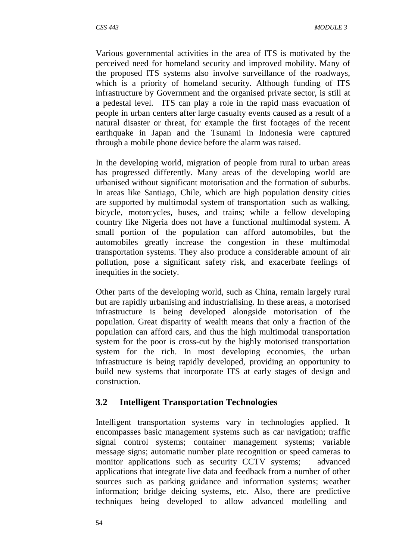Various governmental activities in the area of ITS is motivated by the perceived need for homeland security and improved mobility. Many of the proposed ITS systems also involve surveillance of the roadways, which is a priority of homeland security. Although funding of ITS infrastructure by Government and the organised private sector, is still at a pedestal level. ITS can play a role in the rapid mass evacuation of people in urban centers after large casualty events caused as a result of a natural disaster or threat, for example the first footages of the recent earthquake in Japan and the Tsunami in Indonesia were captured through a mobile phone device before the alarm was raised.

In the developing world, migration of people from rural to urban areas has progressed differently. Many areas of the developing world are urbanised without significant motorisation and the formation of suburbs. In areas like Santiago, Chile, which are high population density cities are supported by multimodal system of transportation such as walking, bicycle, motorcycles, buses, and trains; while a fellow developing country like Nigeria does not have a functional multimodal system. A small portion of the population can afford automobiles, but the automobiles greatly increase the congestion in these multimodal transportation systems. They also produce a considerable amount of air pollution, pose a significant safety risk, and exacerbate feelings of inequities in the society.

Other parts of the developing world, such as China, remain largely rural but are rapidly urbanising and industrialising. In these areas, a motorised infrastructure is being developed alongside motorisation of the population. Great disparity of wealth means that only a fraction of the population can afford cars, and thus the high multimodal transportation system for the poor is cross-cut by the highly motorised transportation system for the rich. In most developing economies, the urban infrastructure is being rapidly developed, providing an opportunity to build new systems that incorporate ITS at early stages of design and construction.

#### **3.2 Intelligent Transportation Technologies**

Intelligent transportation systems vary in technologies applied. It encompasses basic management systems such as car navigation; traffic signal control systems; container management systems; variable message signs; automatic number plate recognition or speed cameras to monitor applications such as security CCTV systems; advanced applications that integrate live data and feedback from a number of other sources such as parking guidance and information systems; weather information; bridge deicing systems, etc. Also, there are predictive techniques being developed to allow advanced modelling and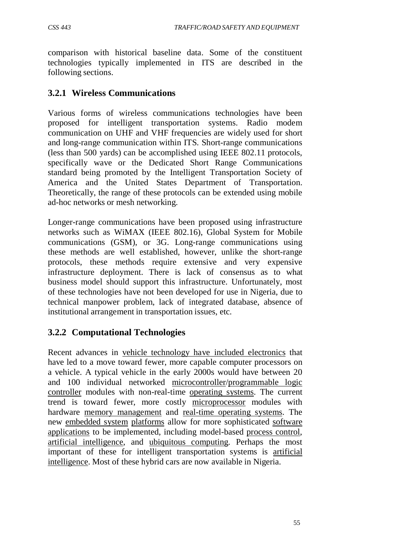comparison with historical baseline data. Some of the constituent technologies typically implemented in ITS are described in the following sections.

### **3.2.1 Wireless Communications**

Various forms of wireless communications technologies have been proposed for intelligent transportation systems. Radio modem communication on UHF and VHF frequencies are widely used for short and long-range communication within ITS. Short-range communications (less than 500 yards) can be accomplished using IEEE 802.11 protocols, specifically wave or the Dedicated Short Range Communications standard being promoted by the Intelligent Transportation Society of America and the United States Department of Transportation. Theoretically, the range of these protocols can be extended using mobile ad-hoc networks or mesh networking.

Longer-range communications have been proposed using infrastructure networks such as WiMAX (IEEE 802.16), Global System for Mobile communications (GSM), or 3G. Long-range communications using these methods are well established, however, unlike the short-range protocols, these methods require extensive and very expensive infrastructure deployment. There is lack of consensus as to what business model should support this infrastructure. Unfortunately, most of these technologies have not been developed for use in Nigeria, due to technical manpower problem, lack of integrated database, absence of institutional arrangement in transportation issues, etc.

# **3.2.2 Computational Technologies**

Recent advances in vehicle technology have included electronics that have led to a move toward fewer, more capable computer processors on a vehicle. A typical vehicle in the early 2000s would have between 20 and 100 individual networked microcontroller/programmable logic controller modules with non-real-time operating systems. The current trend is toward fewer, more costly microprocessor modules with hardware memory management and real-time operating systems. The new embedded system platforms allow for more sophisticated software applications to be implemented, including model-based process control, artificial intelligence, and ubiquitous computing. Perhaps the most important of these for intelligent transportation systems is artificial intelligence. Most of these hybrid cars are now available in Nigeria.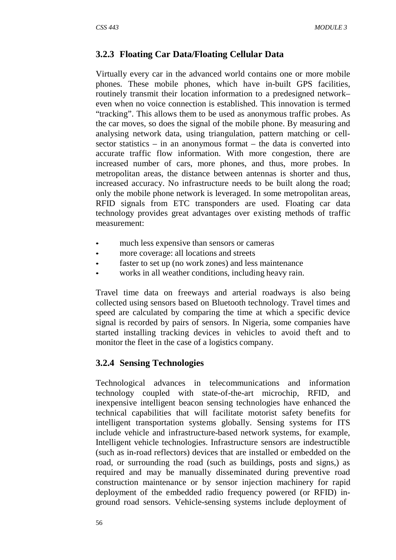### **3.2.3 Floating Car Data/Floating Cellular Data**

Virtually every car in the advanced world contains one or more mobile phones. These mobile phones, which have in-built GPS facilities, routinely transmit their location information to a predesigned network– even when no voice connection is established. This innovation is termed "tracking". This allows them to be used as anonymous traffic probes. As the car moves, so does the signal of the mobile phone. By measuring and analysing network data, using triangulation, pattern matching or cellsector statistics – in an anonymous format – the data is converted into accurate traffic flow information. With more congestion, there are increased number of cars, more phones, and thus, more probes. In metropolitan areas, the distance between antennas is shorter and thus, increased accuracy. No infrastructure needs to be built along the road; only the mobile phone network is leveraged. In some metropolitan areas, RFID signals from ETC transponders are used. Floating car data technology provides great advantages over existing methods of traffic measurement:

- much less expensive than sensors or cameras
- more coverage: all locations and streets
- faster to set up (no work zones) and less maintenance
- works in all weather conditions, including heavy rain.

Travel time data on freeways and arterial roadways is also being collected using sensors based on Bluetooth technology. Travel times and speed are calculated by comparing the time at which a specific device signal is recorded by pairs of sensors. In Nigeria, some companies have started installing tracking devices in vehicles to avoid theft and to monitor the fleet in the case of a logistics company.

### **3.2.4 Sensing Technologies**

Technological advances in telecommunications and information technology coupled with state-of-the-art microchip, RFID, and inexpensive intelligent beacon sensing technologies have enhanced the technical capabilities that will facilitate motorist safety benefits for intelligent transportation systems globally. Sensing systems for ITS include vehicle and infrastructure-based network systems, for example, Intelligent vehicle technologies. Infrastructure sensors are indestructible (such as in-road reflectors) devices that are installed or embedded on the road, or surrounding the road (such as buildings, posts and signs,) as required and may be manually disseminated during preventive road construction maintenance or by sensor injection machinery for rapid deployment of the embedded radio frequency powered (or RFID) inground road sensors. Vehicle-sensing systems include deployment of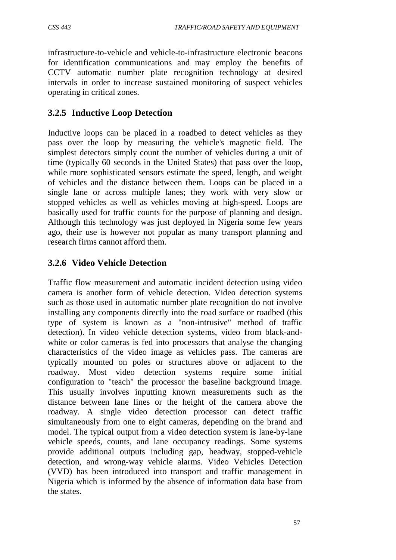infrastructure-to-vehicle and vehicle-to-infrastructure electronic beacons for identification communications and may employ the benefits of CCTV automatic number plate recognition technology at desired intervals in order to increase sustained monitoring of suspect vehicles operating in critical zones.

### **3.2.5 Inductive Loop Detection**

Inductive loops can be placed in a roadbed to detect vehicles as they pass over the loop by measuring the vehicle's magnetic field. The simplest detectors simply count the number of vehicles during a unit of time (typically 60 seconds in the United States) that pass over the loop, while more sophisticated sensors estimate the speed, length, and weight of vehicles and the distance between them. Loops can be placed in a single lane or across multiple lanes; they work with very slow or stopped vehicles as well as vehicles moving at high-speed. Loops are basically used for traffic counts for the purpose of planning and design. Although this technology was just deployed in Nigeria some few years ago, their use is however not popular as many transport planning and research firms cannot afford them.

### **3.2.6 Video Vehicle Detection**

Traffic flow measurement and automatic incident detection using video camera is another form of vehicle detection. Video detection systems such as those used in automatic number plate recognition do not involve installing any components directly into the road surface or roadbed (this type of system is known as a "non-intrusive" method of traffic detection). In video vehicle detection systems, video from black-andwhite or color cameras is fed into processors that analyse the changing characteristics of the video image as vehicles pass. The cameras are typically mounted on poles or structures above or adjacent to the roadway. Most video detection systems require some initial configuration to "teach" the processor the baseline background image. This usually involves inputting known measurements such as the distance between lane lines or the height of the camera above the roadway. A single video detection processor can detect traffic simultaneously from one to eight cameras, depending on the brand and model. The typical output from a video detection system is lane-by-lane vehicle speeds, counts, and lane occupancy readings. Some systems provide additional outputs including gap, headway, stopped-vehicle detection, and wrong-way vehicle alarms. Video Vehicles Detection (VVD) has been introduced into transport and traffic management in Nigeria which is informed by the absence of information data base from the states.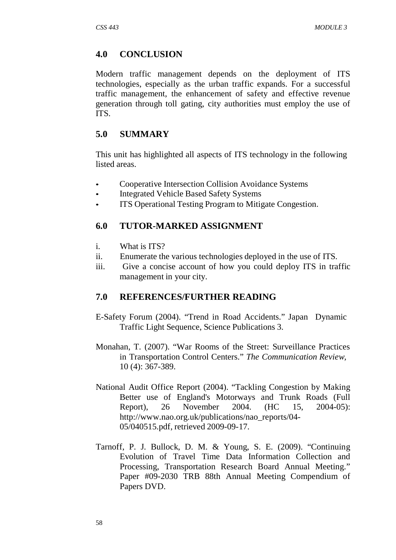#### **4.0 CONCLUSION**

Modern traffic management depends on the deployment of ITS technologies, especially as the urban traffic expands. For a successful traffic management, the enhancement of safety and effective revenue generation through toll gating, city authorities must employ the use of ITS.

#### **5.0 SUMMARY**

This unit has highlighted all aspects of ITS technology in the following listed areas.

- Cooperative Intersection Collision Avoidance Systems
- Integrated Vehicle Based Safety Systems
- ITS Operational Testing Program to Mitigate Congestion.

#### **6.0 TUTOR-MARKED ASSIGNMENT**

- i. What is ITS?
- ii. Enumerate the various technologies deployed in the use of ITS.
- iii. Give a concise account of how you could deploy ITS in traffic management in your city.

#### **7.0 REFERENCES/FURTHER READING**

- E-Safety Forum (2004). "Trend in Road Accidents." Japan Dynamic Traffic Light Sequence, Science Publications 3.
- Monahan, T. (2007). "War Rooms of the Street: Surveillance Practices in Transportation Control Centers." *The Communication Review,* 10 (4): 367-389.
- National Audit Office Report (2004). "Tackling Congestion by Making Better use of England's Motorways and Trunk Roads (Full Report), 26 November 2004. (HC 15, 2004-05)[:](http://www.nao.org.uk/publications/nao_reports/04-) [http://www.nao.org.uk/publications/nao\\_reports/04-](http://www.nao.org.uk/publications/nao_reports/04-) 05/040515.pdf, retrieved 2009-09-17.
- Tarnoff, P. J. Bullock, D. M. & Young, S. E. (2009). "Continuing Evolution of Travel Time Data Information Collection and Processing, Transportation Research Board Annual Meeting." Paper #09-2030 TRB 88th Annual Meeting Compendium of Papers DVD.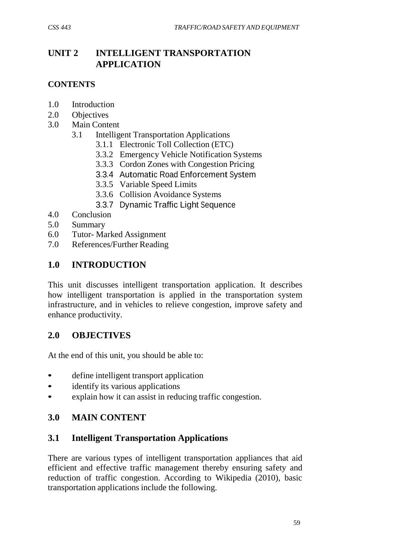## **UNIT 2 INTELLIGENT TRANSPORTATION APPLICATION**

#### **CONTENTS**

- 1.0 Introduction
- 2.0 Objectives
- 3.0 Main Content
	- 3.1 Intelligent Transportation Applications
		- 3.1.1 Electronic Toll Collection (ETC)
		- 3.3.2 Emergency Vehicle Notification Systems
		- 3.3.3 Cordon Zones with Congestion Pricing
		- 3.3.4 Automatic Road Enforcement System
		- 3.3.5 Variable Speed Limits
		- 3.3.6 Collision Avoidance Systems
		- 3.3.7 Dynamic Traffic Light Sequence
- 4.0 Conclusion
- 5.0 Summary
- 6.0 Tutor- Marked Assignment
- 7.0 References/Further Reading

## **1.0 INTRODUCTION**

This unit discusses intelligent transportation application. It describes how intelligent transportation is applied in the transportation system infrastructure, and in vehicles to relieve congestion, improve safety and enhance productivity.

## **2.0 OBJECTIVES**

At the end of this unit, you should be able to:

- define intelligent transport application
- identify its various applications
- explain how it can assist in reducing traffic congestion.

## **3.0 MAIN CONTENT**

## **3.1 Intelligent Transportation Applications**

There are various types of intelligent transportation appliances that aid efficient and effective traffic management thereby ensuring safety and reduction of traffic congestion. According to Wikipedia (2010), basic transportation applications include the following.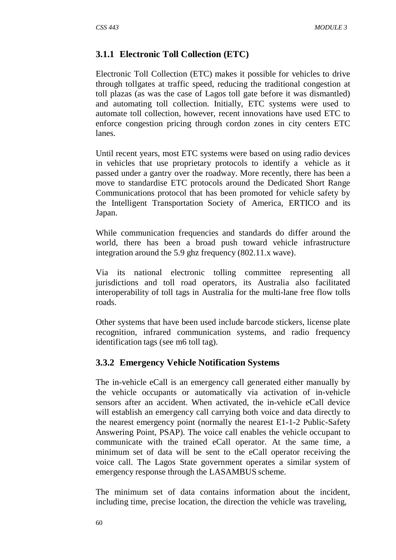#### **3.1.1 Electronic Toll Collection (ETC)**

Electronic Toll Collection (ETC) makes it possible for vehicles to drive through tollgates at traffic speed, reducing the traditional congestion at toll plazas (as was the case of Lagos toll gate before it was dismantled) and automating toll collection. Initially, ETC systems were used to automate toll collection, however, recent innovations have used ETC to enforce congestion pricing through cordon zones in city centers ETC lanes.

Until recent years, most ETC systems were based on using radio devices in vehicles that use proprietary protocols to identify a vehicle as it passed under a gantry over the roadway. More recently, there has been a move to standardise ETC protocols around the Dedicated Short Range Communications protocol that has been promoted for vehicle safety by the Intelligent Transportation Society of America, ERTICO and its Japan.

While communication frequencies and standards do differ around the world, there has been a broad push toward vehicle infrastructure integration around the 5.9 ghz frequency (802.11.x wave).

Via its national electronic tolling committee representing all jurisdictions and toll road operators, its Australia also facilitated interoperability of toll tags in Australia for the multi-lane free flow tolls roads.

Other systems that have been used include barcode stickers, license plate recognition, infrared communication systems, and radio frequency identification tags (see m6 toll tag).

## **3.3.2 Emergency Vehicle Notification Systems**

The in-vehicle eCall is an emergency call generated either manually by the vehicle occupants or automatically via activation of in-vehicle sensors after an accident. When activated, the in-vehicle eCall device will establish an emergency call carrying both voice and data directly to the nearest emergency point (normally the nearest E1-1-2 Public-Safety Answering Point, PSAP). The voice call enables the vehicle occupant to communicate with the trained eCall operator. At the same time, a minimum set of data will be sent to the eCall operator receiving the voice call. The Lagos State government operates a similar system of emergency response through the LASAMBUS scheme.

The minimum set of data contains information about the incident, including time, precise location, the direction the vehicle was traveling,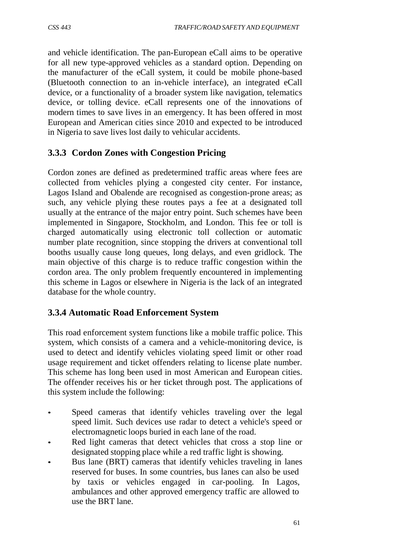and vehicle identification. The pan-European eCall aims to be operative for all new type-approved vehicles as a standard option. Depending on the manufacturer of the eCall system, it could be mobile phone-based (Bluetooth connection to an in-vehicle interface), an integrated eCall device, or a functionality of a broader system like navigation, telematics device, or tolling device. eCall represents one of the innovations of modern times to save lives in an emergency. It has been offered in most European and American cities since 2010 and expected to be introduced in Nigeria to save lives lost daily to vehicular accidents.

## **3.3.3 Cordon Zones with Congestion Pricing**

Cordon zones are defined as predetermined traffic areas where fees are collected from vehicles plying a congested city center. For instance, Lagos Island and Obalende are recognised as congestion-prone areas; as such, any vehicle plying these routes pays a fee at a designated toll usually at the entrance of the major entry point. Such schemes have been implemented in Singapore, Stockholm, and London. This fee or toll is charged automatically using electronic toll collection or automatic number plate recognition, since stopping the drivers at conventional toll booths usually cause long queues, long delays, and even gridlock. The main objective of this charge is to reduce traffic congestion within the cordon area. The only problem frequently encountered in implementing this scheme in Lagos or elsewhere in Nigeria is the lack of an integrated database for the whole country.

## **3.3.4 Automatic Road Enforcement System**

This road enforcement system functions like a mobile traffic police. This system, which consists of a camera and a vehicle-monitoring device, is used to detect and identify vehicles violating speed limit or other road usage requirement and ticket offenders relating to license plate number. This scheme has long been used in most American and European cities. The offender receives his or her ticket through post. The applications of this system include the following:

- Speed cameras that identify vehicles traveling over the legal speed limit. Such devices use radar to detect a vehicle's speed or electromagnetic loops buried in each lane of the road.
- Red light cameras that detect vehicles that cross a stop line or designated stopping place while a red traffic light is showing.
- Bus lane (BRT) cameras that identify vehicles traveling in lanes reserved for buses. In some countries, bus lanes can also be used by taxis or vehicles engaged in car-pooling. In Lagos, ambulances and other approved emergency traffic are allowed to use the BRT lane.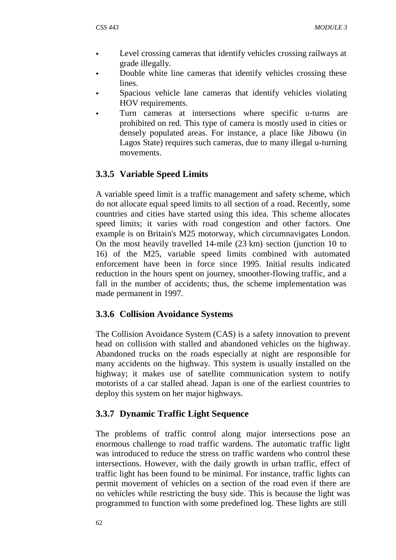- Level crossing cameras that identify vehicles crossing railways at grade illegally.
- Double white line cameras that identify vehicles crossing these lines.
- Spacious vehicle lane cameras that identify vehicles violating HOV requirements.
- Turn cameras at intersections where specific u-turns are prohibited on red. This type of camera is mostly used in cities or densely populated areas. For instance, a place like Jibowu (in Lagos State) requires such cameras, due to many illegal u-turning movements.

# **3.3.5 Variable Speed Limits**

A variable speed limit is a traffic management and safety scheme, which do not allocate equal speed limits to all section of a road. Recently, some countries and cities have started using this idea. This scheme allocates speed limits; it varies with road congestion and other factors. One example is on Britain's M25 motorway, which circumnavigates London. On the most heavily travelled 14-mile (23 km) section (junction 10 to 16) of the M25, variable speed limits combined with automated enforcement have been in force since 1995. Initial results indicated reduction in the hours spent on journey, smoother-flowing traffic, and a fall in the number of accidents; thus, the scheme implementation was made permanent in 1997.

## **3.3.6 Collision Avoidance Systems**

The Collision Avoidance System (CAS) is a safety innovation to prevent head on collision with stalled and abandoned vehicles on the highway. Abandoned trucks on the roads especially at night are responsible for many accidents on the highway. This system is usually installed on the highway; it makes use of satellite communication system to notify motorists of a car stalled ahead. Japan is one of the earliest countries to deploy this system on her major highways.

## **3.3.7 Dynamic Traffic Light Sequence**

The problems of traffic control along major intersections pose an enormous challenge to road traffic wardens. The automatic traffic light was introduced to reduce the stress on traffic wardens who control these intersections. However, with the daily growth in urban traffic, effect of traffic light has been found to be minimal. For instance, traffic lights can permit movement of vehicles on a section of the road even if there are no vehicles while restricting the busy side. This is because the light was programmed to function with some predefined log. These lights are still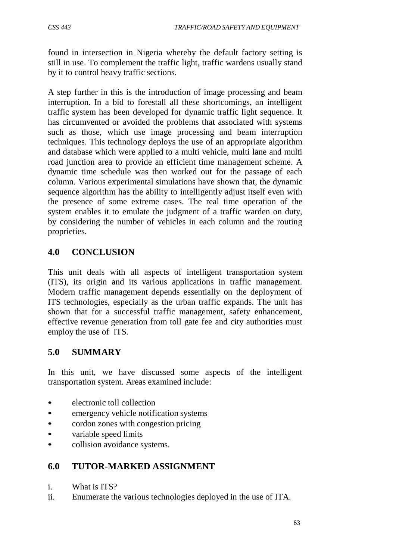found in intersection in Nigeria whereby the default factory setting is still in use. To complement the traffic light, traffic wardens usually stand by it to control heavy traffic sections.

A step further in this is the introduction of image processing and beam interruption. In a bid to forestall all these shortcomings, an intelligent traffic system has been developed for dynamic traffic light sequence. It has circumvented or avoided the problems that associated with systems such as those, which use image processing and beam interruption techniques. This technology deploys the use of an appropriate algorithm and database which were applied to a multi vehicle, multi lane and multi road junction area to provide an efficient time management scheme. A dynamic time schedule was then worked out for the passage of each column. Various experimental simulations have shown that, the dynamic sequence algorithm has the ability to intelligently adjust itself even with the presence of some extreme cases. The real time operation of the system enables it to emulate the judgment of a traffic warden on duty, by considering the number of vehicles in each column and the routing proprieties.

## **4.0 CONCLUSION**

This unit deals with all aspects of intelligent transportation system (ITS), its origin and its various applications in traffic management. Modern traffic management depends essentially on the deployment of ITS technologies, especially as the urban traffic expands. The unit has shown that for a successful traffic management, safety enhancement, effective revenue generation from toll gate fee and city authorities must employ the use of ITS.

## **5.0 SUMMARY**

In this unit, we have discussed some aspects of the intelligent transportation system. Areas examined include:

- electronic toll collection
- emergency vehicle notification systems
- cordon zones with congestion pricing
- variable speed limits
- collision avoidance systems.

## **6.0 TUTOR-MARKED ASSIGNMENT**

- i. What is ITS?
- ii. Enumerate the various technologies deployed in the use of ITA.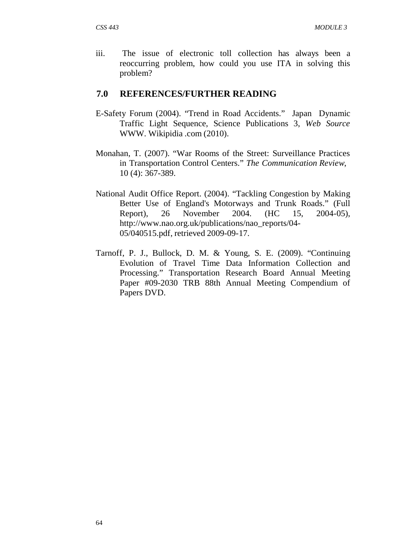iii. The issue of electronic toll collection has always been a reoccurring problem, how could you use ITA in solving this problem?

#### **7.0 REFERENCES/FURTHER READING**

- E-Safety Forum (2004). "Trend in Road Accidents." Japan Dynamic Traffic Light Sequence, Science Publications 3, *Web Source*  [WWW.](http://www/) Wikipidia .com (2010).
- Monahan, T. (2007). "War Rooms of the Street: Surveillance Practices in Transportation Control Centers." *The Communication Review*, 10 (4): 367-389.
- National Audit Office Report. (2004). "Tackling Congestion by Making Better Use of England's Motorways and Trunk Roads." (Full Report), 26 November 2004. (HC 15, 2004-05)[,](http://www.nao.org.uk/publications/nao_reports/04-) [http://www.nao.org.uk/publications/nao\\_reports/04-](http://www.nao.org.uk/publications/nao_reports/04-) 05/040515.pdf, retrieved 2009-09-17.
- Tarnoff, P. J., Bullock, D. M. & Young, S. E. (2009). "Continuing Evolution of Travel Time Data Information Collection and Processing." Transportation Research Board Annual Meeting Paper #09-2030 TRB 88th Annual Meeting Compendium of Papers DVD.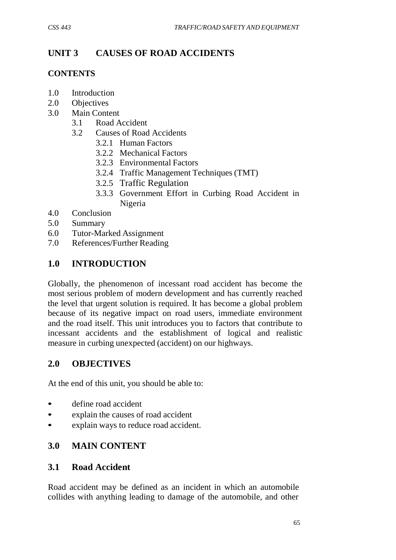# **UNIT 3 CAUSES OF ROAD ACCIDENTS**

#### **CONTENTS**

- 1.0 Introduction
- 2.0 Objectives
- 3.0 Main Content
	- 3.1 Road Accident
	- 3.2 Causes of Road Accidents
		- 3.2.1 Human Factors
		- 3.2.2 Mechanical Factors
		- 3.2.3 Environmental Factors
		- 3.2.4 Traffic Management Techniques (TMT)
		- 3.2.5 Traffic Regulation
		- 3.3.3 Government Effort in Curbing Road Accident in Nigeria
- 4.0 Conclusion
- 5.0 Summary
- 6.0 Tutor-Marked Assignment
- 7.0 References/Further Reading

## **1.0 INTRODUCTION**

Globally, the phenomenon of incessant road accident has become the most serious problem of modern development and has currently reached the level that urgent solution is required. It has become a global problem because of its negative impact on road users, immediate environment and the road itself. This unit introduces you to factors that contribute to incessant accidents and the establishment of logical and realistic measure in curbing unexpected (accident) on our highways.

## **2.0 OBJECTIVES**

At the end of this unit, you should be able to:

- define road accident
- explain the causes of road accident
- explain ways to reduce road accident.

## **3.0 MAIN CONTENT**

#### **3.1 Road Accident**

Road accident may be defined as an incident in which an automobile collides with anything leading to damage of the automobile, and other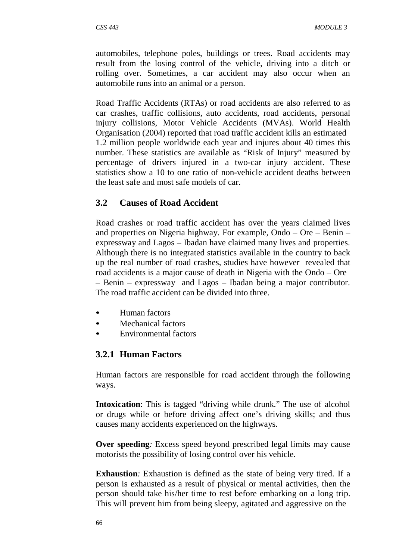automobiles, telephone poles, buildings or trees. Road accidents may result from the losing control of the vehicle, driving into a ditch or rolling over. Sometimes, a car accident may also occur when an automobile runs into an animal or a person.

Road Traffic Accidents (RTAs) or road accidents are also referred to as car crashes, traffic collisions, auto accidents, road accidents, personal injury collisions, Motor Vehicle Accidents (MVAs). World Health Organisation (2004) reported that road traffic accident kills an estimated 1.2 million people worldwide each year and injures about 40 times this number. These statistics are available as "Risk of Injury" measured by percentage of drivers injured in a two-car injury accident. These statistics show a 10 to one ratio of non-vehicle accident deaths between the least safe and most safe models of car.

## **3.2 Causes of Road Accident**

Road crashes or road traffic accident has over the years claimed lives and properties on Nigeria highway. For example, Ondo – Ore – Benin – expressway and Lagos – Ibadan have claimed many lives and properties. Although there is no integrated statistics available in the country to back up the real number of road crashes, studies have however revealed that road accidents is a major cause of death in Nigeria with the Ondo – Ore – Benin – expressway and Lagos – Ibadan being a major contributor. The road traffic accident can be divided into three.

- Human factors
- Mechanical factors
- Environmental factors

## **3.2.1 Human Factors**

Human factors are responsible for road accident through the following ways.

**Intoxication**: This is tagged "driving while drunk." The use of alcohol or drugs while or before driving affect one's driving skills; and thus causes many accidents experienced on the highways.

**Over speeding***:* Excess speed beyond prescribed legal limits may cause motorists the possibility of losing control over his vehicle.

**Exhaustion**: Exhaustion is defined as the state of being very tired. If a person is exhausted as a result of physical or mental activities, then the person should take his/her time to rest before embarking on a long trip. This will prevent him from being sleepy, agitated and aggressive on the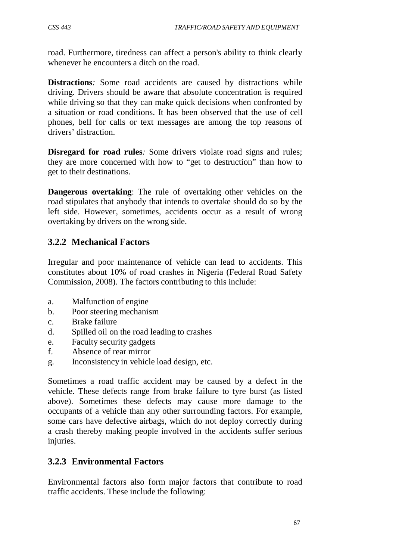road. Furthermore, tiredness can affect a person's ability to think clearly whenever he encounters a ditch on the road.

**Distractions***:* Some road accidents are caused by distractions while driving. Drivers should be aware that absolute concentration is required while driving so that they can make quick decisions when confronted by a situation or road conditions. It has been observed that the use of cell phones, bell for calls or text messages are among the top reasons of drivers' distraction.

**Disregard for road rules***:* Some drivers violate road signs and rules; they are more concerned with how to "get to destruction" than how to get to their destinations.

**Dangerous overtaking**: The rule of overtaking other vehicles on the road stipulates that anybody that intends to overtake should do so by the left side. However, sometimes, accidents occur as a result of wrong overtaking by drivers on the wrong side.

## **3.2.2 Mechanical Factors**

Irregular and poor maintenance of vehicle can lead to accidents. This constitutes about 10% of road crashes in Nigeria (Federal Road Safety Commission, 2008). The factors contributing to this include:

- a. Malfunction of engine
- b. Poor steering mechanism
- c. Brake failure
- d. Spilled oil on the road leading to crashes
- e. Faculty security gadgets
- f. Absence of rear mirror
- g. Inconsistency in vehicle load design, etc.

Sometimes a road traffic accident may be caused by a defect in the vehicle. These defects range from brake failure to tyre burst (as listed above). Sometimes these defects may cause more damage to the occupants of a vehicle than any other surrounding factors. For example, some cars have defective airbags, which do not deploy correctly during a crash thereby making people involved in the accidents suffer serious injuries.

## **3.2.3 Environmental Factors**

Environmental factors also form major factors that contribute to road traffic accidents. These include the following: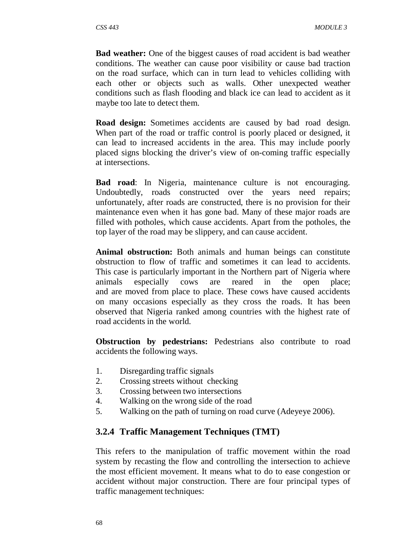**Bad weather:** One of the biggest causes of road accident is bad weather conditions. The weather can cause poor visibility or cause bad traction on the road surface, which can in turn lead to vehicles colliding with each other or objects such as walls. Other unexpected weather conditions such as flash flooding and black ice can lead to accident as it maybe too late to detect them.

**Road design:** Sometimes accidents are caused by bad road design. When part of the road or traffic control is poorly placed or designed, it can lead to increased accidents in the area. This may include poorly placed signs blocking the driver's view of on-coming traffic especially at intersections.

**Bad road**: In Nigeria, maintenance culture is not encouraging. Undoubtedly, roads constructed over the years need repairs; unfortunately, after roads are constructed, there is no provision for their maintenance even when it has gone bad. Many of these major roads are filled with potholes, which cause accidents. Apart from the potholes, the top layer of the road may be slippery, and can cause accident.

**Animal obstruction:** Both animals and human beings can constitute obstruction to flow of traffic and sometimes it can lead to accidents. This case is particularly important in the Northern part of Nigeria where animals especially cows are reared in the open place; and are moved from place to place. These cows have caused accidents on many occasions especially as they cross the roads. It has been observed that Nigeria ranked among countries with the highest rate of road accidents in the world.

**Obstruction by pedestrians:** Pedestrians also contribute to road accidents the following ways.

- 1. Disregarding traffic signals
- 2. Crossing streets without checking
- 3. Crossing between two intersections
- 4. Walking on the wrong side of the road
- 5. Walking on the path of turning on road curve (Adeyeye 2006).

#### **3.2.4 Traffic Management Techniques (TMT)**

This refers to the manipulation of traffic movement within the road system by recasting the flow and controlling the intersection to achieve the most efficient movement. It means what to do to ease congestion or accident without major construction. There are four principal types of traffic management techniques: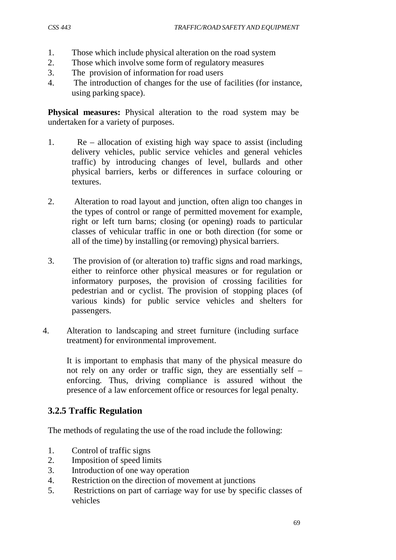- 1. Those which include physical alteration on the road system
- 2. Those which involve some form of regulatory measures
- 3. The provision of information for road users
- 4. The introduction of changes for the use of facilities (for instance, using parking space).

**Physical measures:** Physical alteration to the road system may be undertaken for a variety of purposes.

- 1. Re allocation of existing high way space to assist (including delivery vehicles, public service vehicles and general vehicles traffic) by introducing changes of level, bullards and other physical barriers, kerbs or differences in surface colouring or textures.
- 2. Alteration to road layout and junction, often align too changes in the types of control or range of permitted movement for example, right or left turn barns; closing (or opening) roads to particular classes of vehicular traffic in one or both direction (for some or all of the time) by installing (or removing) physical barriers.
- 3. The provision of (or alteration to) traffic signs and road markings, either to reinforce other physical measures or for regulation or informatory purposes, the provision of crossing facilities for pedestrian and or cyclist. The provision of stopping places (of various kinds) for public service vehicles and shelters for passengers.
- 4. Alteration to landscaping and street furniture (including surface treatment) for environmental improvement.

It is important to emphasis that many of the physical measure do not rely on any order or traffic sign, they are essentially self – enforcing. Thus, driving compliance is assured without the presence of a law enforcement office or resources for legal penalty.

## **3.2.5 Traffic Regulation**

The methods of regulating the use of the road include the following:

- 1. Control of traffic signs
- 2. Imposition of speed limits
- 3. Introduction of one way operation
- 4. Restriction on the direction of movement at junctions
- 5. Restrictions on part of carriage way for use by specific classes of vehicles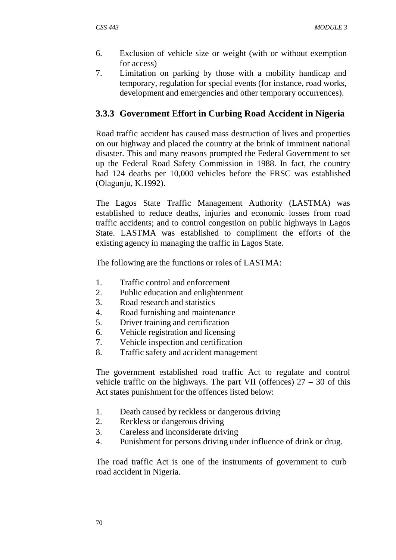- 6. Exclusion of vehicle size or weight (with or without exemption for access)
- 7. Limitation on parking by those with a mobility handicap and temporary, regulation for special events (for instance, road works, development and emergencies and other temporary occurrences).

#### **3.3.3 Government Effort in Curbing Road Accident in Nigeria**

Road traffic accident has caused mass destruction of lives and properties on our highway and placed the country at the brink of imminent national disaster. This and many reasons prompted the Federal Government to set up the Federal Road Safety Commission in 1988. In fact, the country had 124 deaths per 10,000 vehicles before the FRSC was established (Olagunju, K.1992).

The Lagos State Traffic Management Authority (LASTMA) was established to reduce deaths, injuries and economic losses from road traffic accidents; and to control congestion on public highways in Lagos State. LASTMA was established to compliment the efforts of the existing agency in managing the traffic in Lagos State.

The following are the functions or roles of LASTMA:

- 1. Traffic control and enforcement
- 2. Public education and enlightenment
- 3. Road research and statistics
- 4. Road furnishing and maintenance
- 5. Driver training and certification
- 6. Vehicle registration and licensing
- 7. Vehicle inspection and certification
- 8. Traffic safety and accident management

The government established road traffic Act to regulate and control vehicle traffic on the highways. The part VII (offences)  $27 - 30$  of this Act states punishment for the offences listed below:

- 1. Death caused by reckless or dangerous driving
- 2. Reckless or dangerous driving
- 3. Careless and inconsiderate driving
- 4. Punishment for persons driving under influence of drink or drug.

The road traffic Act is one of the instruments of government to curb road accident in Nigeria.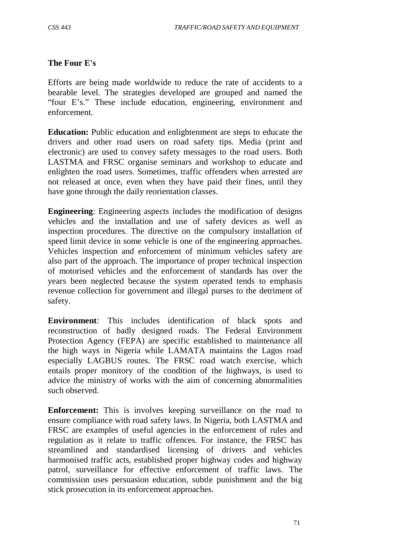#### **The Four E's**

Efforts are being made worldwide to reduce the rate of accidents to a bearable level. The strategies developed are grouped and named the "four E's." These include education, engineering, environment and enforcement.

**Education:** Public education and enlightenment are steps to educate the drivers and other road users on road safety tips. Media (print and electronic) are used to convey safety messages to the road users. Both LASTMA and FRSC organise seminars and workshop to educate and enlighten the road users. Sometimes, traffic offenders when arrested are not released at once, even when they have paid their fines, until they have gone through the daily reorientation classes.

**Engineering**: Engineering aspects includes the modification of designs vehicles and the installation and use of safety devices as well as inspection procedures. The directive on the compulsory installation of speed limit device in some vehicle is one of the engineering approaches. Vehicles inspection and enforcement of minimum vehicles safety are also part of the approach. The importance of proper technical inspection of motorised vehicles and the enforcement of standards has over the years been neglected because the system operated tends to emphasis revenue collection for government and illegal purses to the detriment of safety.

**Environment***:* This includes identification of black spots and reconstruction of badly designed roads. The Federal Environment Protection Agency (FEPA) are specific established to maintenance all the high ways in Nigeria while LAMATA maintains the Lagos road especially LAGBUS routes. The FRSC road watch exercise, which entails proper monitory of the condition of the highways, is used to advice the ministry of works with the aim of concerning abnormalities such observed.

**Enforcement:** This is involves keeping surveillance on the road to ensure compliance with road safety laws. In Nigeria, both LASTMA and FRSC are examples of useful agencies in the enforcement of rules and regulation as it relate to traffic offences. For instance, the FRSC has streamlined and standardised licensing of drivers and vehicles harmonised traffic acts, established proper highway codes and highway patrol, surveillance for effective enforcement of traffic laws. The commission uses persuasion education, subtle punishment and the big stick prosecution in its enforcement approaches.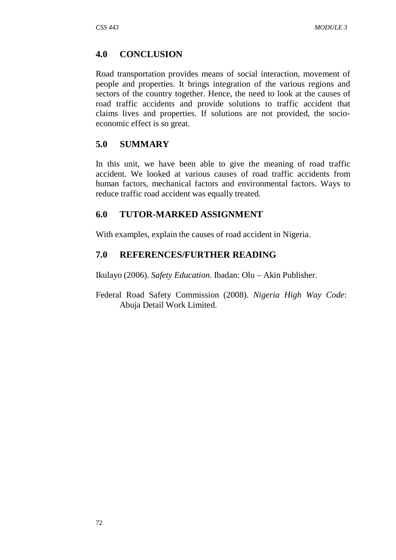#### **4.0 CONCLUSION**

Road transportation provides means of social interaction, movement of people and properties. It brings integration of the various regions and sectors of the country together. Hence, the need to look at the causes of road traffic accidents and provide solutions to traffic accident that claims lives and properties. If solutions are not provided, the socioeconomic effect is so great.

#### **5.0 SUMMARY**

In this unit, we have been able to give the meaning of road traffic accident. We looked at various causes of road traffic accidents from human factors, mechanical factors and environmental factors. Ways to reduce traffic road accident was equally treated.

#### **6.0 TUTOR-MARKED ASSIGNMENT**

With examples, explain the causes of road accident in Nigeria.

#### **7.0 REFERENCES/FURTHER READING**

Ikulayo (2006). *Safety Education.* Ibadan: Olu – Akin Publisher.

Federal Road Safety Commission (2008). *Nigeria High Way Code*: Abuja Detail Work Limited.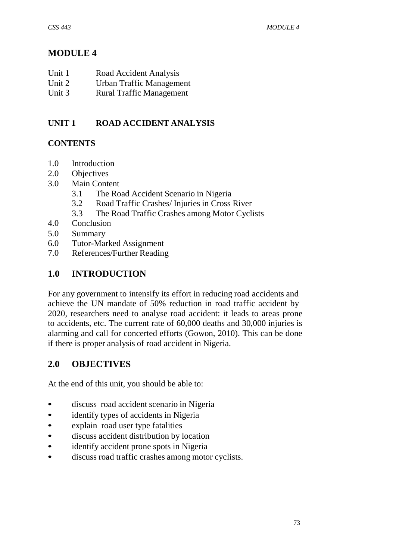# **MODULE 4**

| Unit 1 | Road Accident Analysis   |
|--------|--------------------------|
| Unit 2 | Urban Traffic Management |

Unit 3 Rural Traffic Management

## **UNIT 1 ROAD ACCIDENT ANALYSIS**

## **CONTENTS**

- 1.0 Introduction
- 2.0 Objectives
- 3.0 Main Content
	- 3.1 The Road Accident Scenario in Nigeria
	- 3.2 Road Traffic Crashes/ Injuries in Cross River
	- 3.3 The Road Traffic Crashes among Motor Cyclists
- 4.0 Conclusion
- 5.0 Summary
- 6.0 Tutor-Marked Assignment
- 7.0 References/Further Reading

## **1.0 INTRODUCTION**

For any government to intensify its effort in reducing road accidents and achieve the UN mandate of 50% reduction in road traffic accident by 2020, researchers need to analyse road accident: it leads to areas prone to accidents, etc. The current rate of 60,000 deaths and 30,000 injuries is alarming and call for concerted efforts (Gowon, 2010). This can be done if there is proper analysis of road accident in Nigeria.

## **2.0 OBJECTIVES**

At the end of this unit, you should be able to:

- discuss road accident scenario in Nigeria
- identify types of accidents in Nigeria
- explain road user type fatalities
- discuss accident distribution by location
- identify accident prone spots in Nigeria
- discuss road traffic crashes among motor cyclists.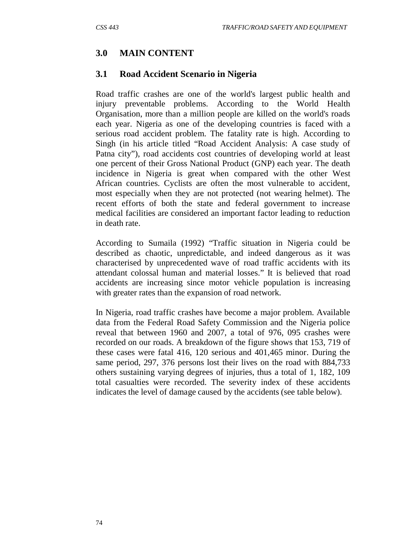## **3.0 MAIN CONTENT**

#### **3.1 Road Accident Scenario in Nigeria**

Road traffic crashes are one of the world's largest public health and injury preventable problems. According to the World Health Organisation, more than a million people are killed on the world's roads each year. Nigeria as one of the developing countries is faced with a serious road accident problem. The fatality rate is high. According to Singh (in his article titled "Road Accident Analysis: A case study of Patna city"), road accidents cost countries of developing world at least one percent of their Gross National Product (GNP) each year. The death incidence in Nigeria is great when compared with the other West African countries. Cyclists are often the most vulnerable to accident, most especially when they are not protected (not wearing helmet). The recent efforts of both the state and federal government to increase medical facilities are considered an important factor leading to reduction in death rate.

According to Sumaila (1992) "Traffic situation in Nigeria could be described as chaotic, unpredictable, and indeed dangerous as it was characterised by unprecedented wave of road traffic accidents with its attendant colossal human and material losses." It is believed that road accidents are increasing since motor vehicle population is increasing with greater rates than the expansion of road network.

In Nigeria, road traffic crashes have become a major problem. Available data from the Federal Road Safety Commission and the Nigeria police reveal that between 1960 and 2007, a total of 976, 095 crashes were recorded on our roads. A breakdown of the figure shows that 153, 719 of these cases were fatal 416, 120 serious and 401,465 minor. During the same period, 297, 376 persons lost their lives on the road with 884,733 others sustaining varying degrees of injuries, thus a total of 1, 182, 109 total casualties were recorded. The severity index of these accidents indicates the level of damage caused by the accidents (see table below).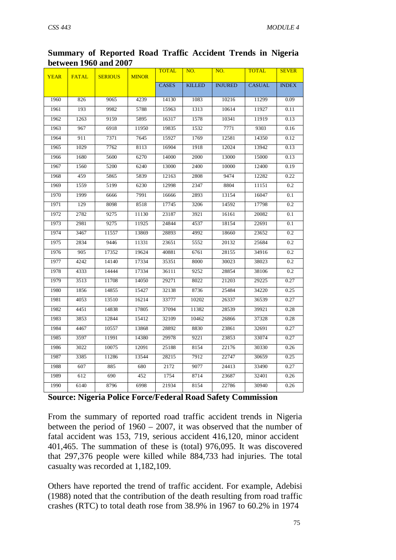| Summary of Reported Road Traffic Accident Trends in Nigeria |  |  |  |
|-------------------------------------------------------------|--|--|--|
| <b>between 1960 and 2007</b>                                |  |  |  |

| <b>YEAR</b> | <b>FATAL</b> | <b>SERIOUS</b> | <b>MINOR</b> | <b>TOTAL</b> | NO.           | NO.            | <b>TOTAL</b>  | <b>SEVER</b> |
|-------------|--------------|----------------|--------------|--------------|---------------|----------------|---------------|--------------|
|             |              |                |              | <b>CASES</b> | <b>KILLED</b> | <b>INJURED</b> | <b>CASUAL</b> | <b>INDEX</b> |
| 1960        | 826          | 9065           | 4239         | 14130        | 1083          | 10216          | 11299         | 0.09         |
| 1961        | 193          | 9982           | 5788         | 15963        | 1313          | 10614          | 11927         | 0.11         |
| 1962        | 1263         | 9159           | 5895         | 16317        | 1578          | 10341          | 11919         | 0.13         |
| 1963        | 967          | 6918           | 11950        | 19835        | 1532          | 7771           | 9303          | 0.16         |
| 1964        | 911          | 7371           | 7645         | 15927        | 1769          | 12581          | 14350         | 0.12         |
|             |              |                |              |              |               |                |               |              |
| 1965        | 1029         | 7762           | 8113         | 16904        | 1918          | 12024          | 13942         | 0.13         |
| 1966        | 1680         | 5600           | 6270         | 14000        | 2000          | 13000          | 15000         | 0.13         |
| 1967        | 1560         | 5200           | 6240         | 13000        | 2400          | 10000          | 12400         | 0.19         |
| 1968        | 459          | 5865           | 5839         | 12163        | 2808          | 9474           | 12282         | 0.22         |
| 1969        | 1559         | 5199           | 6230         | 12998        | 2347          | 8804           | 11151         | 0.2          |
| 1970        | 1999         | 6666           | 7991         | 16666        | 2893          | 13154          | 16047         | 0.1          |
| 1971        | 129          | 8098           | 8518         | 17745        | 3206          | 14592          | 17798         | 0.2          |
| 1972        | 2782         | 9275           | 11130        | 23187        | 3921          | 16161          | 20082         | 0.1          |
| 1973        | 2981         | 9275           | 11925        | 24844        | 4537          | 18154          | 22691         | 0.1          |
| 1974        | 3467         | 11557          | 13869        | 28893        | 4992          | 18660          | 23652         | 0.2          |
| 1975        | 2834         | 9446           | 11331        | 23651        | 5552          | 20132          | 25684         | 0.2          |
| 1976        | 905          | 17352          | 19624        | 40881        | 6761          | 28155          | 34916         | 0.2          |
| 1977        | 4242         | 14140          | 17334        | 35351        | 8000          | 30023          | 38023         | 0.2          |
| 1978        | 4333         | 14444          | 17334        | 36111        | 9252          | 28854          | 38106         | 0.2          |
| 1979        | 3513         | 11708          | 14050        | 29271        | 8022          | 21203          | 29225         | 0.27         |
| 1980        | 1856         | 14855          | 15427        | 32138        | 8736          | 25484          | 34220         | 0.25         |
| 1981        | 4053         | 13510          | 16214        | 33777        | 10202         | 26337          | 36539         | 0.27         |
| 1982        | 4451         | 14838          | 17805        | 37094        | 11382         | 28539          | 39921         | 0.28         |
| 1983        | 3853         | 12844          | 15412        | 32109        | 10462         | 26866          | 37328         | 0.28         |
| 1984        | 4467         | 10557          | 13868        | 28892        | 8830          | 23861          | 32691         | 0.27         |
| 1985        | 3597         | 11991          | 14380        | 29978        | 9221          | 23853          | 33074         | 0.27         |
| 1986        | 3022         | 10075          | 12091        | 25188        | 8154          | 22176          | 30330         | 0.26         |
| 1987        | 3385         | 11286          | 13544        | 28215        | 7912          | 22747          | 30659         | 0.25         |
| 1988        | 607          | 885            | 680          | 2172         | 9077          | 24413          | 33490         | 0.27         |
| 1989        | 612          | 690            | 452          | 1754         | 8714          | 23687          | 32401         | 0.26         |
| 1990        | 6140         | 8796           | 6998         | 21934        | 8154          | 22786          | 30940         | 0.26         |
|             |              |                |              |              |               |                |               |              |

**Source: Nigeria Police Force/Federal Road Safety Commission**

From the summary of reported road traffic accident trends in Nigeria between the period of 1960 – 2007, it was observed that the number of fatal accident was 153, 719, serious accident 416,120, minor accident 401,465. The summation of these is (total) 976,095. It was discovered that 297,376 people were killed while 884,733 had injuries. The total casualty was recorded at 1,182,109.

Others have reported the trend of traffic accident. For example, Adebisi (1988) noted that the contribution of the death resulting from road traffic crashes (RTC) to total death rose from 38.9% in 1967 to 60.2% in 1974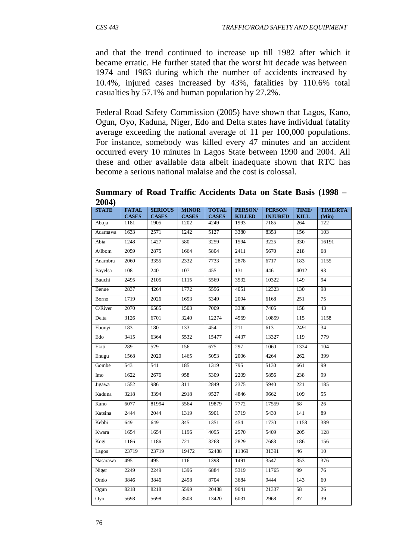and that the trend continued to increase up till 1982 after which it became erratic. He further stated that the worst hit decade was between 1974 and 1983 during which the number of accidents increased by 10.4%, injured cases increased by 43%, fatalities by 110.6% total casualties by 57.1% and human population by 27.2%.

Federal Road Safety Commission (2005) have shown that Lagos, Kano, Ogun, Oyo, Kaduna, Niger, Edo and Delta states have individual fatality average exceeding the national average of 11 per 100,000 populations. For instance, somebody was killed every 47 minutes and an accident occurred every 10 minutes in Lagos State between 1990 and 2004. All these and other available data albeit inadequate shown that RTC has become a serious national malaise and the cost is colossal.

**Summary of Road Traffic Accidents Data on State Basis (1998 – 2004)**

| <b>STATE</b>    | <b>FATAL</b><br><b>CASES</b> | <b>SERIOUS</b><br><b>CASES</b> | <b>MINOR</b><br><b>CASES</b> | <b>TOTAL</b><br><b>CASES</b> | PERSON/<br><b>KILLED</b> | <b>PERSON</b><br><b>INJURED</b> | TIME/<br><b>KILL</b> | <b>TIME/RTA</b><br>(Min) |
|-----------------|------------------------------|--------------------------------|------------------------------|------------------------------|--------------------------|---------------------------------|----------------------|--------------------------|
| Abuja           | 1181                         | 1905                           | 1202                         | 4249                         | 1993                     | 7185                            | 264                  | 122                      |
| Adamawa         | 1633                         | 2571                           | 1242                         | 5127                         | 3380                     | 8353                            | 156                  | 103                      |
| Abia            | 1248                         | 1427                           | 580                          | 3259                         | 1594                     | 3225                            | 330                  | 16191                    |
| $A/I$ bom       | 2059                         | 2875                           | 1664                         | 5804                         | 2411                     | 5670                            | 218                  | 68                       |
| Anambra         | 2060                         | 3355                           | 2332                         | 7733                         | 2878                     | 6717                            | 183                  | 1155                     |
| Bayelsa         | 108                          | 240                            | 107                          | 455                          | 131                      | 446                             | 4012                 | 93                       |
| Bauchi          | 2495                         | 2105                           | 1115                         | 5569                         | 3532                     | 10322                           | 149                  | 94                       |
| Benue           | 2837                         | 4264                           | 1772                         | 5596                         | 4051                     | 12323                           | 130                  | 98                       |
| Borno           | 1719                         | 2026                           | 1693                         | 5349                         | 2094                     | 6168                            | 251                  | 75                       |
| C/River         | 2070                         | 6585                           | 1503                         | 7009                         | 3338                     | 7405                            | 158                  | 43                       |
| Delta           | 3126                         | 6701                           | 3240                         | 12274                        | 4569                     | 10859                           | 115                  | 1158                     |
| Ebonyi          | 183                          | 180                            | 133                          | 454                          | 211                      | 613                             | 2491                 | 34                       |
| Edo             | 3415                         | 6364                           | 5532                         | 15477                        | 4437                     | 13327                           | 119                  | 779                      |
| Ekiti           | 289                          | 529                            | 156                          | 675                          | 297                      | 1060                            | 1324                 | 104                      |
| Enugu           | 1568                         | 2020                           | 1465                         | 5053                         | 2006                     | 4264                            | 262                  | 399                      |
| Gombe           | 543                          | 541                            | 185                          | 1319                         | 795                      | 5130                            | 661                  | 99                       |
| Imo             | 1622                         | 2676                           | 958                          | 5309                         | 2209                     | 5856                            | 238                  | 99                       |
| Jigawa          | 1552                         | 986                            | 311                          | 2849                         | 2375                     | 5940                            | 221                  | 185                      |
| Kaduna          | 3218                         | 3394                           | 2918                         | 9527                         | 4846                     | 9662                            | 109                  | $\overline{55}$          |
| Kano            | 6077                         | 81994                          | 5564                         | 19879                        | 7772                     | 17559                           | 68                   | 26                       |
| Katsina         | 2444                         | 2044                           | 1319                         | 5901                         | 3719                     | 5430                            | 141                  | 89                       |
| Kebbi           | 649                          | 649                            | 345                          | 1351                         | 454                      | 1730                            | 1158                 | 389                      |
| Kwara           | 1654                         | 1654                           | 1196                         | 4095                         | 2570                     | 5409                            | 205                  | 128                      |
| Kogi            | 1186                         | 1186                           | $\overline{721}$             | 3268                         | 2829                     | 7683                            | 186                  | 156                      |
| Lagos           | 23719                        | 23719                          | 19472                        | 52488                        | 11369                    | 31391                           | 46                   | 10                       |
| Nasarawa        | 495                          | 495                            | 116                          | 1398                         | 1491                     | 3547                            | 353                  | $\overline{376}$         |
| Niger           | 2249                         | 2249                           | 1396                         | 6884                         | 5319                     | 11765                           | 99                   | 76                       |
| Ondo            | 3846                         | 3846                           | 2498                         | 8704                         | 3684                     | 9444                            | 143                  | 60                       |
| Ogun            | 8218                         | 8218                           | 5599                         | 20488                        | 9041                     | 21337                           | 58                   | $\overline{26}$          |
| Oy <sub>0</sub> | 5698                         | 5698                           | 3508                         | 13420                        | 6031                     | 2968                            | 87                   | 39                       |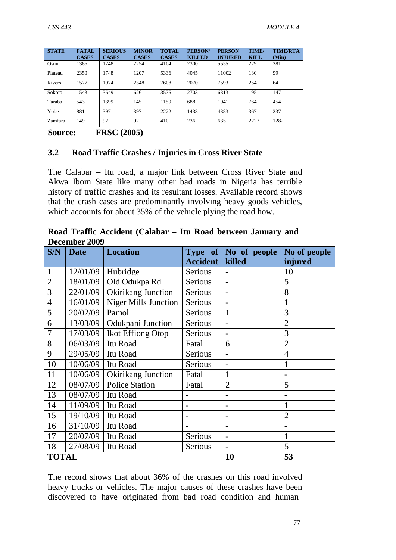| <b>STATE</b> | <b>FATAL</b><br><b>CASES</b> | <b>SERIOUS</b><br><b>CASES</b> | <b>MINOR</b><br><b>CASES</b> | <b>TOTAL</b><br><b>CASES</b> | <b>PERSON/</b><br><b>KILLED</b> | <b>PERSON</b><br><b>INJURED</b> | TIME/<br><b>KILL</b> | <b>TIME/RTA</b><br>(Min) |
|--------------|------------------------------|--------------------------------|------------------------------|------------------------------|---------------------------------|---------------------------------|----------------------|--------------------------|
| Osun         | 1386                         | 1748                           | 2254                         | 4104                         | 2300                            | 5555                            | 229                  | 281                      |
| Plateau      | 2350                         | 1748                           | 1207                         | 5336                         | 4045                            | 11002                           | 130                  | 99                       |
| Rivers       | 1577                         | 1974                           | 2348                         | 7608                         | 2070                            | 7593                            | 254                  | 64                       |
| Sokoto       | 1543                         | 3649                           | 626                          | 3575                         | 2703                            | 6313                            | 195                  | 147                      |
| Taraba       | 543                          | 1399                           | 145                          | 1159                         | 688                             | 1941                            | 764                  | 454                      |
| Yobe         | 881                          | 397                            | 397                          | 2222                         | 1433                            | 4383                            | 367                  | 237                      |
| Zamfara      | 149                          | 92                             | 92                           | 410                          | 236                             | 635                             | 2227                 | 1282                     |
| ____         |                              |                                |                              |                              |                                 |                                 |                      |                          |

**Source: FRSC (2005)**

#### **3.2 Road Traffic Crashes / Injuries in Cross River State**

The Calabar – Itu road, a major link between Cross River State and Akwa Ibom State like many other bad roads in Nigeria has terrible history of traffic crashes and its resultant losses. Available record shows that the crash cases are predominantly involving heavy goods vehicles, which accounts for about 35% of the vehicle plying the road how.

| Road Traffic Accident (Calabar – Itu Road between January and |  |  |  |
|---------------------------------------------------------------|--|--|--|
| December 2009                                                 |  |  |  |

| S/N            | <b>Date</b> | <b>Location</b>             |                           | Type of No of people     | No of people   |
|----------------|-------------|-----------------------------|---------------------------|--------------------------|----------------|
|                |             |                             | <b>Accident</b><br>killed |                          | injured        |
| $\mathbf{1}$   | 12/01/09    | Hubridge                    | Serious                   |                          | 10             |
| $\overline{2}$ | 18/01/09    | Old Odukpa Rd               | Serious                   |                          | 5              |
| 3              | 22/01/09    | Okirikang Junction          | Serious                   |                          | 8              |
| $\overline{4}$ | 16/01/09    | <b>Niger Mills Junction</b> | Serious                   |                          | 1              |
| 5              | 20/02/09    | Pamol                       | Serious                   | 1                        | 3              |
| 6              | 13/03/09    | Odukpani Junction           | Serious                   |                          | $\overline{2}$ |
| 7              | 17/03/09    | Ikot Effiong Otop           | Serious                   | $\overline{\phantom{0}}$ | 3              |
| 8              | 06/03/09    | Itu Road                    | Fatal                     | 6                        | $\overline{2}$ |
| 9              | 29/05/09    | Itu Road                    | Serious                   |                          | $\overline{4}$ |
| 10             | 10/06/09    | Itu Road                    | Serious                   |                          | 1              |
| 11             | 10/06/09    | Okirikang Junction          | Fatal                     | 1                        | $\overline{a}$ |
| 12             | 08/07/09    | <b>Police Station</b>       | Fatal                     | $\overline{2}$           | 5              |
| 13             | 08/07/09    | Itu Road                    |                           |                          |                |
| 14             | 11/09/09    | Itu Road                    |                           |                          | 1              |
| 15             | 19/10/09    | Itu Road                    |                           |                          | $\overline{2}$ |
| 16             | 31/10/09    | Itu Road                    |                           |                          |                |
| 17             | 20/07/09    | Itu Road                    | Serious<br>1              |                          |                |
| 18             | 27/08/09    | Itu Road                    | Serious                   |                          | 5              |
| <b>TOTAL</b>   |             |                             |                           | 10                       | 53             |

The record shows that about 36% of the crashes on this road involved heavy trucks or vehicles. The major causes of these crashes have been discovered to have originated from bad road condition and human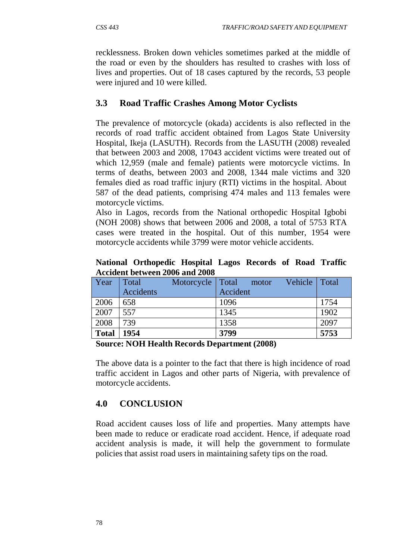recklessness. Broken down vehicles sometimes parked at the middle of the road or even by the shoulders has resulted to crashes with loss of lives and properties. Out of 18 cases captured by the records, 53 people were injured and 10 were killed.

## **3.3 Road Traffic Crashes Among Motor Cyclists**

The prevalence of motorcycle (okada) accidents is also reflected in the records of road traffic accident obtained from Lagos State University Hospital, Ikeja (LASUTH). Records from the LASUTH (2008) revealed that between 2003 and 2008, 17043 accident victims were treated out of which 12,959 (male and female) patients were motorcycle victims. In terms of deaths, between 2003 and 2008, 1344 male victims and 320 females died as road traffic injury (RTI) victims in the hospital. About 587 of the dead patients, comprising 474 males and 113 females were motorcycle victims.

Also in Lagos, records from the National orthopedic Hospital Igbobi (NOH 2008) shows that between 2006 and 2008, a total of 5753 RTA cases were treated in the hospital. Out of this number, 1954 were motorcycle accidents while 3799 were motor vehicle accidents.

**National Orthopedic Hospital Lagos Records of Road Traffic Accident between 2006 and 2008**

| Year         | Total     | Motorcycle | Total    | motor | Vehicle | Total |
|--------------|-----------|------------|----------|-------|---------|-------|
|              | Accidents |            | Accident |       |         |       |
| 2006         | 658       |            | 1096     |       |         | 1754  |
| 2007         | 557       |            | 1345     |       |         | 1902  |
| 2008         | 739       |            | 1358     |       |         | 2097  |
| <b>Total</b> | 1954      |            | 3799     |       |         | 5753  |

#### **Source: NOH Health Records Department (2008)**

The above data is a pointer to the fact that there is high incidence of road traffic accident in Lagos and other parts of Nigeria, with prevalence of motorcycle accidents.

## **4.0 CONCLUSION**

Road accident causes loss of life and properties. Many attempts have been made to reduce or eradicate road accident. Hence, if adequate road accident analysis is made, it will help the government to formulate policies that assist road users in maintaining safety tips on the road.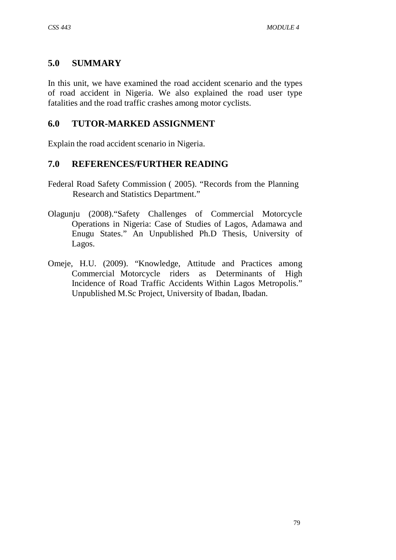## **5.0 SUMMARY**

In this unit, we have examined the road accident scenario and the types of road accident in Nigeria. We also explained the road user type fatalities and the road traffic crashes among motor cyclists.

## **6.0 TUTOR-MARKED ASSIGNMENT**

Explain the road accident scenario in Nigeria.

## **7.0 REFERENCES/FURTHER READING**

- Federal Road Safety Commission ( 2005). "Records from the Planning Research and Statistics Department."
- Olagunju (2008)."Safety Challenges of Commercial Motorcycle Operations in Nigeria: Case of Studies of Lagos, Adamawa and Enugu States." An Unpublished Ph.D Thesis, University of Lagos.
- Omeje, H.U. (2009). "Knowledge, Attitude and Practices among Commercial Motorcycle riders as Determinants of High Incidence of Road Traffic Accidents Within Lagos Metropolis." Unpublished M.Sc Project, University of Ibadan, Ibadan.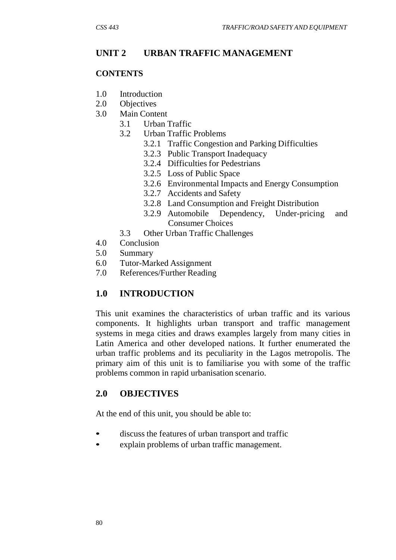## **UNIT 2 URBAN TRAFFIC MANAGEMENT**

#### **CONTENTS**

- 1.0 Introduction
- 2.0 Objectives
- 3.0 Main Content
	- 3.1 Urban Traffic
	- 3.2 Urban Traffic Problems
		- 3.2.1 Traffic Congestion and Parking Difficulties
		- 3.2.3 Public Transport Inadequacy
		- 3.2.4 Difficulties for Pedestrians
		- 3.2.5 Loss of Public Space
		- 3.2.6 Environmental Impacts and Energy Consumption
		- 3.2.7 Accidents and Safety
		- 3.2.8 Land Consumption and Freight Distribution
		- 3.2.9 Automobile Dependency, Under-pricing and Consumer Choices
	- 3.3 Other Urban Traffic Challenges
- 4.0 Conclusion
- 5.0 Summary
- 6.0 Tutor-Marked Assignment
- 7.0 References/Further Reading

## **1.0 INTRODUCTION**

This unit examines the characteristics of urban traffic and its various components. It highlights urban transport and traffic management systems in mega cities and draws examples largely from many cities in Latin America and other developed nations. It further enumerated the urban traffic problems and its peculiarity in the Lagos metropolis. The primary aim of this unit is to familiarise you with some of the traffic problems common in rapid urbanisation scenario.

## **2.0 OBJECTIVES**

At the end of this unit, you should be able to:

- discuss the features of urban transport and traffic
- explain problems of urban traffic management.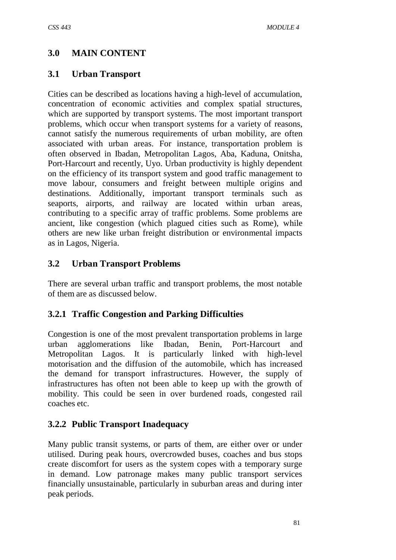# **3.0 MAIN CONTENT**

## **3.1 Urban Transport**

Cities can be described as locations having a high-level of accumulation, concentration of economic activities and complex spatial structures, which are supported by transport systems. The most important transport problems, which occur when transport systems for a variety of reasons, cannot satisfy the numerous requirements of urban mobility, are often associated with urban areas. For instance, transportation problem is often observed in Ibadan, Metropolitan Lagos, Aba, Kaduna, Onitsha, Port-Harcourt and recently, Uyo. Urban productivity is highly dependent on the efficiency of its transport system and good traffic management to move labour, consumers and freight between multiple origins and destinations. Additionally, important transport terminals such as seaports, airports, and railway are located within urban areas, contributing to a specific array of traffic problems. Some problems are ancient, like congestion (which plagued cities such as Rome), while others are new like urban freight distribution or environmental impacts as in Lagos, Nigeria.

## **3.2 Urban Transport Problems**

There are several urban traffic and transport problems, the most notable of them are as discussed below.

## **3.2.1 Traffic Congestion and Parking Difficulties**

Congestion is one of the most prevalent transportation problems in large urban agglomerations like Ibadan, Benin, Port-Harcourt and Metropolitan Lagos. It is particularly linked with high-level motorisation and the diffusion of the automobile, which has increased the demand for transport infrastructures. However, the supply of infrastructures has often not been able to keep up with the growth of mobility. This could be seen in over burdened roads, congested rail coaches etc.

## **3.2.2 Public Transport Inadequacy**

Many public transit systems, or parts of them, are either over or under utilised. During peak hours, overcrowded buses, coaches and bus stops create discomfort for users as the system copes with a temporary surge in demand. Low patronage makes many public transport services financially unsustainable, particularly in suburban areas and during inter peak periods.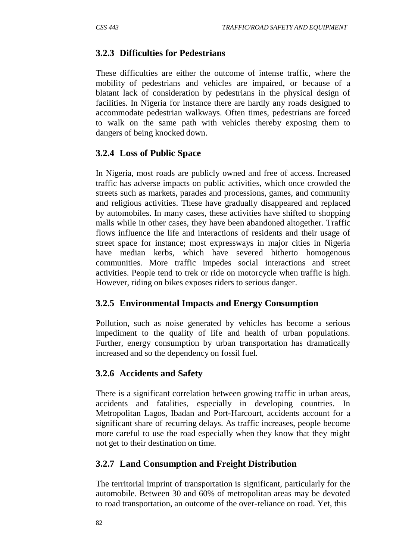## **3.2.3 Difficulties for Pedestrians**

These difficulties are either the outcome of intense traffic, where the mobility of pedestrians and vehicles are impaired, or because of a blatant lack of consideration by pedestrians in the physical design of facilities. In Nigeria for instance there are hardly any roads designed to accommodate pedestrian walkways. Often times, pedestrians are forced to walk on the same path with vehicles thereby exposing them to dangers of being knocked down.

## **3.2.4 Loss of Public Space**

In Nigeria, most roads are publicly owned and free of access. Increased traffic has adverse impacts on public activities, which once crowded the streets such as markets, parades and processions, games, and community and religious activities. These have gradually disappeared and replaced by automobiles. In many cases, these activities have shifted to shopping malls while in other cases, they have been abandoned altogether. Traffic flows influence the life and interactions of residents and their usage of street space for instance; most expressways in major cities in Nigeria have median kerbs, which have severed hitherto homogenous communities. More traffic impedes social interactions and street activities. People tend to trek or ride on motorcycle when traffic is high. However, riding on bikes exposes riders to serious danger.

## **3.2.5 Environmental Impacts and Energy Consumption**

Pollution, such as noise generated by vehicles has become a serious impediment to the quality of life and health of urban populations. Further, energy consumption by urban transportation has dramatically increased and so the dependency on fossil fuel.

## **3.2.6 Accidents and Safety**

There is a significant correlation between growing traffic in urban areas, accidents and fatalities, especially in developing countries. In Metropolitan Lagos, Ibadan and Port-Harcourt, accidents account for a significant share of recurring delays. As traffic increases, people become more careful to use the road especially when they know that they might not get to their destination on time.

## **3.2.7 Land Consumption and Freight Distribution**

The territorial imprint of transportation is significant, particularly for the automobile. Between 30 and 60% of metropolitan areas may be devoted to road transportation, an outcome of the over-reliance on road. Yet, this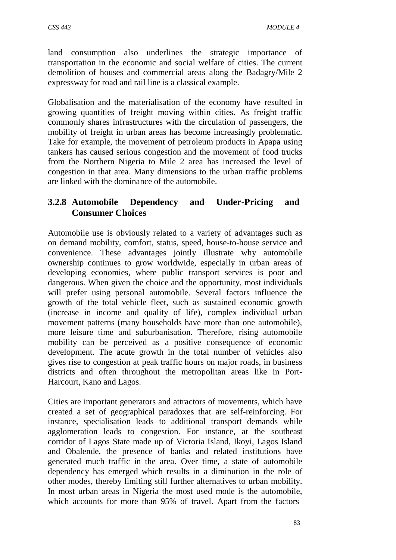land consumption also underlines the strategic importance of transportation in the economic and social welfare of cities. The current demolition of houses and commercial areas along the Badagry/Mile 2 expressway for road and rail line is a classical example.

Globalisation and the materialisation of the economy have resulted in growing quantities of freight moving within cities. As freight traffic commonly shares infrastructures with the circulation of passengers, the mobility of freight in urban areas has become increasingly problematic. Take for example, the movement of petroleum products in Apapa using tankers has caused serious congestion and the movement of food trucks from the Northern Nigeria to Mile 2 area has increased the level of congestion in that area. Many dimensions to the urban traffic problems are linked with the dominance of the automobile.

## **3.2.8 Automobile Dependency and Under-Pricing and Consumer Choices**

Automobile use is obviously related to a variety of advantages such as on demand mobility, comfort, status, speed, house-to-house service and convenience. These advantages jointly illustrate why automobile ownership continues to grow worldwide, especially in urban areas of developing economies, where public transport services is poor and dangerous. When given the choice and the opportunity, most individuals will prefer using personal automobile. Several factors influence the growth of the total vehicle fleet, such as sustained economic growth (increase in income and quality of life), complex individual urban movement patterns (many households have more than one automobile), more leisure time and suburbanisation. Therefore, rising automobile mobility can be perceived as a positive consequence of economic development. The acute growth in the total number of vehicles also gives rise to congestion at peak traffic hours on major roads, in business districts and often throughout the metropolitan areas like in Port-Harcourt, Kano and Lagos.

Cities are important generators and attractors of movements, which have created a set of geographical paradoxes that are self-reinforcing. For instance, specialisation leads to additional transport demands while agglomeration leads to congestion. For instance, at the southeast corridor of Lagos State made up of Victoria Island, Ikoyi, Lagos Island and Obalende, the presence of banks and related institutions have generated much traffic in the area. Over time, a state of automobile dependency has emerged which results in a diminution in the role of other modes, thereby limiting still further alternatives to urban mobility. In most urban areas in Nigeria the most used mode is the automobile, which accounts for more than 95% of travel. Apart from the factors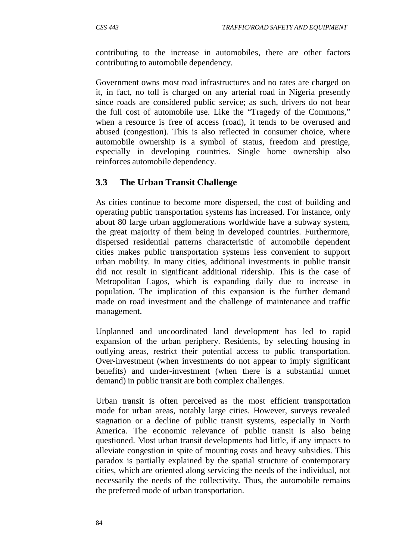contributing to the increase in automobiles, there are other factors contributing to automobile dependency.

Government owns most road infrastructures and no rates are charged on it, in fact, no toll is charged on any arterial road in Nigeria presently since roads are considered public service; as such, drivers do not bear the full cost of automobile use. Like the "Tragedy of the Commons," when a resource is free of access (road), it tends to be overused and abused (congestion). This is also reflected in consumer choice, where automobile ownership is a symbol of status, freedom and prestige, especially in developing countries. Single home ownership also reinforces automobile dependency.

## **3.3 The Urban Transit Challenge**

As cities continue to become more dispersed, the cost of building and operating public transportation systems has increased. For instance, only about 80 large urban agglomerations worldwide have a subway system, the great majority of them being in developed countries. Furthermore, dispersed residential patterns characteristic of automobile dependent cities makes public transportation systems less convenient to support urban mobility. In many cities, additional investments in public transit did not result in significant additional ridership. This is the case of Metropolitan Lagos, which is expanding daily due to increase in population. The implication of this expansion is the further demand made on road investment and the challenge of maintenance and traffic management.

Unplanned and uncoordinated land development has led to rapid expansion of the urban periphery. Residents, by selecting housing in outlying areas, restrict their potential access to public transportation. Over-investment (when investments do not appear to imply significant benefits) and under-investment (when there is a substantial unmet demand) in public transit are both complex challenges.

Urban transit is often perceived as the most efficient transportation mode for urban areas, notably large cities. However, surveys revealed stagnation or a decline of public transit systems, especially in North America. The economic relevance of public transit is also being questioned. Most urban transit developments had little, if any impacts to alleviate congestion in spite of mounting costs and heavy subsidies. This paradox is partially explained by the spatial structure of contemporary cities, which are oriented along servicing the needs of the individual, not necessarily the needs of the collectivity. Thus, the automobile remains the preferred mode of urban transportation.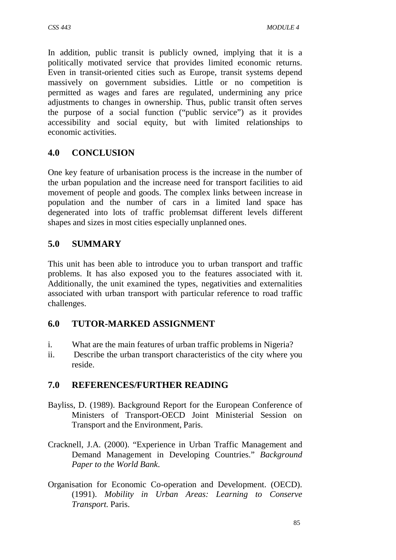In addition, public transit is publicly owned, implying that it is a politically motivated service that provides limited economic returns. Even in transit-oriented cities such as Europe, transit systems depend massively on government subsidies. Little or no competition is permitted as wages and fares are regulated, undermining any price adjustments to changes in ownership. Thus, public transit often serves the purpose of a social function ("public service") as it provides accessibility and social equity, but with limited relationships to economic activities.

## **4.0 CONCLUSION**

One key feature of urbanisation process is the increase in the number of the urban population and the increase need for transport facilities to aid movement of people and goods. The complex links between increase in population and the number of cars in a limited land space has degenerated into lots of traffic problemsat different levels different shapes and sizes in most cities especially unplanned ones.

## **5.0 SUMMARY**

This unit has been able to introduce you to urban transport and traffic problems. It has also exposed you to the features associated with it. Additionally, the unit examined the types, negativities and externalities associated with urban transport with particular reference to road traffic challenges.

## **6.0 TUTOR-MARKED ASSIGNMENT**

- i. What are the main features of urban traffic problems in Nigeria?
- ii. Describe the urban transport characteristics of the city where you reside.

## **7.0 REFERENCES/FURTHER READING**

- Bayliss, D. (1989). Background Report for the European Conference of Ministers of Transport-OECD Joint Ministerial Session on Transport and the Environment, Paris.
- Cracknell, J.A. (2000). "Experience in Urban Traffic Management and Demand Management in Developing Countries." *Background Paper to the World Bank*.
- Organisation for Economic Co-operation and Development. (OECD). (1991). *Mobility in Urban Areas: Learning to Conserve Transport.* Paris.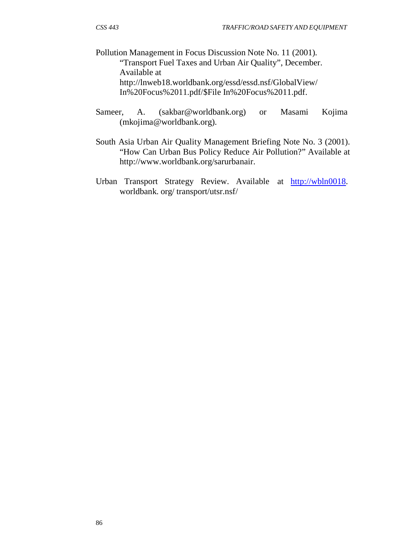Pollution Management in Focus Discussion Note No. 11 (2001). "Transport Fuel Taxes and Urban Air Quality", December. Available a[t](http://lnweb18.worldbank.org/essd/essd.nsf/GlobalView/) <http://lnweb18.worldbank.org/essd/essd.nsf/GlobalView/> In%20Focus%2011.pdf/\$File In%20Focus%2011.pdf.

- Sameer, A. (sakbar@worldbank.org) or Masami Kojima (mkojima@worldbank.org).
- South Asia Urban Air Quality Management Briefing Note No. 3 (2001). "How Can Urban Bus Policy Reduce Air Pollution?" Available a[t](http://www.worldbank.org/sarurbanair) [http://www.worldbank.org/sarurbanair.](http://www.worldbank.org/sarurbanair)
- Urban Transport Strategy Review. Available at [http://wbln0018.](http://wbln0018/) worldbank. org/ transport/utsr.nsf/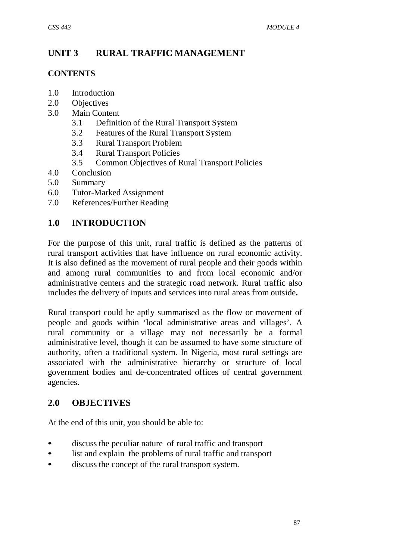# **UNIT 3 RURAL TRAFFIC MANAGEMENT**

#### **CONTENTS**

- 1.0 Introduction
- 2.0 Objectives
- 3.0 Main Content
	- 3.1 Definition of the Rural Transport System
	- 3.2 Features of the Rural Transport System
	- 3.3 Rural Transport Problem
	- 3.4 Rural Transport Policies
	- 3.5 Common Objectives of Rural Transport Policies
- 4.0 Conclusion
- 5.0 Summary
- 6.0 Tutor-Marked Assignment
- 7.0 References/Further Reading

## **1.0 INTRODUCTION**

For the purpose of this unit, rural traffic is defined as the patterns of rural transport activities that have influence on rural economic activity. It is also defined as the movement of rural people and their goods within and among rural communities to and from local economic and/or administrative centers and the strategic road network. Rural traffic also includes the delivery of inputs and services into rural areas from outside**.**

Rural transport could be aptly summarised as the flow or movement of people and goods within 'local administrative areas and villages'. A rural community or a village may not necessarily be a formal administrative level, though it can be assumed to have some structure of authority, often a traditional system. In Nigeria, most rural settings are associated with the administrative hierarchy or structure of local government bodies and de-concentrated offices of central government agencies.

## **2.0 OBJECTIVES**

At the end of this unit, you should be able to:

- discuss the peculiar nature of rural traffic and transport
- list and explain the problems of rural traffic and transport
- discuss the concept of the rural transport system.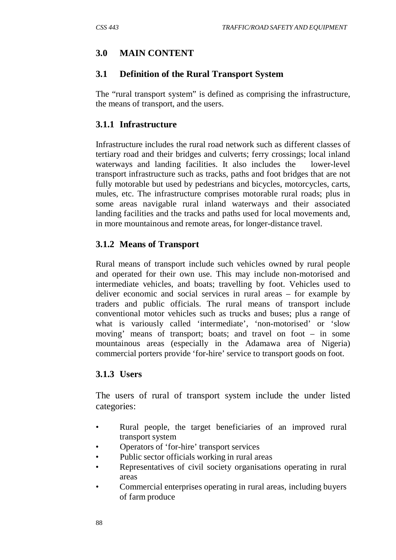# **3.0 MAIN CONTENT**

## **3.1 Definition of the Rural Transport System**

The "rural transport system" is defined as comprising the infrastructure, the means of transport, and the users.

## **3.1.1 Infrastructure**

Infrastructure includes the rural road network such as different classes of tertiary road and their bridges and culverts; ferry crossings; local inland waterways and landing facilities. It also includes the lower-level transport infrastructure such as tracks, paths and foot bridges that are not fully motorable but used by pedestrians and bicycles, motorcycles, carts, mules, etc. The infrastructure comprises motorable rural roads; plus in some areas navigable rural inland waterways and their associated landing facilities and the tracks and paths used for local movements and, in more mountainous and remote areas, for longer-distance travel.

## **3.1.2 Means of Transport**

Rural means of transport include such vehicles owned by rural people and operated for their own use. This may include non-motorised and intermediate vehicles, and boats; travelling by foot. Vehicles used to deliver economic and social services in rural areas – for example by traders and public officials. The rural means of transport include conventional motor vehicles such as trucks and buses; plus a range of what is variously called 'intermediate', 'non-motorised' or 'slow moving' means of transport; boats; and travel on foot – in some mountainous areas (especially in the Adamawa area of Nigeria) commercial porters provide 'for-hire' service to transport goods on foot.

## **3.1.3 Users**

The users of rural of transport system include the under listed categories:

- Rural people, the target beneficiaries of an improved rural transport system
- Operators of 'for-hire' transport services
- Public sector officials working in rural areas
- Representatives of civil society organisations operating in rural areas
- Commercial enterprises operating in rural areas, including buyers of farm produce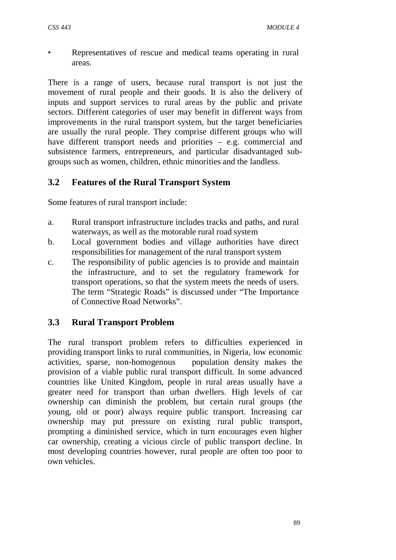• Representatives of rescue and medical teams operating in rural areas.

There is a range of users, because rural transport is not just the movement of rural people and their goods. It is also the delivery of inputs and support services to rural areas by the public and private sectors. Different categories of user may benefit in different ways from improvements in the rural transport system, but the target beneficiaries are usually the rural people. They comprise different groups who will have different transport needs and priorities – e.g. commercial and subsistence farmers, entrepreneurs, and particular disadvantaged subgroups such as women, children, ethnic minorities and the landless.

## **3.2 Features of the Rural Transport System**

Some features of rural transport include:

- a. Rural transport infrastructure includes tracks and paths, and rural waterways, as well as the motorable rural road system
- b. Local government bodies and village authorities have direct responsibilities for management of the rural transport system
- c. The responsibility of public agencies is to provide and maintain the infrastructure, and to set the regulatory framework for transport operations, so that the system meets the needs of users. The term "Strategic Roads" is discussed under "The Importance of Connective Road Networks".

## **3.3 Rural Transport Problem**

The rural transport problem refers to difficulties experienced in providing transport links to rural communities, in Nigeria, low economic activities, sparse, non-homogenous population density makes the provision of a viable public rural transport difficult. In some advanced countries like United Kingdom, people in rural areas usually have a greater need for transport than urban dwellers. High levels of car ownership can diminish the problem, but certain rural groups (the young, old or poor) always require public transport. Increasing car ownership may put pressure on existing rural public transport, prompting a diminished service, which in turn encourages even higher car ownership, creating a vicious circle of public transport decline. In most developing countries however, rural people are often too poor to own vehicles.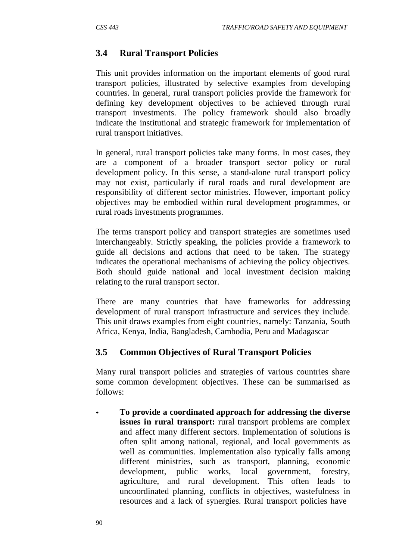## **3.4 Rural Transport Policies**

This unit provides information on the important elements of good rural transport policies, illustrated by selective examples from developing countries. In general, rural transport policies provide the framework for defining key development objectives to be achieved through rural transport investments. The policy framework should also broadly indicate the institutional and strategic framework for implementation of rural transport initiatives.

In general, rural transport policies take many forms. In most cases, they are a component of a broader transport sector policy or rural development policy. In this sense, a stand-alone rural transport policy may not exist, particularly if rural roads and rural development are responsibility of different sector ministries. However, important policy objectives may be embodied within rural development programmes, or rural roads investments programmes.

The terms transport policy and transport strategies are sometimes used interchangeably. Strictly speaking, the policies provide a framework to guide all decisions and actions that need to be taken. The strategy indicates the operational mechanisms of achieving the policy objectives. Both should guide national and local investment decision making relating to the rural transport sector.

There are many countries that have frameworks for addressing development of rural transport infrastructure and services they include. This unit draws examples from eight countries, namely: Tanzania, South Africa, Kenya, India, Bangladesh, Cambodia, Peru and Madagascar

## **3.5 Common Objectives of Rural Transport Policies**

Many rural transport policies and strategies of various countries share some common development objectives. These can be summarised as follows:

• **To provide a coordinated approach for addressing the diverse issues in rural transport:** rural transport problems are complex and affect many different sectors. Implementation of solutions is often split among national, regional, and local governments as well as communities. Implementation also typically falls among different ministries, such as transport, planning, economic development, public works, local government, forestry, agriculture, and rural development. This often leads to uncoordinated planning, conflicts in objectives, wastefulness in resources and a lack of synergies. Rural transport policies have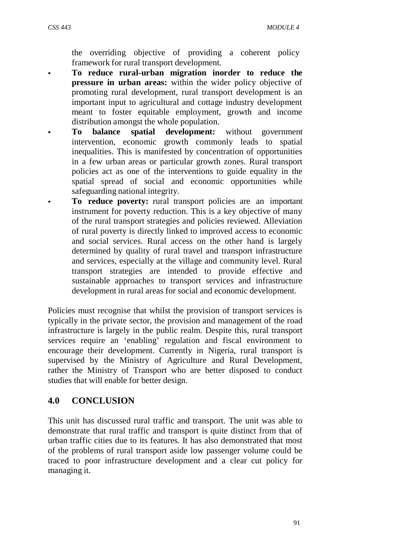the overriding objective of providing a coherent policy framework for rural transport development.

- **To reduce rural-urban migration inorder to reduce the pressure in urban areas:** within the wider policy objective of promoting rural development, rural transport development is an important input to agricultural and cottage industry development meant to foster equitable employment, growth and income distribution amongst the whole population.
- **To balance spatial development:** without government intervention, economic growth commonly leads to spatial inequalities. This is manifested by concentration of opportunities in a few urban areas or particular growth zones. Rural transport policies act as one of the interventions to guide equality in the spatial spread of social and economic opportunities while safeguarding national integrity.
- **To reduce poverty:** rural transport policies are an important instrument for poverty reduction. This is a key objective of many of the rural transport strategies and policies reviewed. Alleviation of rural poverty is directly linked to improved access to economic and social services. Rural access on the other hand is largely determined by quality of rural travel and transport infrastructure and services, especially at the village and community level. Rural transport strategies are intended to provide effective and sustainable approaches to transport services and infrastructure development in rural areas for social and economic development.

Policies must recognise that whilst the provision of transport services is typically in the private sector, the provision and management of the road infrastructure is largely in the public realm. Despite this, rural transport services require an 'enabling' regulation and fiscal environment to encourage their development. Currently in Nigeria, rural transport is supervised by the Ministry of Agriculture and Rural Development, rather the Ministry of Transport who are better disposed to conduct studies that will enable for better design.

## **4.0 CONCLUSION**

This unit has discussed rural traffic and transport. The unit was able to demonstrate that rural traffic and transport is quite distinct from that of urban traffic cities due to its features. It has also demonstrated that most of the problems of rural transport aside low passenger volume could be traced to poor infrastructure development and a clear cut policy for managing it.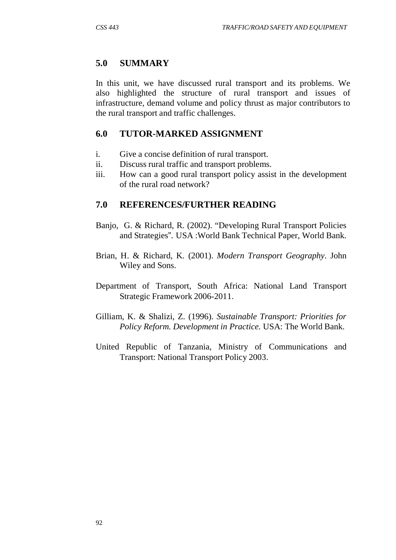## **5.0 SUMMARY**

In this unit, we have discussed rural transport and its problems. We also highlighted the structure of rural transport and issues of infrastructure, demand volume and policy thrust as major contributors to the rural transport and traffic challenges.

## **6.0 TUTOR-MARKED ASSIGNMENT**

- i. Give a concise definition of rural transport.
- ii. Discuss rural traffic and transport problems.
- iii. How can a good rural transport policy assist in the development of the rural road network?

## **7.0 REFERENCES/FURTHER READING**

- Banjo, G. & Richard, R. (2002). "Developing Rural Transport Policies and Strategies". USA :World Bank Technical Paper, World Bank.
- Brian, H. & Richard, K. (2001). *Modern Transport Geography*. John Wiley and Sons.
- Department of Transport, South Africa: National Land Transport Strategic Framework 2006-2011.
- Gilliam, K. & Shalizi, Z. (1996). *Sustainable Transport: Priorities for Policy Reform. Development in Practice.* USA: The World Bank.
- United Republic of Tanzania, Ministry of Communications and Transport: National Transport Policy 2003.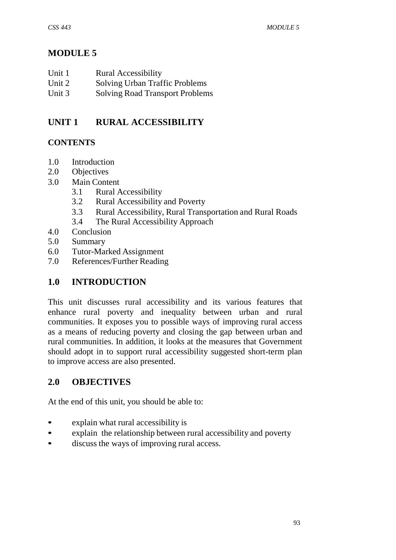# **MODULE 5**

| Unit 1<br><b>Rural Accessibility</b> |
|--------------------------------------|
|--------------------------------------|

- Unit 2 Solving Urban Traffic Problems<br>
Unit 3 Solving Road Transport Problem
- Solving Road Transport Problems

# **UNIT 1 RURAL ACCESSIBILITY**

## **CONTENTS**

- 1.0 Introduction
- 2.0 Objectives
- 3.0 Main Content
	- 3.1 Rural Accessibility
	- 3.2 Rural Accessibility and Poverty
	- 3.3 Rural Accessibility, Rural Transportation and Rural Roads
	- 3.4 The Rural Accessibility Approach
- 4.0 Conclusion
- 5.0 Summary
- 6.0 Tutor-Marked Assignment
- 7.0 References/Further Reading

## **1.0 INTRODUCTION**

This unit discusses rural accessibility and its various features that enhance rural poverty and inequality between urban and rural communities. It exposes you to possible ways of improving rural access as a means of reducing poverty and closing the gap between urban and rural communities. In addition, it looks at the measures that Government should adopt in to support rural accessibility suggested short-term plan to improve access are also presented.

## **2.0 OBJECTIVES**

At the end of this unit, you should be able to:

- explain what rural accessibility is
- explain the relationship between rural accessibility and poverty
- discuss the ways of improving rural access.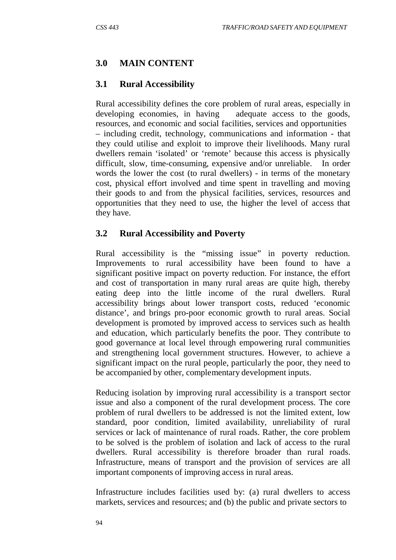## **3.0 MAIN CONTENT**

#### **3.1 Rural Accessibility**

Rural accessibility defines the core problem of rural areas, especially in developing economies, in having adequate access to the goods, resources, and economic and social facilities, services and opportunities – including credit, technology, communications and information - that they could utilise and exploit to improve their livelihoods. Many rural dwellers remain 'isolated' or 'remote' because this access is physically difficult, slow, time-consuming, expensive and/or unreliable. In order words the lower the cost (to rural dwellers) - in terms of the monetary cost, physical effort involved and time spent in travelling and moving their goods to and from the physical facilities, services, resources and opportunities that they need to use, the higher the level of access that they have.

#### **3.2 Rural Accessibility and Poverty**

Rural accessibility is the "missing issue" in poverty reduction. Improvements to rural accessibility have been found to have a significant positive impact on poverty reduction. For instance, the effort and cost of transportation in many rural areas are quite high, thereby eating deep into the little income of the rural dwellers. Rural accessibility brings about lower transport costs, reduced 'economic distance', and brings pro-poor economic growth to rural areas. Social development is promoted by improved access to services such as health and education, which particularly benefits the poor. They contribute to good governance at local level through empowering rural communities and strengthening local government structures. However, to achieve a significant impact on the rural people, particularly the poor, they need to be accompanied by other, complementary development inputs.

Reducing isolation by improving rural accessibility is a transport sector issue and also a component of the rural development process. The core problem of rural dwellers to be addressed is not the limited extent, low standard, poor condition, limited availability, unreliability of rural services or lack of maintenance of rural roads. Rather, the core problem to be solved is the problem of isolation and lack of access to the rural dwellers. Rural accessibility is therefore broader than rural roads. Infrastructure, means of transport and the provision of services are all important components of improving access in rural areas.

Infrastructure includes facilities used by: (a) rural dwellers to access markets, services and resources; and (b) the public and private sectors to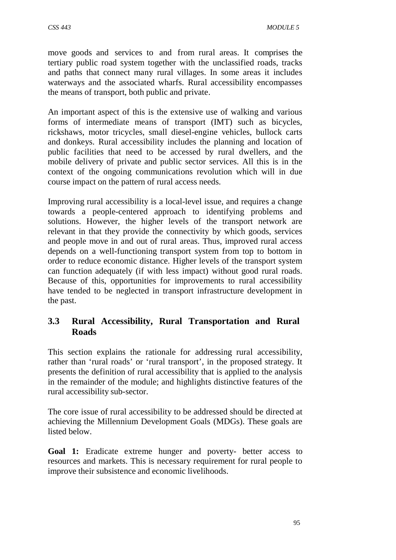move goods and services to and from rural areas. It comprises the tertiary public road system together with the unclassified roads, tracks and paths that connect many rural villages. In some areas it includes waterways and the associated wharfs. Rural accessibility encompasses the means of transport, both public and private.

An important aspect of this is the extensive use of walking and various forms of intermediate means of transport (IMT) such as bicycles, rickshaws, motor tricycles, small diesel-engine vehicles, bullock carts and donkeys. Rural accessibility includes the planning and location of public facilities that need to be accessed by rural dwellers, and the mobile delivery of private and public sector services. All this is in the context of the ongoing communications revolution which will in due course impact on the pattern of rural access needs.

Improving rural accessibility is a local-level issue, and requires a change towards a people-centered approach to identifying problems and solutions. However, the higher levels of the transport network are relevant in that they provide the connectivity by which goods, services and people move in and out of rural areas. Thus, improved rural access depends on a well-functioning transport system from top to bottom in order to reduce economic distance. Higher levels of the transport system can function adequately (if with less impact) without good rural roads. Because of this, opportunities for improvements to rural accessibility have tended to be neglected in transport infrastructure development in the past.

### **3.3 Rural Accessibility, Rural Transportation and Rural Roads**

This section explains the rationale for addressing rural accessibility, rather than 'rural roads' or 'rural transport', in the proposed strategy. It presents the definition of rural accessibility that is applied to the analysis in the remainder of the module; and highlights distinctive features of the rural accessibility sub-sector.

The core issue of rural accessibility to be addressed should be directed at achieving the Millennium Development Goals (MDGs). These goals are listed below.

**Goal 1:** Eradicate extreme hunger and poverty- better access to resources and markets. This is necessary requirement for rural people to improve their subsistence and economic livelihoods.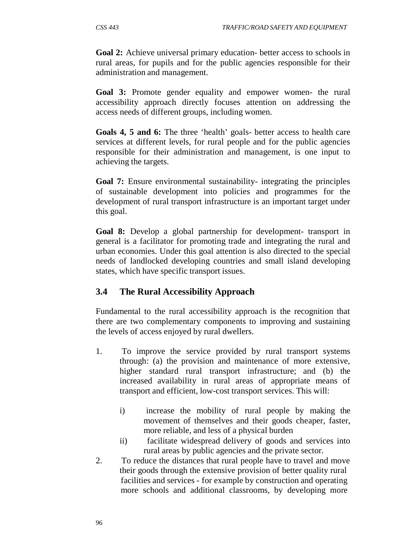**Goal 2:** Achieve universal primary education- better access to schools in rural areas, for pupils and for the public agencies responsible for their administration and management.

**Goal 3:** Promote gender equality and empower women- the rural accessibility approach directly focuses attention on addressing the access needs of different groups, including women.

**Goals 4, 5 and 6:** The three 'health' goals- better access to health care services at different levels, for rural people and for the public agencies responsible for their administration and management, is one input to achieving the targets.

**Goal 7:** Ensure environmental sustainability- integrating the principles of sustainable development into policies and programmes for the development of rural transport infrastructure is an important target under this goal.

**Goal 8:** Develop a global partnership for development- transport in general is a facilitator for promoting trade and integrating the rural and urban economies. Under this goal attention is also directed to the special needs of landlocked developing countries and small island developing states, which have specific transport issues.

### **3.4 The Rural Accessibility Approach**

Fundamental to the rural accessibility approach is the recognition that there are two complementary components to improving and sustaining the levels of access enjoyed by rural dwellers.

- 1. To improve the service provided by rural transport systems through: (a) the provision and maintenance of more extensive, higher standard rural transport infrastructure; and (b) the increased availability in rural areas of appropriate means of transport and efficient, low-cost transport services. This will:
	- i) increase the mobility of rural people by making the movement of themselves and their goods cheaper, faster, more reliable, and less of a physical burden
	- ii) facilitate widespread delivery of goods and services into rural areas by public agencies and the private sector.
- 2. To reduce the distances that rural people have to travel and move their goods through the extensive provision of better quality rural facilities and services - for example by construction and operating more schools and additional classrooms, by developing more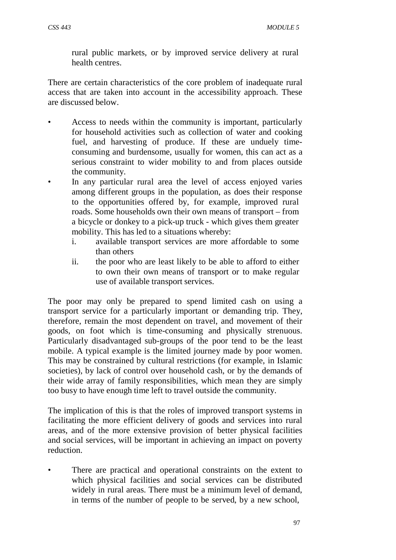rural public markets, or by improved service delivery at rural health centres.

There are certain characteristics of the core problem of inadequate rural access that are taken into account in the accessibility approach. These are discussed below.

- Access to needs within the community is important, particularly for household activities such as collection of water and cooking fuel, and harvesting of produce. If these are unduely timeconsuming and burdensome, usually for women, this can act as a serious constraint to wider mobility to and from places outside the community.
- In any particular rural area the level of access enjoyed varies among different groups in the population, as does their response to the opportunities offered by, for example, improved rural roads. Some households own their own means of transport – from a bicycle or donkey to a pick-up truck - which gives them greater mobility. This has led to a situations whereby:
	- i. available transport services are more affordable to some than others
	- ii. the poor who are least likely to be able to afford to either to own their own means of transport or to make regular use of available transport services.

The poor may only be prepared to spend limited cash on using a transport service for a particularly important or demanding trip. They, therefore, remain the most dependent on travel, and movement of their goods, on foot which is time-consuming and physically strenuous. Particularly disadvantaged sub-groups of the poor tend to be the least mobile. A typical example is the limited journey made by poor women. This may be constrained by cultural restrictions (for example, in Islamic societies), by lack of control over household cash, or by the demands of their wide array of family responsibilities, which mean they are simply too busy to have enough time left to travel outside the community.

The implication of this is that the roles of improved transport systems in facilitating the more efficient delivery of goods and services into rural areas, and of the more extensive provision of better physical facilities and social services, will be important in achieving an impact on poverty reduction.

There are practical and operational constraints on the extent to which physical facilities and social services can be distributed widely in rural areas. There must be a minimum level of demand, in terms of the number of people to be served, by a new school,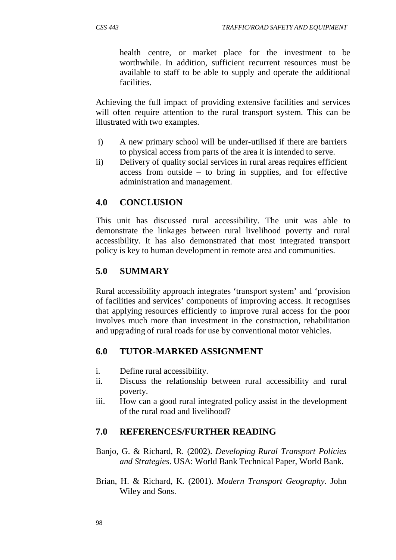health centre, or market place for the investment to be worthwhile. In addition, sufficient recurrent resources must be available to staff to be able to supply and operate the additional facilities.

Achieving the full impact of providing extensive facilities and services will often require attention to the rural transport system. This can be illustrated with two examples.

- i) A new primary school will be under-utilised if there are barriers to physical access from parts of the area it is intended to serve.
- ii) Delivery of quality social services in rural areas requires efficient access from outside – to bring in supplies, and for effective administration and management.

### **4.0 CONCLUSION**

This unit has discussed rural accessibility. The unit was able to demonstrate the linkages between rural livelihood poverty and rural accessibility. It has also demonstrated that most integrated transport policy is key to human development in remote area and communities.

### **5.0 SUMMARY**

Rural accessibility approach integrates 'transport system' and 'provision of facilities and services' components of improving access. It recognises that applying resources efficiently to improve rural access for the poor involves much more than investment in the construction, rehabilitation and upgrading of rural roads for use by conventional motor vehicles.

### **6.0 TUTOR-MARKED ASSIGNMENT**

- i. Define rural accessibility.
- ii. Discuss the relationship between rural accessibility and rural poverty.
- iii. How can a good rural integrated policy assist in the development of the rural road and livelihood?

### **7.0 REFERENCES/FURTHER READING**

- Banjo, G. & Richard, R. (2002). *Developing Rural Transport Policies and Strategies*. USA: World Bank Technical Paper, World Bank.
- Brian, H. & Richard, K. (2001). *Modern Transport Geography*. John Wiley and Sons.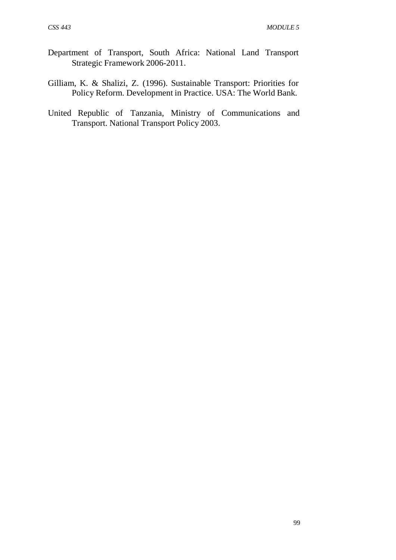- Department of Transport, South Africa: National Land Transport Strategic Framework 2006-2011.
- Gilliam, K. & Shalizi, Z. (1996). Sustainable Transport: Priorities for Policy Reform. Development in Practice. USA: The World Bank.
- United Republic of Tanzania, Ministry of Communications and Transport. National Transport Policy 2003.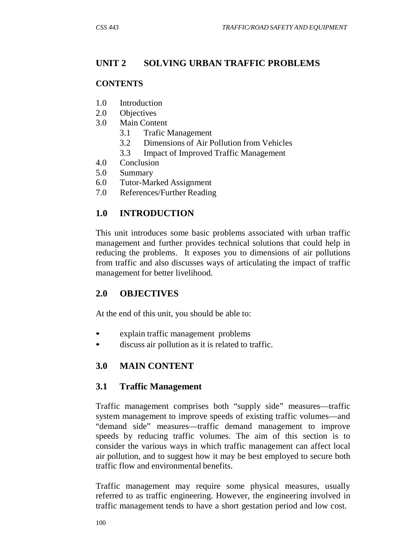# **UNIT 2 SOLVING URBAN TRAFFIC PROBLEMS**

#### **CONTENTS**

- 1.0 Introduction
- 2.0 Objectives
- 3.0 Main Content
	- 3.1 Trafic Management
	- 3.2 Dimensions of Air Pollution from Vehicles
	- 3.3 Impact of Improved Traffic Management
- 4.0 Conclusion
- 5.0 Summary
- 6.0 Tutor-Marked Assignment
- 7.0 References/Further Reading

# **1.0 INTRODUCTION**

This unit introduces some basic problems associated with urban traffic management and further provides technical solutions that could help in reducing the problems. It exposes you to dimensions of air pollutions from traffic and also discusses ways of articulating the impact of traffic management for better livelihood.

### **2.0 OBJECTIVES**

At the end of this unit, you should be able to:

- explain traffic management problems
- discuss air pollution as it is related to traffic.

# **3.0 MAIN CONTENT**

### **3.1 Traffic Management**

Traffic management comprises both "supply side" measures—traffic system management to improve speeds of existing traffic volumes—and "demand side" measures—traffic demand management to improve speeds by reducing traffic volumes. The aim of this section is to consider the various ways in which traffic management can affect local air pollution, and to suggest how it may be best employed to secure both traffic flow and environmental benefits.

Traffic management may require some physical measures, usually referred to as traffic engineering. However, the engineering involved in traffic management tends to have a short gestation period and low cost.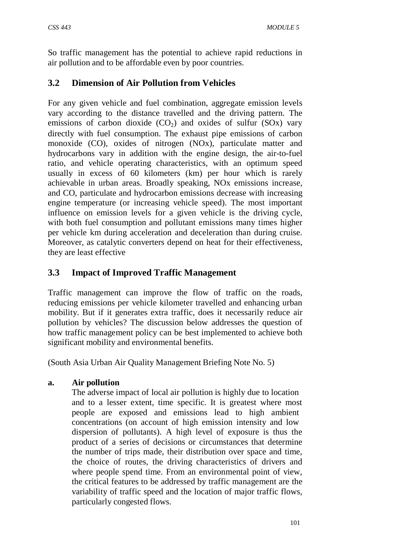So traffic management has the potential to achieve rapid reductions in air pollution and to be affordable even by poor countries.

# **3.2 Dimension of Air Pollution from Vehicles**

For any given vehicle and fuel combination, aggregate emission levels vary according to the distance travelled and the driving pattern. The emissions of carbon dioxide  $(CO<sub>2</sub>)$  and oxides of sulfur  $(SOx)$  vary directly with fuel consumption. The exhaust pipe emissions of carbon monoxide (CO), oxides of nitrogen (NOx), particulate matter and hydrocarbons vary in addition with the engine design, the air-to-fuel ratio, and vehicle operating characteristics, with an optimum speed usually in excess of 60 kilometers (km) per hour which is rarely achievable in urban areas. Broadly speaking, NOx emissions increase, and CO, particulate and hydrocarbon emissions decrease with increasing engine temperature (or increasing vehicle speed). The most important influence on emission levels for a given vehicle is the driving cycle, with both fuel consumption and pollutant emissions many times higher per vehicle km during acceleration and deceleration than during cruise. Moreover, as catalytic converters depend on heat for their effectiveness, they are least effective

# **3.3 Impact of Improved Traffic Management**

Traffic management can improve the flow of traffic on the roads, reducing emissions per vehicle kilometer travelled and enhancing urban mobility. But if it generates extra traffic, does it necessarily reduce air pollution by vehicles? The discussion below addresses the question of how traffic management policy can be best implemented to achieve both significant mobility and environmental benefits.

(South Asia Urban Air Quality Management Briefing Note No. 5)

### **a. Air pollution**

The adverse impact of local air pollution is highly due to location and to a lesser extent, time specific. It is greatest where most people are exposed and emissions lead to high ambient concentrations (on account of high emission intensity and low dispersion of pollutants). A high level of exposure is thus the product of a series of decisions or circumstances that determine the number of trips made, their distribution over space and time, the choice of routes, the driving characteristics of drivers and where people spend time. From an environmental point of view, the critical features to be addressed by traffic management are the variability of traffic speed and the location of major traffic flows, particularly congested flows.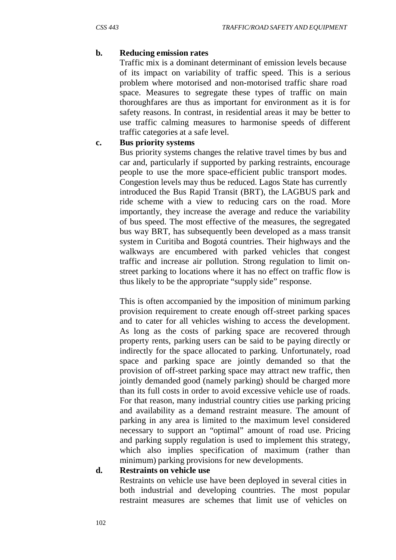#### **b. Reducing emission rates**

Traffic mix is a dominant determinant of emission levels because of its impact on variability of traffic speed. This is a serious problem where motorised and non-motorised traffic share road space. Measures to segregate these types of traffic on main thoroughfares are thus as important for environment as it is for safety reasons. In contrast, in residential areas it may be better to use traffic calming measures to harmonise speeds of different traffic categories at a safe level.

#### **c. Bus priority systems**

Bus priority systems changes the relative travel times by bus and car and, particularly if supported by parking restraints, encourage people to use the more space-efficient public transport modes. Congestion levels may thus be reduced. Lagos State has currently introduced the Bus Rapid Transit (BRT), the LAGBUS park and ride scheme with a view to reducing cars on the road. More importantly, they increase the average and reduce the variability of bus speed. The most effective of the measures, the segregated bus way BRT, has subsequently been developed as a mass transit system in Curitiba and Bogotá countries. Their highways and the walkways are encumbered with parked vehicles that congest traffic and increase air pollution. Strong regulation to limit onstreet parking to locations where it has no effect on traffic flow is thus likely to be the appropriate "supply side" response.

This is often accompanied by the imposition of minimum parking provision requirement to create enough off-street parking spaces and to cater for all vehicles wishing to access the development. As long as the costs of parking space are recovered through property rents, parking users can be said to be paying directly or indirectly for the space allocated to parking. Unfortunately, road space and parking space are jointly demanded so that the provision of off-street parking space may attract new traffic, then jointly demanded good (namely parking) should be charged more than its full costs in order to avoid excessive vehicle use of roads. For that reason, many industrial country cities use parking pricing and availability as a demand restraint measure. The amount of parking in any area is limited to the maximum level considered necessary to support an "optimal" amount of road use. Pricing and parking supply regulation is used to implement this strategy, which also implies specification of maximum (rather than minimum) parking provisions for new developments.

#### **d. Restraints on vehicle use**

Restraints on vehicle use have been deployed in several cities in both industrial and developing countries. The most popular restraint measures are schemes that limit use of vehicles on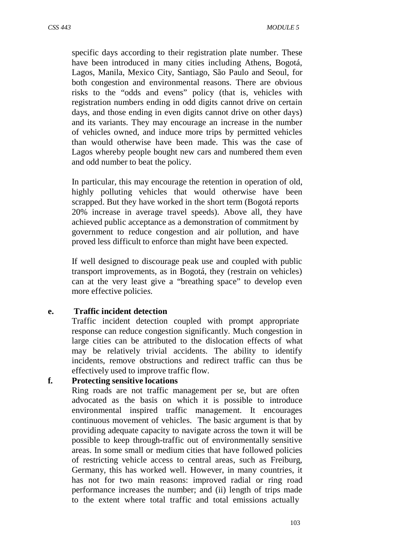specific days according to their registration plate number. These have been introduced in many cities including Athens, Bogotá, Lagos, Manila, Mexico City, Santiago, São Paulo and Seoul, for both congestion and environmental reasons. There are obvious risks to the "odds and evens" policy (that is, vehicles with registration numbers ending in odd digits cannot drive on certain days, and those ending in even digits cannot drive on other days) and its variants. They may encourage an increase in the number of vehicles owned, and induce more trips by permitted vehicles than would otherwise have been made. This was the case of Lagos whereby people bought new cars and numbered them even and odd number to beat the policy.

In particular, this may encourage the retention in operation of old, highly polluting vehicles that would otherwise have been scrapped. But they have worked in the short term (Bogotá reports 20% increase in average travel speeds). Above all, they have achieved public acceptance as a demonstration of commitment by government to reduce congestion and air pollution, and have proved less difficult to enforce than might have been expected.

If well designed to discourage peak use and coupled with public transport improvements, as in Bogotá, they (restrain on vehicles) can at the very least give a "breathing space" to develop even more effective policie*s.*

#### **e. Traffic incident detection**

Traffic incident detection coupled with prompt appropriate response can reduce congestion significantly. Much congestion in large cities can be attributed to the dislocation effects of what may be relatively trivial accidents. The ability to identify incidents, remove obstructions and redirect traffic can thus be effectively used to improve traffic flow.

#### **f. Protecting sensitive locations**

Ring roads are not traffic management per se, but are often advocated as the basis on which it is possible to introduce environmental inspired traffic management. It encourages continuous movement of vehicles. The basic argument is that by providing adequate capacity to navigate across the town it will be possible to keep through-traffic out of environmentally sensitive areas. In some small or medium cities that have followed policies of restricting vehicle access to central areas, such as Freiburg, Germany, this has worked well. However, in many countries, it has not for two main reasons: improved radial or ring road performance increases the number; and (ii) length of trips made to the extent where total traffic and total emissions actually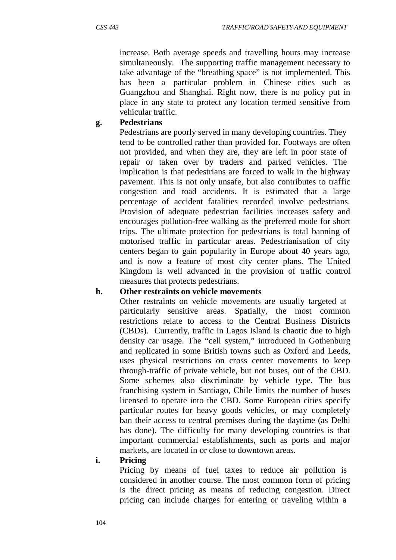increase. Both average speeds and travelling hours may increase simultaneously. The supporting traffic management necessary to take advantage of the "breathing space" is not implemented. This has been a particular problem in Chinese cities such as Guangzhou and Shanghai. Right now, there is no policy put in place in any state to protect any location termed sensitive from vehicular traffic.

#### **g. Pedestrians**

Pedestrians are poorly served in many developing countries. They tend to be controlled rather than provided for. Footways are often not provided, and when they are, they are left in poor state of repair or taken over by traders and parked vehicles. The implication is that pedestrians are forced to walk in the highway pavement. This is not only unsafe, but also contributes to traffic congestion and road accidents. It is estimated that a large percentage of accident fatalities recorded involve pedestrians. Provision of adequate pedestrian facilities increases safety and encourages pollution-free walking as the preferred mode for short trips. The ultimate protection for pedestrians is total banning of motorised traffic in particular areas. Pedestrianisation of city centers began to gain popularity in Europe about 40 years ago, and is now a feature of most city center plans. The United Kingdom is well advanced in the provision of traffic control measures that protects pedestrians.

#### **h. Other restraints on vehicle movements**

Other restraints on vehicle movements are usually targeted at particularly sensitive areas. Spatially, the most common restrictions relate to access to the Central Business Districts (CBDs). Currently, traffic in Lagos Island is chaotic due to high density car usage. The "cell system," introduced in Gothenburg and replicated in some British towns such as Oxford and Leeds, uses physical restrictions on cross center movements to keep through-traffic of private vehicle, but not buses, out of the CBD. Some schemes also discriminate by vehicle type. The bus franchising system in Santiago, Chile limits the number of buses licensed to operate into the CBD. Some European cities specify particular routes for heavy goods vehicles, or may completely ban their access to central premises during the daytime (as Delhi has done). The difficulty for many developing countries is that important commercial establishments, such as ports and major markets, are located in or close to downtown areas.

#### **i. Pricing**

Pricing by means of fuel taxes to reduce air pollution is considered in another course. The most common form of pricing is the direct pricing as means of reducing congestion. Direct pricing can include charges for entering or traveling within a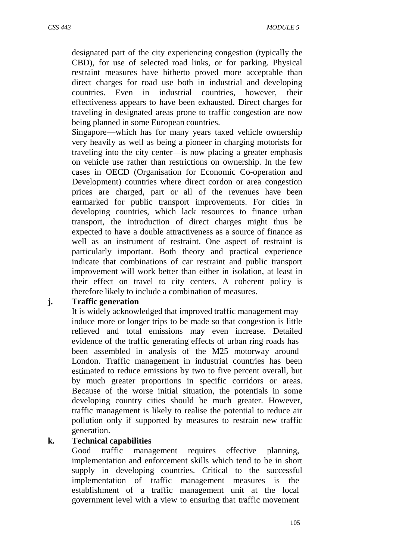designated part of the city experiencing congestion (typically the CBD), for use of selected road links, or for parking. Physical restraint measures have hitherto proved more acceptable than direct charges for road use both in industrial and developing countries. Even in industrial countries, however, their effectiveness appears to have been exhausted. Direct charges for traveling in designated areas prone to traffic congestion are now being planned in some European countries.

Singapore—which has for many years taxed vehicle ownership very heavily as well as being a pioneer in charging motorists for traveling into the city center—is now placing a greater emphasis on vehicle use rather than restrictions on ownership. In the few cases in OECD (Organisation for Economic Co-operation and Development) countries where direct cordon or area congestion prices are charged, part or all of the revenues have been earmarked for public transport improvements. For cities in developing countries, which lack resources to finance urban transport, the introduction of direct charges might thus be expected to have a double attractiveness as a source of finance as well as an instrument of restraint. One aspect of restraint is particularly important. Both theory and practical experience indicate that combinations of car restraint and public transport improvement will work better than either in isolation, at least in their effect on travel to city centers. A coherent policy is therefore likely to include a combination of measures.

#### **j. Traffic generation**

It is widely acknowledged that improved traffic management may induce more or longer trips to be made so that congestion is little relieved and total emissions may even increase. Detailed evidence of the traffic generating effects of urban ring roads has been assembled in analysis of the M25 motorway around London. Traffic management in industrial countries has been estimated to reduce emissions by two to five percent overall, but by much greater proportions in specific corridors or areas. Because of the worse initial situation, the potentials in some developing country cities should be much greater. However, traffic management is likely to realise the potential to reduce air pollution only if supported by measures to restrain new traffic generation.

#### **k. Technical capabilities**

Good traffic management requires effective planning, implementation and enforcement skills which tend to be in short supply in developing countries. Critical to the successful implementation of traffic management measures is the establishment of a traffic management unit at the local government level with a view to ensuring that traffic movement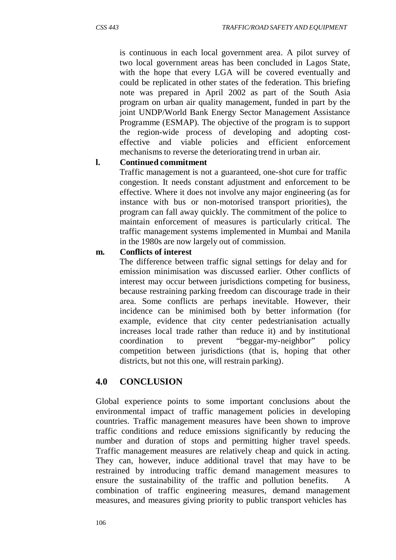is continuous in each local government area. A pilot survey of two local government areas has been concluded in Lagos State, with the hope that every LGA will be covered eventually and could be replicated in other states of the federation. This briefing note was prepared in April 2002 as part of the South Asia program on urban air quality management, funded in part by the joint UNDP/World Bank Energy Sector Management Assistance Programme (ESMAP). The objective of the program is to support the region-wide process of developing and adopting costeffective and viable policies and efficient enforcement mechanisms to reverse the deteriorating trend in urban air.

#### **l. Continued commitment**

Traffic management is not a guaranteed, one-shot cure for traffic congestion. It needs constant adjustment and enforcement to be effective. Where it does not involve any major engineering (as for instance with bus or non-motorised transport priorities), the program can fall away quickly. The commitment of the police to maintain enforcement of measures is particularly critical. The traffic management systems implemented in Mumbai and Manila in the 1980s are now largely out of commission.

#### **m. Conflicts of interest**

The difference between traffic signal settings for delay and for emission minimisation was discussed earlier. Other conflicts of interest may occur between jurisdictions competing for business, because restraining parking freedom can discourage trade in their area. Some conflicts are perhaps inevitable. However, their incidence can be minimised both by better information (for example, evidence that city center pedestrianisation actually increases local trade rather than reduce it) and by institutional coordination to prevent "beggar-my-neighbor" policy competition between jurisdictions (that is, hoping that other districts, but not this one, will restrain parking).

#### **4.0 CONCLUSION**

Global experience points to some important conclusions about the environmental impact of traffic management policies in developing countries. Traffic management measures have been shown to improve traffic conditions and reduce emissions significantly by reducing the number and duration of stops and permitting higher travel speeds. Traffic management measures are relatively cheap and quick in acting. They can, however, induce additional travel that may have to be restrained by introducing traffic demand management measures to ensure the sustainability of the traffic and pollution benefits. A combination of traffic engineering measures, demand management measures, and measures giving priority to public transport vehicles has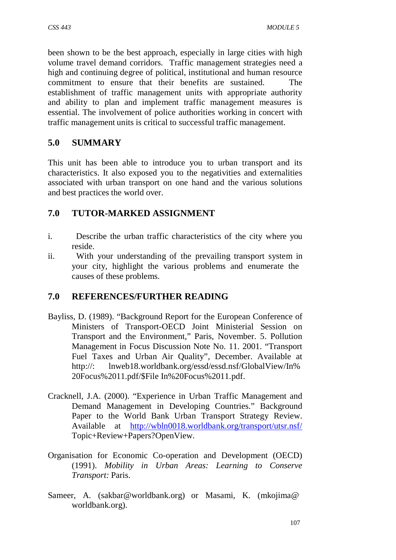been shown to be the best approach, especially in large cities with high volume travel demand corridors. Traffic management strategies need a high and continuing degree of political, institutional and human resource commitment to ensure that their benefits are sustained. The establishment of traffic management units with appropriate authority and ability to plan and implement traffic management measures is essential. The involvement of police authorities working in concert with traffic management units is critical to successful traffic management.

## **5.0 SUMMARY**

This unit has been able to introduce you to urban transport and its characteristics. It also exposed you to the negativities and externalities associated with urban transport on one hand and the various solutions and best practices the world over.

### **7.0 TUTOR-MARKED ASSIGNMENT**

- i. Describe the urban traffic characteristics of the city where you reside.
- ii. With your understanding of the prevailing transport system in your city, highlight the various problems and enumerate the causes of these problems.

### **7.0 REFERENCES/FURTHER READING**

- Bayliss, D. (1989). "Background Report for the European Conference of Ministers of Transport-OECD Joint Ministerial Session on Transport and the Environment," Paris, November. 5. Pollution Management in Focus Discussion Note No. 11. 2001. "Transport Fuel Taxes and Urban Air Quality", December. Available at http://: lnweb18.worldbank.org/essd/essd.nsf/GlobalView/In% 20Focus%2011.pdf/\$File In%20Focus%2011.pdf.
- Cracknell, J.A. (2000). "Experience in Urban Traffic Management and Demand Management in Developing Countries." Background Paper to the World Bank Urban Transport Strategy Review. Available at <http://wbln0018.worldbank.org/transport/utsr.nsf/> Topic+Review+Papers?OpenView.
- Organisation for Economic Co-operation and Development (OECD) (1991). *Mobility in Urban Areas: Learning to Conserve Transport:* Paris.
- Sameer, A. (sakbar@worldbank.org) or Masami, K. (mkojima@ worldbank.org).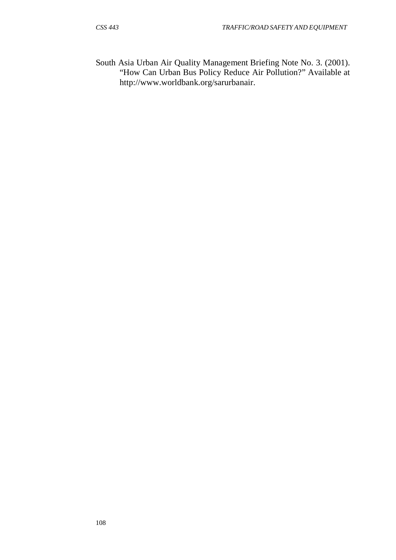South Asia Urban Air Quality Management Briefing Note No. 3. (2001). "How Can Urban Bus Policy Reduce Air Pollution?" Available a[t](http://www.worldbank.org/sarurbanair) [http://www.worldbank.org/sarurbanair.](http://www.worldbank.org/sarurbanair)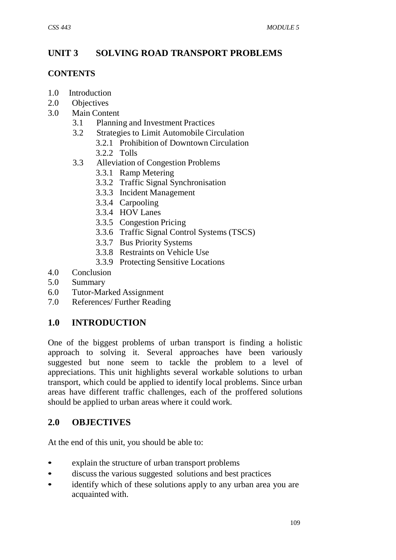# **UNIT 3 SOLVING ROAD TRANSPORT PROBLEMS**

#### **CONTENTS**

- 1.0 Introduction
- 2.0 Objectives
- 3.0 Main Content
	- 3.1 Planning and Investment Practices
	- 3.2 Strategies to Limit Automobile Circulation
		- 3.2.1 Prohibition of Downtown Circulation
		- 3.2.2 Tolls
	- 3.3 Alleviation of Congestion Problems
		- 3.3.1 Ramp Metering
		- 3.3.2 Traffic Signal Synchronisation
		- 3.3.3 Incident Management
		- 3.3.4 Carpooling
		- 3.3.4 HOV Lanes
		- 3.3.5 Congestion Pricing
		- 3.3.6 Traffic Signal Control Systems (TSCS)
		- 3.3.7 Bus Priority Systems
		- 3.3.8 Restraints on Vehicle Use
		- 3.3.9 Protecting Sensitive Locations
- 4.0 Conclusion
- 5.0 Summary
- 6.0 Tutor-Marked Assignment
- 7.0 References/ Further Reading

# **1.0 INTRODUCTION**

One of the biggest problems of urban transport is finding a holistic approach to solving it. Several approaches have been variously suggested but none seem to tackle the problem to a level of appreciations. This unit highlights several workable solutions to urban transport, which could be applied to identify local problems. Since urban areas have different traffic challenges, each of the proffered solutions should be applied to urban areas where it could work.

### **2.0 OBJECTIVES**

At the end of this unit, you should be able to:

- explain the structure of urban transport problems
- discuss the various suggested solutions and best practices
- identify which of these solutions apply to any urban area you are acquainted with.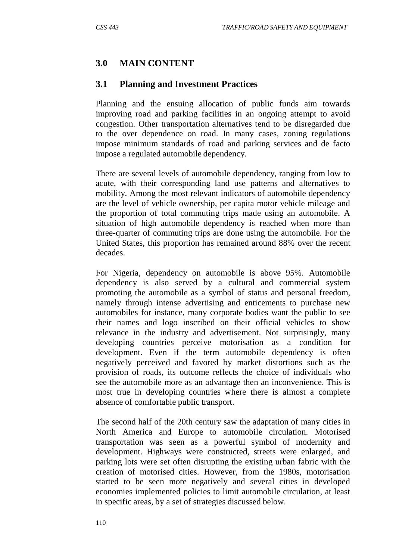### **3.0 MAIN CONTENT**

#### **3.1 Planning and Investment Practices**

Planning and the ensuing allocation of public funds aim towards improving road and parking facilities in an ongoing attempt to avoid congestion. Other transportation alternatives tend to be disregarded due to the over dependence on road. In many cases, zoning regulations impose minimum standards of road and parking services and de facto impose a regulated automobile dependency.

There are several levels of automobile dependency, ranging from low to acute, with their corresponding land use patterns and alternatives to mobility. Among the most relevant indicators of automobile dependency are the level of vehicle ownership, per capita motor vehicle mileage and the proportion of total commuting trips made using an automobile. A situation of high automobile dependency is reached when more than three-quarter of commuting trips are done using the automobile. For the United States, this proportion has remained around 88% over the recent decades.

For Nigeria, dependency on automobile is above 95%. Automobile dependency is also served by a cultural and commercial system promoting the automobile as a symbol of status and personal freedom, namely through intense advertising and enticements to purchase new automobiles for instance, many corporate bodies want the public to see their names and logo inscribed on their official vehicles to show relevance in the industry and advertisement. Not surprisingly, many developing countries perceive motorisation as a condition for development. Even if the term automobile dependency is often negatively perceived and favored by market distortions such as the provision of roads, its outcome reflects the choice of individuals who see the automobile more as an advantage then an inconvenience. This is most true in developing countries where there is almost a complete absence of comfortable public transport.

The second half of the 20th century saw the adaptation of many cities in North America and Europe to automobile circulation. Motorised transportation was seen as a powerful symbol of modernity and development. Highways were constructed, streets were enlarged, and parking lots were set often disrupting the existing urban fabric with the creation of motorised cities. However, from the 1980s, motorisation started to be seen more negatively and several cities in developed economies implemented policies to limit automobile circulation, at least in specific areas, by a set of strategies discussed below.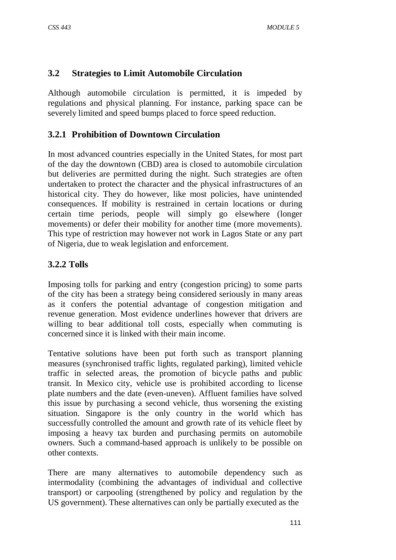### **3.2 Strategies to Limit Automobile Circulation**

Although automobile circulation is permitted, it is impeded by regulations and physical planning. For instance, parking space can be severely limited and speed bumps placed to force speed reduction.

### **3.2.1 Prohibition of Downtown Circulation**

In most advanced countries especially in the United States, for most part of the day the downtown (CBD) area is closed to automobile circulation but deliveries are permitted during the night. Such strategies are often undertaken to protect the character and the physical infrastructures of an historical city. They do however, like most policies, have unintended consequences. If mobility is restrained in certain locations or during certain time periods, people will simply go elsewhere (longer movements) or defer their mobility for another time (more movements). This type of restriction may however not work in Lagos State or any part of Nigeria, due to weak legislation and enforcement.

### **3.2.2 Tolls**

Imposing tolls for parking and entry (congestion pricing) to some parts of the city has been a strategy being considered seriously in many areas as it confers the potential advantage of congestion mitigation and revenue generation. Most evidence underlines however that drivers are willing to bear additional toll costs, especially when commuting is concerned since it is linked with their main income.

Tentative solutions have been put forth such as transport planning measures (synchronised traffic lights, regulated parking), limited vehicle traffic in selected areas, the promotion of bicycle paths and public transit. In Mexico city, vehicle use is prohibited according to license plate numbers and the date (even-uneven). Affluent families have solved this issue by purchasing a second vehicle, thus worsening the existing situation. Singapore is the only country in the world which has successfully controlled the amount and growth rate of its vehicle fleet by imposing a heavy tax burden and purchasing permits on automobile owners. Such a command-based approach is unlikely to be possible on other contexts.

There are many alternatives to automobile dependency such as intermodality (combining the advantages of individual and collective transport) or carpooling (strengthened by policy and regulation by the US government). These alternatives can only be partially executed as the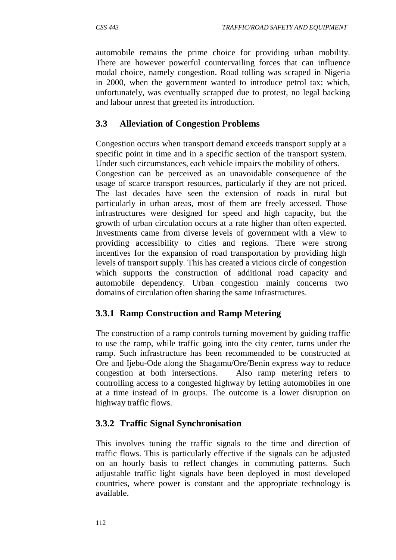automobile remains the prime choice for providing urban mobility. There are however powerful countervailing forces that can influence modal choice, namely congestion. Road tolling was scraped in Nigeria in 2000, when the government wanted to introduce petrol tax; which, unfortunately, was eventually scrapped due to protest, no legal backing and labour unrest that greeted its introduction.

# **3.3 Alleviation of Congestion Problems**

Congestion occurs when transport demand exceeds transport supply at a specific point in time and in a specific section of the transport system. Under such circumstances, each vehicle impairs the mobility of others. Congestion can be perceived as an unavoidable consequence of the usage of scarce transport resources, particularly if they are not priced. The last decades have seen the extension of roads in rural but particularly in urban areas, most of them are freely accessed. Those infrastructures were designed for speed and high capacity, but the growth of urban circulation occurs at a rate higher than often expected. Investments came from diverse levels of government with a view to providing accessibility to cities and regions. There were strong incentives for the expansion of road transportation by providing high levels of transport supply. This has created a vicious circle of congestion which supports the construction of additional road capacity and automobile dependency. Urban congestion mainly concerns two domains of circulation often sharing the same infrastructures.

# **3.3.1 Ramp Construction and Ramp Metering**

The construction of a ramp controls turning movement by guiding traffic to use the ramp, while traffic going into the city center, turns under the ramp. Such infrastructure has been recommended to be constructed at Ore and Ijebu-Ode along the Shagamu/Ore/Benin express way to reduce congestion at both intersections. Also ramp metering refers to controlling access to a congested highway by letting automobiles in one at a time instead of in groups. The outcome is a lower disruption on highway traffic flows.

### **3.3.2 Traffic Signal Synchronisation**

This involves tuning the traffic signals to the time and direction of traffic flows. This is particularly effective if the signals can be adjusted on an hourly basis to reflect changes in commuting patterns. Such adjustable traffic light signals have been deployed in most developed countries, where power is constant and the appropriate technology is available.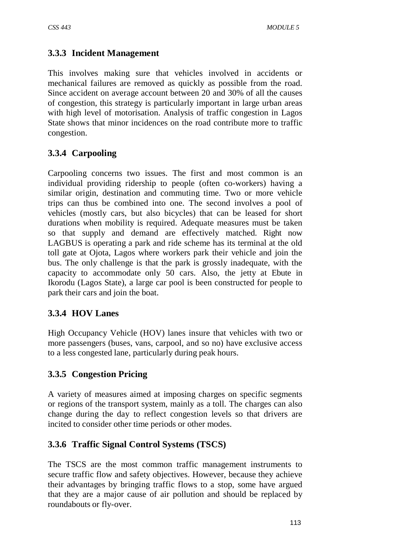## **3.3.3 Incident Management**

This involves making sure that vehicles involved in accidents or mechanical failures are removed as quickly as possible from the road. Since accident on average account between 20 and 30% of all the causes of congestion, this strategy is particularly important in large urban areas with high level of motorisation. Analysis of traffic congestion in Lagos State shows that minor incidences on the road contribute more to traffic congestion.

# **3.3.4 Carpooling**

Carpooling concerns two issues. The first and most common is an individual providing ridership to people (often co-workers) having a similar origin, destination and commuting time. Two or more vehicle trips can thus be combined into one. The second involves a pool of vehicles (mostly cars, but also bicycles) that can be leased for short durations when mobility is required. Adequate measures must be taken so that supply and demand are effectively matched. Right now LAGBUS is operating a park and ride scheme has its terminal at the old toll gate at Ojota, Lagos where workers park their vehicle and join the bus. The only challenge is that the park is grossly inadequate, with the capacity to accommodate only 50 cars. Also, the jetty at Ebute in Ikorodu (Lagos State), a large car pool is been constructed for people to park their cars and join the boat.

# **3.3.4 HOV Lanes**

High Occupancy Vehicle (HOV) lanes insure that vehicles with two or more passengers (buses, vans, carpool, and so no) have exclusive access to a less congested lane, particularly during peak hours.

### **3.3.5 Congestion Pricing**

A variety of measures aimed at imposing charges on specific segments or regions of the transport system, mainly as a toll. The charges can also change during the day to reflect congestion levels so that drivers are incited to consider other time periods or other modes.

### **3.3.6 Traffic Signal Control Systems (TSCS)**

The TSCS are the most common traffic management instruments to secure traffic flow and safety objectives. However, because they achieve their advantages by bringing traffic flows to a stop, some have argued that they are a major cause of air pollution and should be replaced by roundabouts or fly-over.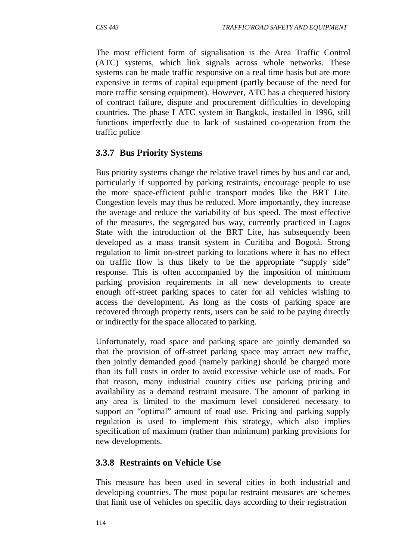The most efficient form of signalisation is the Area Traffic Control (ATC) systems, which link signals across whole networks. These systems can be made traffic responsive on a real time basis but are more expensive in terms of capital equipment (partly because of the need for more traffic sensing equipment). However, ATC has a chequered history of contract failure, dispute and procurement difficulties in developing countries. The phase I ATC system in Bangkok, installed in 1996, still functions imperfectly due to lack of sustained co-operation from the traffic police

### **3.3.7 Bus Priority Systems**

Bus priority systems change the relative travel times by bus and car and, particularly if supported by parking restraints, encourage people to use the more space-efficient public transport modes like the BRT Lite. Congestion levels may thus be reduced. More importantly, they increase the average and reduce the variability of bus speed. The most effective of the measures, the segregated bus way, currently practiced in Lagos State with the introduction of the BRT Lite, has subsequently been developed as a mass transit system in Curitiba and Bogotá. Strong regulation to limit on-street parking to locations where it has no effect on traffic flow is thus likely to be the appropriate "supply side" response. This is often accompanied by the imposition of minimum parking provision requirements in all new developments to create enough off-street parking spaces to cater for all vehicles wishing to access the development. As long as the costs of parking space are recovered through property rents, users can be said to be paying directly or indirectly for the space allocated to parking.

Unfortunately, road space and parking space are jointly demanded so that the provision of off-street parking space may attract new traffic, then jointly demanded good (namely parking) should be charged more than its full costs in order to avoid excessive vehicle use of roads. For that reason, many industrial country cities use parking pricing and availability as a demand restraint measure. The amount of parking in any area is limited to the maximum level considered necessary to support an "optimal" amount of road use. Pricing and parking supply regulation is used to implement this strategy, which also implies specification of maximum (rather than minimum) parking provisions for new developments.

### **3.3.8 Restraints on Vehicle Use**

This measure has been used in several cities in both industrial and developing countries. The most popular restraint measures are schemes that limit use of vehicles on specific days according to their registration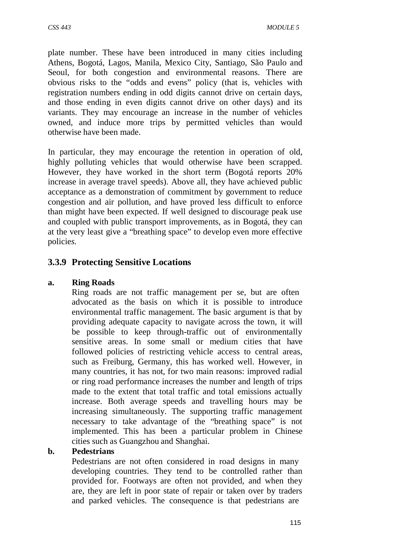plate number. These have been introduced in many cities including Athens, Bogotá, Lagos, Manila, Mexico City, Santiago, São Paulo and Seoul, for both congestion and environmental reasons. There are obvious risks to the "odds and evens" policy (that is, vehicles with registration numbers ending in odd digits cannot drive on certain days, and those ending in even digits cannot drive on other days) and its variants. They may encourage an increase in the number of vehicles owned, and induce more trips by permitted vehicles than would otherwise have been made.

In particular, they may encourage the retention in operation of old, highly polluting vehicles that would otherwise have been scrapped. However, they have worked in the short term (Bogotá reports 20% increase in average travel speeds). Above all, they have achieved public acceptance as a demonstration of commitment by government to reduce congestion and air pollution, and have proved less difficult to enforce than might have been expected. If well designed to discourage peak use and coupled with public transport improvements, as in Bogotá, they can at the very least give a "breathing space" to develop even more effective policie*s.*

### **3.3.9 Protecting Sensitive Locations**

#### **a. Ring Roads**

Ring roads are not traffic management per se, but are often advocated as the basis on which it is possible to introduce environmental traffic management. The basic argument is that by providing adequate capacity to navigate across the town, it will be possible to keep through-traffic out of environmentally sensitive areas. In some small or medium cities that have followed policies of restricting vehicle access to central areas, such as Freiburg, Germany, this has worked well. However, in many countries, it has not, for two main reasons: improved radial or ring road performance increases the number and length of trips made to the extent that total traffic and total emissions actually increase. Both average speeds and travelling hours may be increasing simultaneously. The supporting traffic management necessary to take advantage of the "breathing space" is not implemented. This has been a particular problem in Chinese cities such as Guangzhou and Shanghai.

#### **b. Pedestrians**

Pedestrians are not often considered in road designs in many developing countries. They tend to be controlled rather than provided for. Footways are often not provided, and when they are, they are left in poor state of repair or taken over by traders and parked vehicles. The consequence is that pedestrians are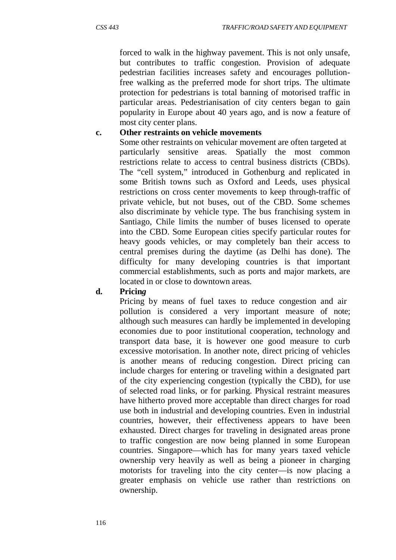forced to walk in the highway pavement. This is not only unsafe, but contributes to traffic congestion. Provision of adequate pedestrian facilities increases safety and encourages pollutionfree walking as the preferred mode for short trips. The ultimate protection for pedestrians is total banning of motorised traffic in particular areas. Pedestrianisation of city centers began to gain popularity in Europe about 40 years ago, and is now a feature of most city center plans.

#### **c. Other restraints on vehicle movements**

Some other restraints on vehicular movement are often targeted at particularly sensitive areas. Spatially the most common restrictions relate to access to central business districts (CBDs). The "cell system," introduced in Gothenburg and replicated in some British towns such as Oxford and Leeds, uses physical restrictions on cross center movements to keep through-traffic of private vehicle, but not buses, out of the CBD. Some schemes also discriminate by vehicle type. The bus franchising system in Santiago, Chile limits the number of buses licensed to operate into the CBD. Some European cities specify particular routes for heavy goods vehicles, or may completely ban their access to central premises during the daytime (as Delhi has done). The difficulty for many developing countries is that important commercial establishments, such as ports and major markets, are located in or close to downtown areas.

#### **d. Pricin***g*

Pricing by means of fuel taxes to reduce congestion and air pollution is considered a very important measure of note; although such measures can hardly be implemented in developing economies due to poor institutional cooperation, technology and transport data base, it is however one good measure to curb excessive motorisation. In another note, direct pricing of vehicles is another means of reducing congestion. Direct pricing can include charges for entering or traveling within a designated part of the city experiencing congestion (typically the CBD), for use of selected road links, or for parking. Physical restraint measures have hitherto proved more acceptable than direct charges for road use both in industrial and developing countries. Even in industrial countries, however, their effectiveness appears to have been exhausted. Direct charges for traveling in designated areas prone to traffic congestion are now being planned in some European countries. Singapore—which has for many years taxed vehicle ownership very heavily as well as being a pioneer in charging motorists for traveling into the city center—is now placing a greater emphasis on vehicle use rather than restrictions on ownership.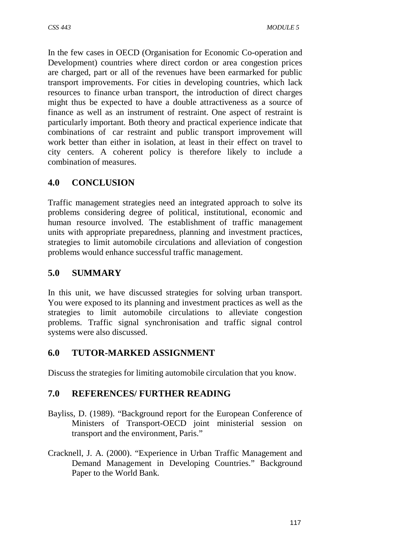In the few cases in OECD (Organisation for Economic Co-operation and Development) countries where direct cordon or area congestion prices are charged, part or all of the revenues have been earmarked for public transport improvements. For cities in developing countries, which lack resources to finance urban transport, the introduction of direct charges might thus be expected to have a double attractiveness as a source of finance as well as an instrument of restraint. One aspect of restraint is particularly important. Both theory and practical experience indicate that combinations of car restraint and public transport improvement will work better than either in isolation, at least in their effect on travel to city centers. A coherent policy is therefore likely to include a combination of measures.

# **4.0 CONCLUSION**

Traffic management strategies need an integrated approach to solve its problems considering degree of political, institutional, economic and human resource involved. The establishment of traffic management units with appropriate preparedness, planning and investment practices, strategies to limit automobile circulations and alleviation of congestion problems would enhance successful traffic management.

### **5.0 SUMMARY**

In this unit, we have discussed strategies for solving urban transport. You were exposed to its planning and investment practices as well as the strategies to limit automobile circulations to alleviate congestion problems. Traffic signal synchronisation and traffic signal control systems were also discussed.

### **6.0 TUTOR-MARKED ASSIGNMENT**

Discuss the strategies for limiting automobile circulation that you know.

### **7.0 REFERENCES/ FURTHER READING**

- Bayliss, D. (1989). "Background report for the European Conference of Ministers of Transport-OECD joint ministerial session on transport and the environment, Paris."
- Cracknell, J. A. (2000). "Experience in Urban Traffic Management and Demand Management in Developing Countries." Background Paper to the World Bank.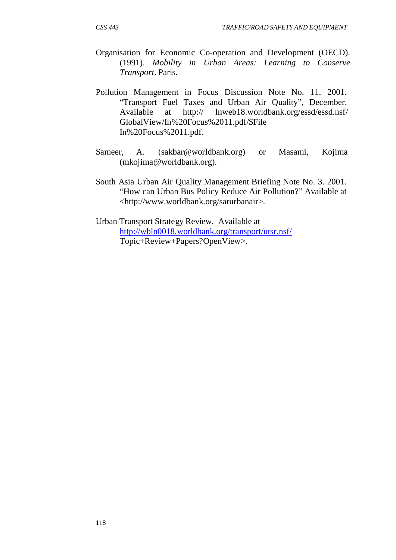- Organisation for Economic Co-operation and Development (OECD). (1991). *Mobility in Urban Areas: Learning to Conserve Transport*. Paris.
- Pollution Management in Focus Discussion Note No. 11. 2001. "Transport Fuel Taxes and Urban Air Quality", December. Available at http:// lnweb18.worldbank.org/essd/essd.nsf/ GlobalView/In%20Focus%2011.pdf/\$File In%20Focus%2011.pdf.
- Sameer, A. (sakbar@worldbank.org) or Masami, Kojima (mkojima@worldbank.org).
- South Asia Urban Air Quality Management Briefing Note No. 3. 2001. "How can Urban Bus Policy Reduce Air Pollution?" Available at [<http://www.worldbank.org/sarurb](http://www.worldbank.org/sarurbanair)anair>.
- Urban Transport Strategy Review. Available at <http://wbln0018.worldbank.org/transport/utsr.nsf/> Topic+Review+Papers?OpenView>.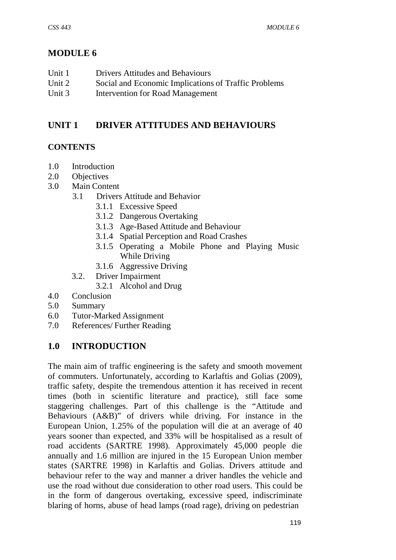# **MODULE 6**

| Unit 1   | <b>Drivers Attitudes and Behaviours</b>              |
|----------|------------------------------------------------------|
| Unit 2   | Social and Economic Implications of Traffic Problems |
| Unit $3$ | Intervention for Road Management                     |

## **UNIT 1 DRIVER ATTITUDES AND BEHAVIOURS**

#### **CONTENTS**

- 1.0 Introduction
- 2.0 Objectives
- 3.0 Main Content
	- 3.1 Drivers Attitude and Behavior
		- 3.1.1 Excessive Speed
		- 3.1.2 Dangerous Overtaking
		- 3.1.3 Age-Based Attitude and Behaviour
		- 3.1.4 Spatial Perception and Road Crashes
		- 3.1.5 Operating a Mobile Phone and Playing Music While Driving
		- 3.1.6 Aggressive Driving
	- 3.2. Driver Impairment
		- 3.2.1 Alcohol and Drug
- 4.0 Conclusion
- 5.0 Summary
- 6.0 Tutor-Marked Assignment
- 7.0 References/ Further Reading

#### **1.0 INTRODUCTION**

The main aim of traffic engineering is the safety and smooth movement of commuters. Unfortunately, according to Karlaftis and Golias (2009), traffic safety, despite the tremendous attention it has received in recent times (both in scientific literature and practice), still face some staggering challenges. Part of this challenge is the "Attitude and Behaviours (A&B)" of drivers while driving. For instance in the European Union, 1.25% of the population will die at an average of 40 years sooner than expected, and 33% will be hospitalised as a result of road accidents (SARTRE 1998). Approximately 45,000 people die annually and 1.6 million are injured in the 15 European Union member states (SARTRE 1998) in Karlaftis and Golias. Drivers attitude and behaviour refer to the way and manner a driver handles the vehicle and use the road without due consideration to other road users. This could be in the form of dangerous overtaking, excessive speed, indiscriminate blaring of horns, abuse of head lamps (road rage), driving on pedestrian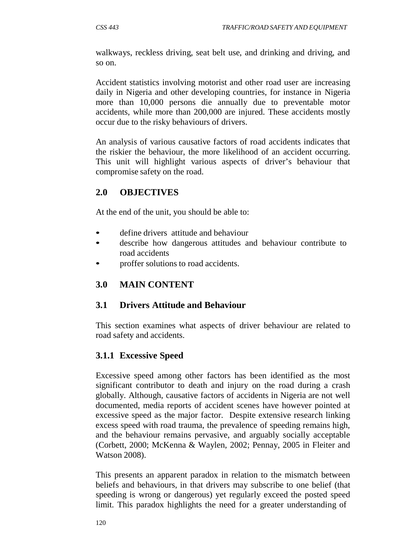walkways, reckless driving, seat belt use, and drinking and driving, and so on.

Accident statistics involving motorist and other road user are increasing daily in Nigeria and other developing countries, for instance in Nigeria more than 10,000 persons die annually due to preventable motor accidents, while more than 200,000 are injured. These accidents mostly occur due to the risky behaviours of drivers.

An analysis of various causative factors of road accidents indicates that the riskier the behaviour, the more likelihood of an accident occurring. This unit will highlight various aspects of driver's behaviour that compromise safety on the road.

# **2.0 OBJECTIVES**

At the end of the unit, you should be able to:

- define drivers attitude and behaviour
- describe how dangerous attitudes and behaviour contribute to road accidents
- proffer solutions to road accidents.

## **3.0 MAIN CONTENT**

### **3.1 Drivers Attitude and Behaviour**

This section examines what aspects of driver behaviour are related to road safety and accidents.

# **3.1.1 Excessive Speed**

Excessive speed among other factors has been identified as the most significant contributor to death and injury on the road during a crash globally. Although, causative factors of accidents in Nigeria are not well documented, media reports of accident scenes have however pointed at excessive speed as the major factor. Despite extensive research linking excess speed with road trauma, the prevalence of speeding remains high, and the behaviour remains pervasive, and arguably socially acceptable (Corbett, 2000; McKenna & Waylen, 2002; Pennay, 2005 in Fleiter and Watson 2008).

This presents an apparent paradox in relation to the mismatch between beliefs and behaviours, in that drivers may subscribe to one belief (that speeding is wrong or dangerous) yet regularly exceed the posted speed limit. This paradox highlights the need for a greater understanding of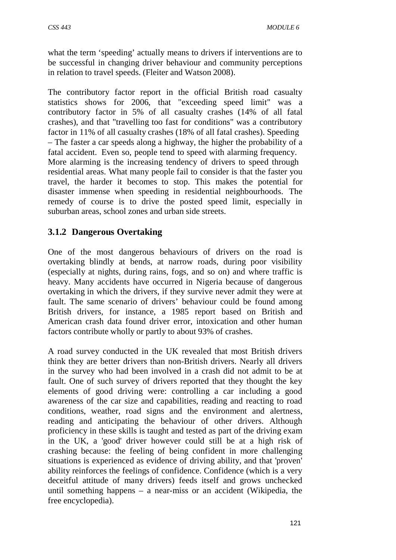what the term 'speeding' actually means to drivers if interventions are to be successful in changing driver behaviour and community perceptions in relation to travel speeds. (Fleiter and Watson 2008).

The contributory factor report in the official British road casualty statistics shows for 2006, that "exceeding speed limit" was a contributory factor in 5% of all casualty crashes (14% of all fatal crashes), and that "travelling too fast for conditions" was a contributory factor in 11% of all casualty crashes (18% of all fatal crashes). Speeding – The faster a car speeds along a highway, the higher the probability of a fatal accident. Even so, people tend to speed with alarming frequency. More alarming is the increasing tendency of drivers to speed through residential areas. What many people fail to consider is that the faster you travel, the harder it becomes to stop. This makes the potential for disaster immense when speeding in residential neighbourhoods. The remedy of course is to drive the posted speed limit, especially in suburban areas, school zones and urban side streets.

### **3.1.2 Dangerous Overtaking**

One of the most dangerous behaviours of drivers on the road is overtaking blindly at bends, at narrow roads, during poor visibility (especially at nights, during rains, fogs, and so on) and where traffic is heavy. Many accidents have occurred in Nigeria because of dangerous overtaking in which the drivers, if they survive never admit they were at fault. The same scenario of drivers' behaviour could be found among British drivers, for instance, a 1985 report based on British and American crash data found driver error, intoxication and other human factors contribute wholly or partly to about 93% of crashes.

A road survey conducted in the UK revealed that most British drivers think they are better drivers than non-British drivers. Nearly all drivers in the survey who had been involved in a crash did not admit to be at fault. One of such survey of drivers reported that they thought the key elements of good driving were: controlling a car including a good awareness of the car size and capabilities, reading and reacting to road conditions, weather, road signs and the environment and alertness, reading and anticipating the behaviour of other drivers. Although proficiency in these skills is taught and tested as part of the driving exam in the UK, a 'good' driver however could still be at a high risk of crashing because: the feeling of being confident in more challenging situations is experienced as evidence of driving ability, and that 'proven' ability reinforces the feelings of confidence. Confidence (which is a very deceitful attitude of many drivers) feeds itself and grows unchecked until something happens – a near-miss or an accident (Wikipedia, the free encyclopedia).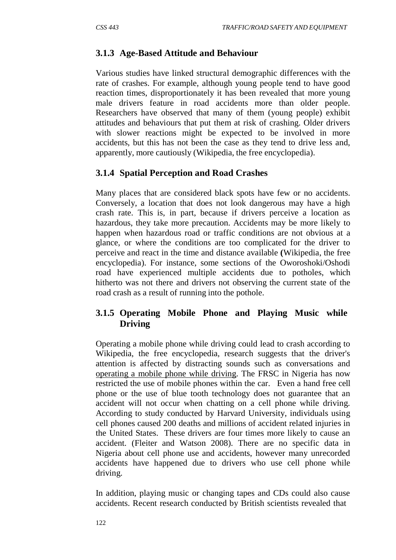# **3.1.3 Age-Based Attitude and Behaviour**

Various studies have linked structural demographic differences with the rate of crashes. For example, although young people tend to have good reaction times, disproportionately it has been revealed that more young male drivers feature in road accidents more than older people. Researchers have observed that many of them (young people) exhibit attitudes and behaviours that put them at risk of crashing. Older drivers with slower reactions might be expected to be involved in more accidents, but this has not been the case as they tend to drive less and, apparently, more cautiously (Wikipedia, the free encyclopedia).

### **3.1.4 Spatial Perception and Road Crashes**

Many places that are considered black spots have few or no accidents. Conversely, a location that does not look dangerous may have a high crash rate. This is, in part, because if drivers perceive a location as hazardous, they take more precaution. Accidents may be more likely to happen when hazardous road or traffic conditions are not obvious at a glance, or where the conditions are too complicated for the driver to perceive and react in the time and distance available **(**Wikipedia, the free encyclopedia). For instance, some sections of the Oworoshoki/Oshodi road have experienced multiple accidents due to potholes, which hitherto was not there and drivers not observing the current state of the road crash as a result of running into the pothole.

### **3.1.5 Operating Mobile Phone and Playing Music while Driving**

Operating a mobile phone while driving could lead to crash according to Wikipedia, the free encyclopedia, research suggests that the driver's attention is affected by distracting sounds such as conversations and operating a mobile phone while driving. The FRSC in Nigeria has now restricted the use of mobile phones within the car. Even a hand free cell phone or the use of blue tooth technology does not guarantee that an accident will not occur when chatting on a cell phone while driving. According to study conducted by Harvard University, individuals using cell phones caused 200 deaths and millions of accident related injuries in the United States. These drivers are four times more likely to cause an accident. (Fleiter and Watson 2008). There are no specific data in Nigeria about cell phone use and accidents, however many unrecorded accidents have happened due to drivers who use cell phone while driving.

In addition, playing music or changing tapes and CDs could also cause accidents. Recent research conducted by British scientists revealed that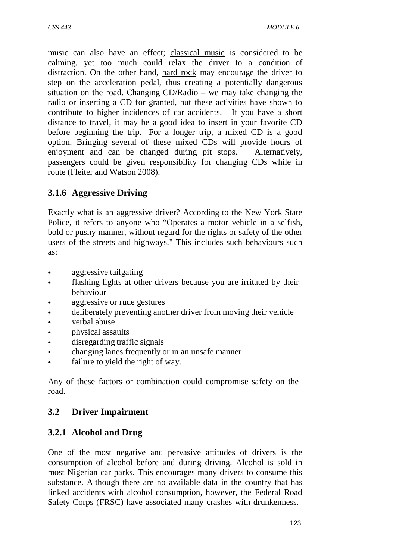music can also have an effect; classical music is considered to be calming, yet too much could relax the driver to a condition of distraction. On the other hand, hard rock may encourage the driver to step on the acceleration pedal, thus creating a potentially dangerous situation on the road. Changing CD/Radio – we may take changing the radio or inserting a CD for granted, but these activities have shown to contribute to higher incidences of car accidents. If you have a short distance to travel, it may be a good idea to insert in your favorite CD before beginning the trip. For a longer trip, a mixed CD is a good option. Bringing several of these mixed CDs will provide hours of enjoyment and can be changed during pit stops. Alternatively, passengers could be given responsibility for changing CDs while in route (Fleiter and Watson 2008).

# **3.1.6 Aggressive Driving**

Exactly what is an aggressive driver? According to the New York State Police, it refers to anyone who "Operates a motor vehicle in a selfish, bold or pushy manner, without regard for the rights or safety of the other users of the streets and highways." This includes such behaviours such as:

- aggressive tailgating
- flashing lights at other drivers because you are irritated by their behaviour
- aggressive or rude gestures
- deliberately preventing another driver from moving their vehicle
- verbal abuse
- *physical assaults*
- disregarding traffic signals
- changing lanes frequently or in an unsafe manner
- failure to yield the right of way.

Any of these factors or combination could compromise safety on the road.

# **3.2 Driver Impairment**

# **3.2.1 Alcohol and Drug**

One of the most negative and pervasive attitudes of drivers is the consumption of alcohol before and during driving. Alcohol is sold in most Nigerian car parks. This encourages many drivers to consume this substance. Although there are no available data in the country that has linked accidents with alcohol consumption, however, the Federal Road Safety Corps (FRSC) have associated many crashes with drunkenness.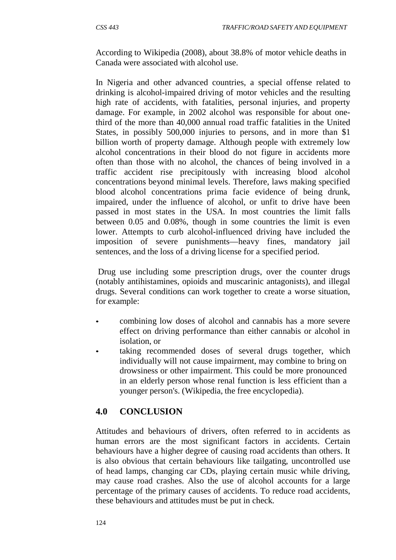According to Wikipedia (2008), about 38.8% of motor vehicle deaths in Canada were associated with alcohol use.

In Nigeria and other advanced countries, a special offense related to drinking is alcohol-impaired driving of motor vehicles and the resulting high rate of accidents, with fatalities, personal injuries, and property damage. For example, in 2002 alcohol was responsible for about onethird of the more than 40,000 annual road traffic fatalities in the United States, in possibly 500,000 injuries to persons, and in more than \$1 billion worth of property damage. Although people with extremely low alcohol concentrations in their blood do not figure in accidents more often than those with no alcohol, the chances of being involved in a traffic accident rise precipitously with increasing blood alcohol concentrations beyond minimal levels. Therefore, laws making specified blood alcohol concentrations prima facie evidence of being drunk, impaired, under the influence of alcohol, or unfit to drive have been passed in most states in the USA. In most countries the limit falls between 0.05 and 0.08%, though in some countries the limit is even lower. Attempts to curb alcohol-influenced driving have included the imposition of severe punishments—heavy fines, mandatory jail sentences, and the loss of a driving license for a specified period.

Drug use including some prescription drugs, over the counter drugs (notably antihistamines, opioids and muscarinic antagonists), and illegal drugs. Several conditions can work together to create a worse situation, for example:

- combining low doses of alcohol and cannabis has a more severe effect on driving performance than either cannabis or alcohol in isolation, or
- taking recommended doses of several drugs together, which individually will not cause impairment, may combine to bring on drowsiness or other impairment. This could be more pronounced in an elderly person whose renal function is less efficient than a younger person's. (Wikipedia, the free encyclopedia).

### **4.0 CONCLUSION**

Attitudes and behaviours of drivers, often referred to in accidents as human errors are the most significant factors in accidents. Certain behaviours have a higher degree of causing road accidents than others. It is also obvious that certain behaviours like tailgating, uncontrolled use of head lamps, changing car CDs, playing certain music while driving, may cause road crashes. Also the use of alcohol accounts for a large percentage of the primary causes of accidents. To reduce road accidents, these behaviours and attitudes must be put in check.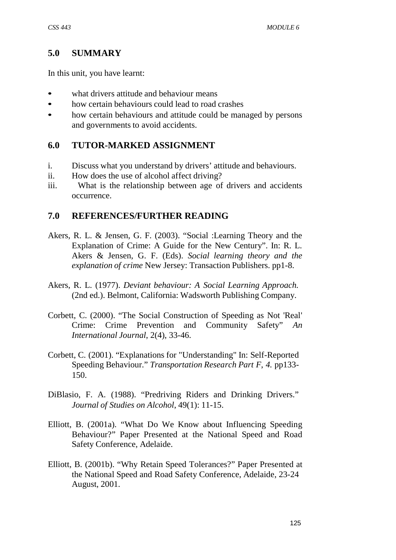#### **5.0 SUMMARY**

In this unit, you have learnt:

- what drivers attitude and behaviour means
- how certain behaviours could lead to road crashes
- how certain behaviours and attitude could be managed by persons and governments to avoid accidents.

### **6.0 TUTOR-MARKED ASSIGNMENT**

- i. Discuss what you understand by drivers' attitude and behaviours.
- ii. How does the use of alcohol affect driving?
- iii. What is the relationship between age of drivers and accidents occurrence.

#### **7.0 REFERENCES/FURTHER READING**

- Akers, R. L. & Jensen, G. F. (2003). "Social :Learning Theory and the Explanation of Crime: A Guide for the New Century". In: R. L. Akers & Jensen, G. F. (Eds). *Social learning theory and the explanation of crime* New Jersey: Transaction Publishers. pp1-8.
- Akers, R. L. (1977). *Deviant behaviour: A Social Learning Approach.* (2nd ed.). Belmont, California: Wadsworth Publishing Company.
- Corbett, C. (2000). "The Social Construction of Speeding as Not 'Real' Crime: Crime Prevention and Community Safety" *An International Journal*, 2(4), 33-46.
- Corbett, C. (2001). "Explanations for "Understanding" In: Self-Reported Speeding Behaviour." *Transportation Research Part F*, *4.* pp133- 150.
- DiBlasio, F. A. (1988). "Predriving Riders and Drinking Drivers." *Journal of Studies on Alcohol*, 49(1): 11-15.
- Elliott, B. (2001a). "What Do We Know about Influencing Speeding Behaviour?" Paper Presented at the National Speed and Road Safety Conference, Adelaide.
- Elliott, B. (2001b). "Why Retain Speed Tolerances?" Paper Presented at the National Speed and Road Safety Conference, Adelaide, 23-24 August, 2001.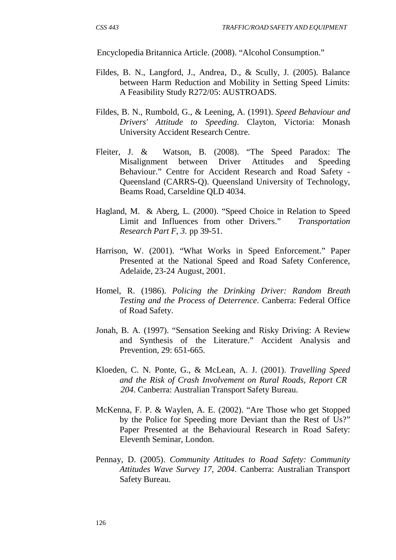Encyclopedia Britannica Article. (2008). "Alcohol Consumption."

- Fildes, B. N., Langford, J., Andrea, D., & Scully, J. (2005). Balance between Harm Reduction and Mobility in Setting Speed Limits: A Feasibility Study R272/05: AUSTROADS.
- Fildes, B. N., Rumbold, G., & Leening, A. (1991). *Speed Behaviour and Drivers' Attitude to Speeding*. Clayton, Victoria: Monash University Accident Research Centre.
- Fleiter, J. & Watson, B. (2008). "The Speed Paradox: The Misalignment between Driver Attitudes and Speeding Behaviour." Centre for Accident Research and Road Safety - Queensland (CARRS-Q). Queensland University of Technology, Beams Road, Carseldine QLD 4034.
- Hagland, M. & Aberg, L. (2000). "Speed Choice in Relation to Speed Limit and Influences from other Drivers." *Transportation Research Part F, 3.* pp 39-51.
- Harrison, W. (2001). "What Works in Speed Enforcement." Paper Presented at the National Speed and Road Safety Conference, Adelaide, 23-24 August, 2001.
- Homel, R. (1986). *Policing the Drinking Driver: Random Breath Testing and the Process of Deterrence*. Canberra: Federal Office of Road Safety.
- Jonah, B. A. (1997). "Sensation Seeking and Risky Driving: A Review and Synthesis of the Literature." Accident Analysis and Prevention, 29: 651-665.
- Kloeden, C. N. Ponte, G., & McLean, A. J. (2001). *Travelling Speed and the Risk of Crash Involvement on Rural Roads, Report CR 204*. Canberra: Australian Transport Safety Bureau.
- McKenna, F. P. & Waylen, A. E. (2002). "Are Those who get Stopped by the Police for Speeding more Deviant than the Rest of Us?" Paper Presented at the Behavioural Research in Road Safety: Eleventh Seminar, London.
- Pennay, D. (2005). *Community Attitudes to Road Safety: Community Attitudes Wave Survey 17, 2004*. Canberra: Australian Transport Safety Bureau.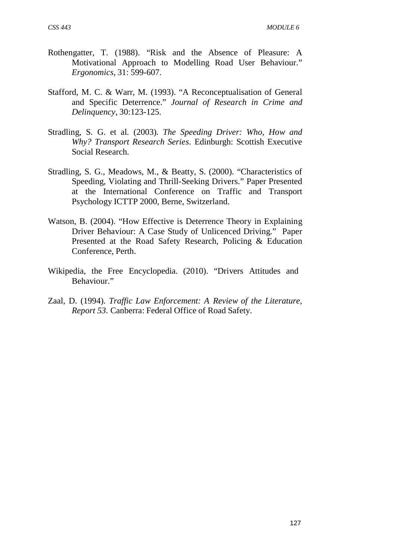- Rothengatter, T. (1988). "Risk and the Absence of Pleasure: A Motivational Approach to Modelling Road User Behaviour." *Ergonomics*, 31: 599-607.
- Stafford, M. C. & Warr, M. (1993). "A Reconceptualisation of General and Specific Deterrence." *Journal of Research in Crime and Delinquency*, 30:123-125.
- Stradling, S. G. et al. (2003). *The Speeding Driver: Who, How and Why? Transport Research Series*. Edinburgh: Scottish Executive Social Research.
- Stradling, S. G., Meadows, M., & Beatty, S. (2000). "Characteristics of Speeding, Violating and Thrill-Seeking Drivers." Paper Presented at the International Conference on Traffic and Transport Psychology ICTTP 2000, Berne, Switzerland.
- Watson, B. (2004). "How Effective is Deterrence Theory in Explaining Driver Behaviour: A Case Study of Unlicenced Driving." Paper Presented at the Road Safety Research, Policing & Education Conference, Perth.
- Wikipedia, the Free Encyclopedia. (2010). "Drivers Attitudes and Behaviour."
- Zaal, D. (1994). *Traffic Law Enforcement: A Review of the Literature, Report 53*. Canberra: Federal Office of Road Safety.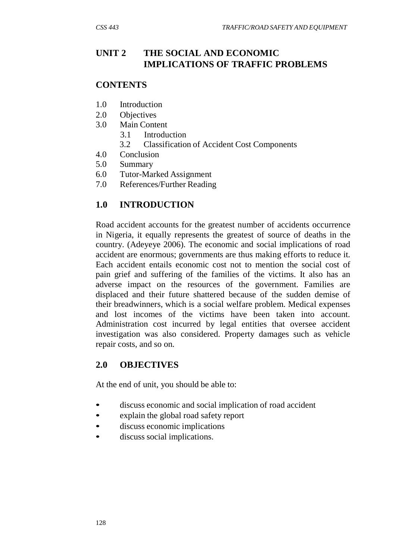# **UNIT 2 THE SOCIAL AND ECONOMIC IMPLICATIONS OF TRAFFIC PROBLEMS**

#### **CONTENTS**

- 1.0 Introduction
- 2.0 Objectives
- 3.0 Main Content
	- 3.1 Introduction
	- 3.2 Classification of Accident Cost Components
- 4.0 Conclusion
- 5.0 Summary
- 6.0 Tutor-Marked Assignment
- 7.0 References/Further Reading

# **1.0 INTRODUCTION**

Road accident accounts for the greatest number of accidents occurrence in Nigeria, it equally represents the greatest of source of deaths in the country. (Adeyeye 2006). The economic and social implications of road accident are enormous; governments are thus making efforts to reduce it. Each accident entails economic cost not to mention the social cost of pain grief and suffering of the families of the victims. It also has an adverse impact on the resources of the government. Families are displaced and their future shattered because of the sudden demise of their breadwinners, which is a social welfare problem. Medical expenses and lost incomes of the victims have been taken into account. Administration cost incurred by legal entities that oversee accident investigation was also considered. Property damages such as vehicle repair costs, and so on.

### **2.0 OBJECTIVES**

At the end of unit, you should be able to:

- discuss economic and social implication of road accident
- explain the global road safety report
- discuss economic implications
- discuss social implications.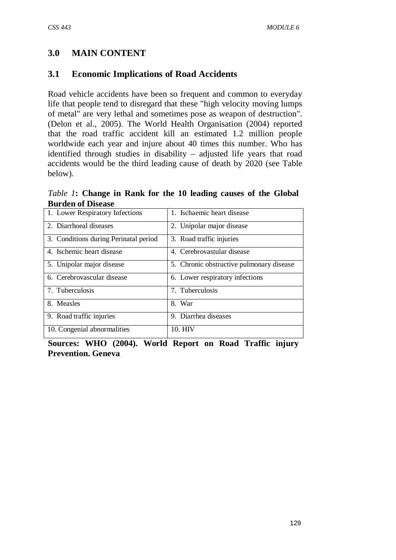# **3.0 MAIN CONTENT**

## **3.1 Economic Implications of Road Accidents**

Road vehicle accidents have been so frequent and common to everyday life that people tend to disregard that these "high velocity moving lumps of metal" are very lethal and sometimes pose as weapon of destruction". (Delon et al., 2005). The World Health Organisation (2004) reported that the road traffic accident kill an estimated 1.2 million people worldwide each year and injure about 40 times this number. Who has identified through studies in disability – adjusted life years that road accidents would be the third leading cause of death by 2020 (see Table below).

*Table 1***: Change in Rank for the 10 leading causes of the Global Burden of Disease**

| 1. Lower Respiratory Infections       | 1. Ischaemic heart disease               |  |  |  |  |
|---------------------------------------|------------------------------------------|--|--|--|--|
| 2. Diarrhoeal diseases                | 2. Unipolar major disease                |  |  |  |  |
| 3. Conditions during Perinatal period | 3. Road traffic injuries                 |  |  |  |  |
| 4. Ischemic heart disease             | 4. Cerebrovastular disease               |  |  |  |  |
| 5. Unipolar major disease             | 5. Chronic obstructive pulmonary disease |  |  |  |  |
| 6. Cerebrovascular disease            | 6. Lower respiratory infections          |  |  |  |  |
| 7. Tuberculosis                       | 7. Tuberculosis                          |  |  |  |  |
| 8. Measles                            | 8. War                                   |  |  |  |  |
| 9. Road traffic injuries              | 9. Diarrhea diseases                     |  |  |  |  |
| 10. Congenial abnormalities           | 10. HIV                                  |  |  |  |  |

**Sources: WHO (2004). World Report on Road Traffic injury Prevention. Geneva**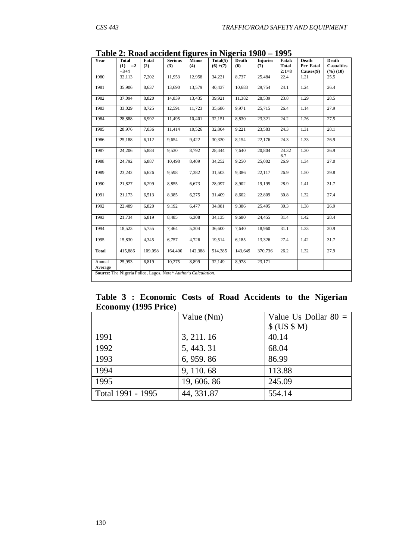| Year              | <b>Total</b><br>$(1) =2$<br>$+3+4$                             | Fatal<br>(2) | <b>Serious</b><br>(3) | Minor<br>(4) | Total(5)<br>$(6)+(7)$ | <b>Death</b><br>(6) | <b>Injuries</b><br>(7) | <b>Fatal:</b><br><b>Total</b><br>$2:1=8$ | <b>Death</b><br>Per Fatal<br>Causes(9) | <b>Death</b><br><b>Casualties</b><br>$(\%)(10)$ |
|-------------------|----------------------------------------------------------------|--------------|-----------------------|--------------|-----------------------|---------------------|------------------------|------------------------------------------|----------------------------------------|-------------------------------------------------|
| 1980              | 32,113                                                         | 7,202        | 11,953                | 12,958       | 34,221                | 8,737               | 25,484                 | 22.4                                     | 1.21                                   | 25.5                                            |
| 1981              | 35,906                                                         | 8,637        | 13,690                | 13,579       | 40,437                | 10,683              | 29,754                 | 24.1                                     | 1.24                                   | 26.4                                            |
| 1982              | 37,094                                                         | 8,820        | 14,839                | 13,435       | 39,921                | 11,382              | 28,539                 | 23.8                                     | 1.29                                   | 28.5                                            |
| 1983              | 33,029                                                         | 8,725        | 12,591                | 11,723       | 35,686                | 9,971               | 25,715                 | 26.4                                     | 1.14                                   | 27.9                                            |
| 1984              | 28,888                                                         | 6,992        | 11,495                | 10,401       | 32,151                | 8,830               | 23,321                 | 24.2                                     | 1.26                                   | 27.5                                            |
| 1985              | 28,976                                                         | 7,036        | 11,414                | 10,526       | 32,804                | $\overline{9,221}$  | 23,583                 | 24.3                                     | 1.31                                   | 28.1                                            |
| 1986              | 25,188                                                         | 6,112        | 9,654                 | 9,422        | 30,330                | 8,154               | 22,176                 | 24.3                                     | 1.33                                   | 26.9                                            |
| 1987              | 24,206                                                         | 5,884        | 9,530                 | 8,792        | 28,444                | 7,640               | 20,804                 | 24.32<br>6.7                             | 1.30                                   | 26.9                                            |
| 1988              | 24,792                                                         | 6,887        | 10,498                | 8,409        | 34,252                | 9,250               | 25,002                 | 26.9                                     | 1.34                                   | 27.0                                            |
| 1989              | 23,242                                                         | 6,626        | 9,598                 | 7,382        | 31,503                | 9,386               | 22,117                 | 26.9                                     | 1.50                                   | 29.8                                            |
| 1990              | 21,827                                                         | 6,299        | 8,855                 | 6,673        | 28,097                | 8,902               | 19,195                 | 28.9                                     | 1.41                                   | 31.7                                            |
| 1991              | 21,173                                                         | 6,513        | 8,385                 | 6,275        | 31,409                | 8,602               | 22,809                 | 30.8                                     | 1.32                                   | 27.4                                            |
| 1992              | 22,489                                                         | 6,820        | 9,192                 | 6,477        | 34,881                | 9,386               | 25,495                 | $\overline{30.3}$                        | 1.38                                   | 26.9                                            |
| 1993              | 21,734                                                         | 6,819        | 8,485                 | 6,308        | 34,135                | 9,680               | 24,455                 | 31.4                                     | 1.42                                   | 28.4                                            |
| 1994              | 18,523                                                         | 5,755        | 7,464                 | 5,304        | 36,600                | 7,640               | 18,960                 | 31.1                                     | 1.33                                   | 20.9                                            |
| 1995              | 15,830                                                         | 4,345        | 6,757                 | 4,726        | 19,514                | 6,185               | 13,326                 | 27.4                                     | 1.42                                   | 31.7                                            |
| <b>Total</b>      | 415,886                                                        | 109,098      | 164,400               | 142,388      | 514,385               | 143,649             | 370,736                | 26.2                                     | 1.32                                   | 27.9                                            |
| Annual<br>Average | 25,993                                                         | 6,819        | 10,275                | 8,899        | 32,149                | 8,978               | 23,171                 |                                          |                                        |                                                 |
|                   | Source: The Nigeria Police, Lagos. Note* Author's Calculation. |              |                       |              |                       |                     |                        |                                          |                                        |                                                 |

**Table 2: Road accident figures in Nigeria 1980 – 1995**

**Table 3 : Economic Costs of Road Accidents to the Nigerian Economy (1995 Price)**

|                   | Value (Nm)  | Value Us Dollar $80 =$ |
|-------------------|-------------|------------------------|
|                   |             | \$ (US \$ M)           |
| 1991              | 3, 211.16   | 40.14                  |
| 1992              | 5, 443. 31  | 68.04                  |
| 1993              | 6, 959.86   | 86.99                  |
| 1994              | 9, 110.68   | 113.88                 |
| 1995              | 19, 606. 86 | 245.09                 |
| Total 1991 - 1995 | 44, 331.87  | 554.14                 |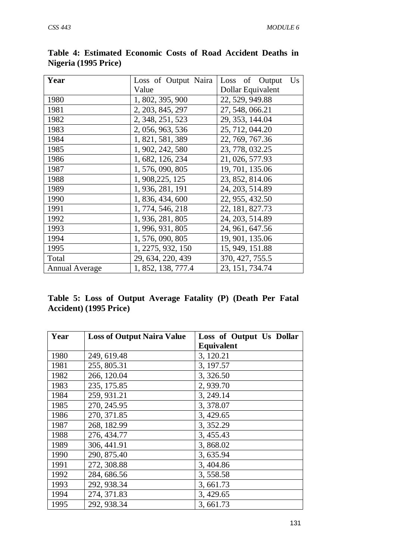| Year                  | Loss of Output Naira | Loss of Output<br>$\mathbf{U}\mathbf{s}$ |
|-----------------------|----------------------|------------------------------------------|
|                       | Value                | Dollar Equivalent                        |
| 1980                  | 1, 802, 395, 900     | 22, 529, 949.88                          |
| 1981                  | 2, 203, 845, 297     | 27, 548, 066.21                          |
| 1982                  | 2, 348, 251, 523     | 29, 353, 144.04                          |
| 1983                  | 2, 056, 963, 536     | 25, 712, 044.20                          |
| 1984                  | 1, 821, 581, 389     | 22, 769, 767.36                          |
| 1985                  | 1, 902, 242, 580     | 23, 778, 032.25                          |
| 1986                  | 1, 682, 126, 234     | 21, 026, 577.93                          |
| 1987                  | 1, 576, 090, 805     | 19, 701, 135.06                          |
| 1988                  | 1, 908, 225, 125     | 23, 852, 814.06                          |
| 1989                  | 1, 936, 281, 191     | 24, 203, 514.89                          |
| 1990                  | 1, 836, 434, 600     | 22, 955, 432.50                          |
| 1991                  | 1, 774, 546, 218     | 22, 181, 827.73                          |
| 1992                  | 1, 936, 281, 805     | 24, 203, 514.89                          |
| 1993                  | 1, 996, 931, 805     | 24, 961, 647.56                          |
| 1994                  | 1, 576, 090, 805     | 19, 901, 135.06                          |
| 1995                  | 1, 2275, 932, 150    | 15, 949, 151.88                          |
| Total                 | 29, 634, 220, 439    | 370, 427, 755.5                          |
| <b>Annual Average</b> | 1, 852, 138, 777.4   | 23, 151, 734.74                          |

**Table 4: Estimated Economic Costs of Road Accident Deaths in Nigeria (1995 Price)**

|                        |  |  | Table 5: Loss of Output Average Fatality (P) (Death Per Fatal |  |  |  |
|------------------------|--|--|---------------------------------------------------------------|--|--|--|
| Accident) (1995 Price) |  |  |                                                               |  |  |  |

| Year | <b>Loss of Output Naira Value</b> | Loss of Output Us Dollar |
|------|-----------------------------------|--------------------------|
|      |                                   | <b>Equivalent</b>        |
| 1980 | 249, 619.48                       | 3, 120.21                |
| 1981 | 255, 805.31                       | 3, 197.57                |
| 1982 | 266, 120.04                       | 3,326.50                 |
| 1983 | 235, 175.85                       | 2,939.70                 |
| 1984 | 259, 931.21                       | 3, 249.14                |
| 1985 | 270, 245.95                       | 3,378.07                 |
| 1986 | 270, 371.85                       | 3, 429.65                |
| 1987 | 268, 182.99                       | 3, 352.29                |
| 1988 | 276, 434.77                       | 3, 455.43                |
| 1989 | 306, 441.91                       | 3,868.02                 |
| 1990 | 290, 875.40                       | 3,635.94                 |
| 1991 | 272, 308.88                       | 3, 404.86                |
| 1992 | 284, 686.56                       | 3,558.58                 |
| 1993 | 292, 938.34                       | 3,661.73                 |
| 1994 | 274, 371.83                       | 3, 429.65                |
| 1995 | 292, 938.34                       | 3,661.73                 |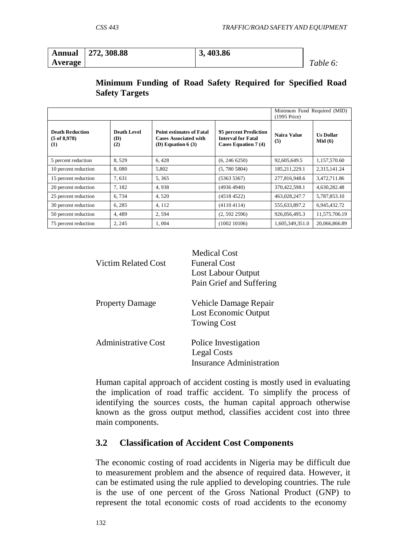|         | Annual 272, 308.88 | 3, 403.86 |          |
|---------|--------------------|-----------|----------|
| Average |                    |           | Table 6: |

#### **Minimum Funding of Road Safety Required for Specified Road Safety Targets**

|                                                          | Minimum Fund Required (MID)<br>(1995 Price) |                                                                                        |                                                                                   |                    |                            |
|----------------------------------------------------------|---------------------------------------------|----------------------------------------------------------------------------------------|-----------------------------------------------------------------------------------|--------------------|----------------------------|
| <b>Death Reduction</b><br>$(5 \text{ of } 8,978)$<br>(1) | <b>Death Level</b><br>(D)<br>(2)            | <b>Point estimates of Fatal</b><br><b>Cases Associated with</b><br>(D) Equation $6(3)$ | 95 percent Prediction<br><b>Interval for Fatal</b><br><b>Cases Equation 7 (4)</b> | Naira Value<br>(5) | <b>Us Dollar</b><br>Mid(6) |
| 5 percent reduction                                      | 8,529                                       | 6,428                                                                                  | (6, 246 6250)                                                                     | 92,605,649.5       | 1,157,570.60               |
| 10 percent reduction                                     | 8,080                                       | 5,802                                                                                  | (5, 780 5804)                                                                     | 185,211,229.1      | 2,315,141.24               |
| 15 percent reduction                                     | 7,631                                       | 5,365                                                                                  | (53635367)                                                                        | 277,816,948.6      | 3,472,711.86               |
| 20 percent reduction                                     | 7.182                                       | 4,938                                                                                  | (4936 4940)                                                                       | 370,422,598.1      | 4,630,282.48               |
| 25 percent reduction                                     | 6,734                                       | 4,520                                                                                  | (45184522)                                                                        | 463,028,247.7      | 5,787,853.10               |
| 30 percent reduction                                     | 6, 285                                      | 4,112                                                                                  | (41104114)                                                                        | 555,633,897.2      | 6,945,432.72               |
| 50 percent reduction                                     | 4,489                                       | 2,594                                                                                  | (2, 592 2596)                                                                     | 926,056,495.3      | 11,575.706.19              |
| 75 percent reduction                                     | 2, 245                                      | 1,004                                                                                  | (1002 10106)                                                                      | 1,605,349,351.0    | 20,066,866.89              |

| Victim Related Cost    | Medical Cost<br><b>Funeral Cost</b><br>Lost Labour Output<br>Pain Grief and Suffering |
|------------------------|---------------------------------------------------------------------------------------|
| <b>Property Damage</b> | Vehicle Damage Repair<br>Lost Economic Output<br><b>Towing Cost</b>                   |
| Administrative Cost    | Police Investigation<br>Legal Costs<br>Insurance Administration                       |

Human capital approach of accident costing is mostly used in evaluating the implication of road traffic accident. To simplify the process of identifying the sources costs, the human capital approach otherwise known as the gross output method, classifies accident cost into three main components.

## **3.2 Classification of Accident Cost Components**

The economic costing of road accidents in Nigeria may be difficult due to measurement problem and the absence of required data. However, it can be estimated using the rule applied to developing countries. The rule is the use of one percent of the Gross National Product (GNP) to represent the total economic costs of road accidents to the economy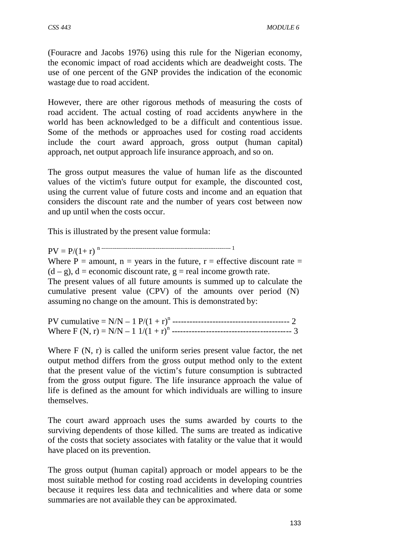(Fouracre and Jacobs 1976) using this rule for the Nigerian economy, the economic impact of road accidents which are deadweight costs. The use of one percent of the GNP provides the indication of the economic wastage due to road accident.

However, there are other rigorous methods of measuring the costs of road accident. The actual costing of road accidents anywhere in the world has been acknowledged to be a difficult and contentious issue. Some of the methods or approaches used for costing road accidents include the court award approach, gross output (human capital) approach, net output approach life insurance approach, and so on.

The gross output measures the value of human life as the discounted values of the victim's future output for example, the discounted cost, using the current value of future costs and income and an equation that considers the discount rate and the number of years cost between now and up until when the costs occur.

This is illustrated by the present value formula:

PV = P/(1+ r) n --------------------------------------------------------------------- <sup>1</sup> Where  $P =$  amount,  $n =$  years in the future,  $r =$  effective discount rate  $=$  $(d - g)$ ,  $d =$  economic discount rate,  $g =$  real income growth rate. The present values of all future amounts is summed up to calculate the cumulative present value (CPV) of the amounts over period (N) assuming no change on the amount. This is demonstrated by:

PV cumulative = N/N – 1 P/(1 + r) <sup>n</sup> ----------------------------------------- 2 Where F (N, r) = N/N – 1 1/(1 + r) <sup>n</sup> ------------------------------------------ 3

Where F (N, r) is called the uniform series present value factor, the net output method differs from the gross output method only to the extent that the present value of the victim's future consumption is subtracted from the gross output figure. The life insurance approach the value of life is defined as the amount for which individuals are willing to insure themselves.

The court award approach uses the sums awarded by courts to the surviving dependents of those killed. The sums are treated as indicative of the costs that society associates with fatality or the value that it would have placed on its prevention.

The gross output (human capital) approach or model appears to be the most suitable method for costing road accidents in developing countries because it requires less data and technicalities and where data or some summaries are not available they can be approximated.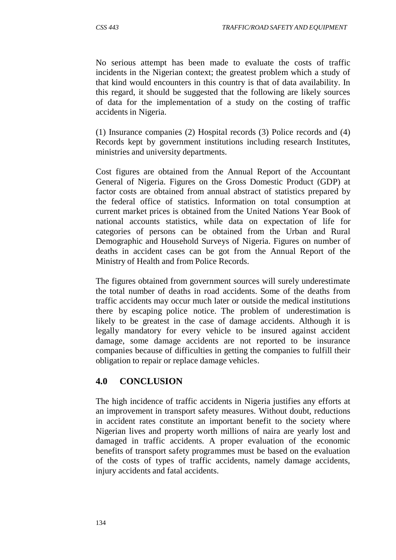No serious attempt has been made to evaluate the costs of traffic incidents in the Nigerian context; the greatest problem which a study of that kind would encounters in this country is that of data availability. In this regard, it should be suggested that the following are likely sources of data for the implementation of a study on the costing of traffic accidents in Nigeria.

(1) Insurance companies (2) Hospital records (3) Police records and (4) Records kept by government institutions including research Institutes, ministries and university departments.

Cost figures are obtained from the Annual Report of the Accountant General of Nigeria. Figures on the Gross Domestic Product (GDP) at factor costs are obtained from annual abstract of statistics prepared by the federal office of statistics. Information on total consumption at current market prices is obtained from the United Nations Year Book of national accounts statistics, while data on expectation of life for categories of persons can be obtained from the Urban and Rural Demographic and Household Surveys of Nigeria. Figures on number of deaths in accident cases can be got from the Annual Report of the Ministry of Health and from Police Records.

The figures obtained from government sources will surely underestimate the total number of deaths in road accidents. Some of the deaths from traffic accidents may occur much later or outside the medical institutions there by escaping police notice. The problem of underestimation is likely to be greatest in the case of damage accidents. Although it is legally mandatory for every vehicle to be insured against accident damage, some damage accidents are not reported to be insurance companies because of difficulties in getting the companies to fulfill their obligation to repair or replace damage vehicles.

## **4.0 CONCLUSION**

The high incidence of traffic accidents in Nigeria justifies any efforts at an improvement in transport safety measures. Without doubt, reductions in accident rates constitute an important benefit to the society where Nigerian lives and property worth millions of naira are yearly lost and damaged in traffic accidents. A proper evaluation of the economic benefits of transport safety programmes must be based on the evaluation of the costs of types of traffic accidents, namely damage accidents, injury accidents and fatal accidents.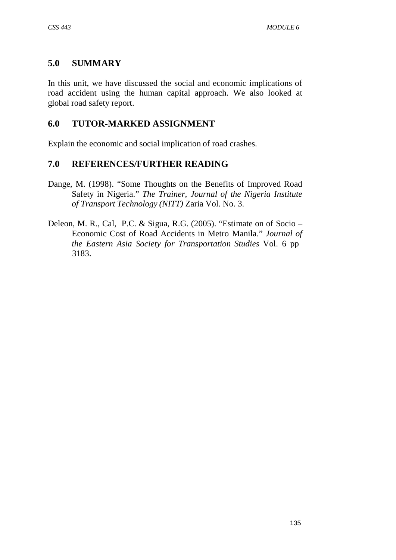## **5.0 SUMMARY**

In this unit, we have discussed the social and economic implications of road accident using the human capital approach. We also looked at global road safety report.

## **6.0 TUTOR-MARKED ASSIGNMENT**

Explain the economic and social implication of road crashes.

#### **7.0 REFERENCES/FURTHER READING**

- Dange, M. (1998). "Some Thoughts on the Benefits of Improved Road Safety in Nigeria." *The Trainer, Journal of the Nigeria Institute of Transport Technology (NITT)* Zaria Vol. No. 3.
- Deleon, M. R., Cal, P.C. & Sigua, R.G. (2005). "Estimate on of Socio Economic Cost of Road Accidents in Metro Manila." *Journal of the Eastern Asia Society for Transportation Studies* Vol. 6 pp 3183.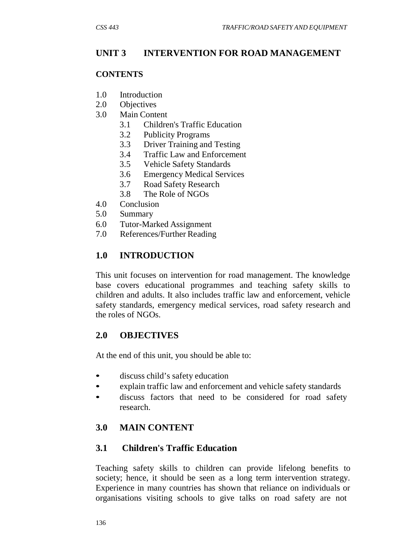# **UNIT 3 INTERVENTION FOR ROAD MANAGEMENT**

#### **CONTENTS**

- 1.0 Introduction
- 2.0 Objectives
- 3.0 Main Content
	- 3.1 Children's Traffic Education
	- 3.2 Publicity Programs
	- 3.3 Driver Training and Testing
	- 3.4 Traffic Law and Enforcement
	- 3.5 Vehicle Safety Standards
	- 3.6 Emergency Medical Services
	- 3.7 Road Safety Research
	- 3.8 The Role of NGOs
- 4.0 Conclusion
- 5.0 Summary
- 6.0 Tutor-Marked Assignment
- 7.0 References/Further Reading

# **1.0 INTRODUCTION**

This unit focuses on intervention for road management. The knowledge base covers educational programmes and teaching safety skills to children and adults. It also includes traffic law and enforcement, vehicle safety standards, emergency medical services, road safety research and the roles of NGOs.

## **2.0 OBJECTIVES**

At the end of this unit, you should be able to:

- discuss child's safety education
- explain traffic law and enforcement and vehicle safety standards
- discuss factors that need to be considered for road safety research.

# **3.0 MAIN CONTENT**

## **3.1 Children's Traffic Education**

Teaching safety skills to children can provide lifelong benefits to society; hence, it should be seen as a long term intervention strategy. Experience in many countries has shown that reliance on individuals or organisations visiting schools to give talks on road safety are not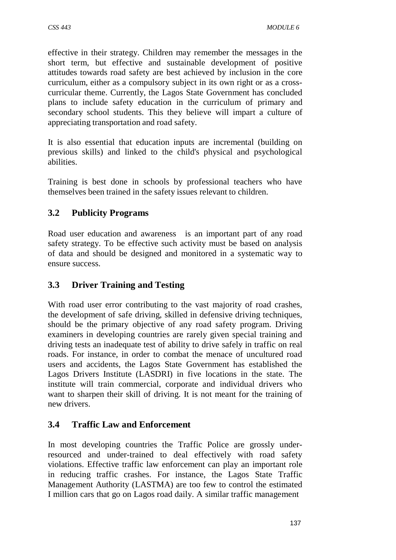effective in their strategy. Children may remember the messages in the short term, but effective and sustainable development of positive attitudes towards road safety are best achieved by inclusion in the core curriculum, either as a compulsory subject in its own right or as a crosscurricular theme. Currently, the Lagos State Government has concluded plans to include safety education in the curriculum of primary and secondary school students. This they believe will impart a culture of appreciating transportation and road safety.

It is also essential that education inputs are incremental (building on previous skills) and linked to the child's physical and psychological abilities.

Training is best done in schools by professional teachers who have themselves been trained in the safety issues relevant to children.

# **3.2 Publicity Programs**

Road user education and awareness is an important part of any road safety strategy. To be effective such activity must be based on analysis of data and should be designed and monitored in a systematic way to ensure success.

# **3.3 Driver Training and Testing**

With road user error contributing to the vast majority of road crashes, the development of safe driving, skilled in defensive driving techniques, should be the primary objective of any road safety program. Driving examiners in developing countries are rarely given special training and driving tests an inadequate test of ability to drive safely in traffic on real roads. For instance, in order to combat the menace of uncultured road users and accidents, the Lagos State Government has established the Lagos Drivers Institute (LASDRI) in five locations in the state. The institute will train commercial, corporate and individual drivers who want to sharpen their skill of driving. It is not meant for the training of new drivers.

## **3.4 Traffic Law and Enforcement**

In most developing countries the Traffic Police are grossly underresourced and under-trained to deal effectively with road safety violations. Effective traffic law enforcement can play an important role in reducing traffic crashes. For instance, the Lagos State Traffic Management Authority (LASTMA) are too few to control the estimated I million cars that go on Lagos road daily. A similar traffic management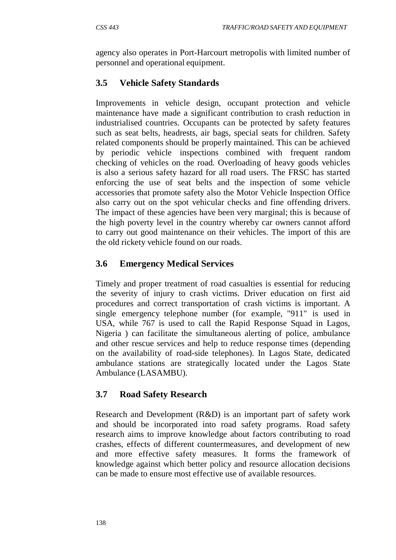agency also operates in Port-Harcourt metropolis with limited number of personnel and operational equipment.

# **3.5 Vehicle Safety Standards**

Improvements in vehicle design, occupant protection and vehicle maintenance have made a significant contribution to crash reduction in industrialised countries. Occupants can be protected by safety features such as seat belts, headrests, air bags, special seats for children. Safety related components should be properly maintained. This can be achieved by periodic vehicle inspections combined with frequent random checking of vehicles on the road. Overloading of heavy goods vehicles is also a serious safety hazard for all road users. The FRSC has started enforcing the use of seat belts and the inspection of some vehicle accessories that promote safety also the Motor Vehicle Inspection Office also carry out on the spot vehicular checks and fine offending drivers. The impact of these agencies have been very marginal; this is because of the high poverty level in the country whereby car owners cannot afford to carry out good maintenance on their vehicles. The import of this are the old rickety vehicle found on our roads.

# **3.6 Emergency Medical Services**

Timely and proper treatment of road casualties is essential for reducing the severity of injury to crash victims. Driver education on first aid procedures and correct transportation of crash victims is important. A single emergency telephone number (for example, "911" is used in USA, while 767 is used to call the Rapid Response Squad in Lagos, Nigeria ) can facilitate the simultaneous alerting of police, ambulance and other rescue services and help to reduce response times (depending on the availability of road-side telephones). In Lagos State, dedicated ambulance stations are strategically located under the Lagos State Ambulance (LASAMBU).

# **3.7 Road Safety Research**

Research and Development (R&D) is an important part of safety work and should be incorporated into road safety programs. Road safety research aims to improve knowledge about factors contributing to road crashes, effects of different countermeasures, and development of new and more effective safety measures. It forms the framework of knowledge against which better policy and resource allocation decisions can be made to ensure most effective use of available resources.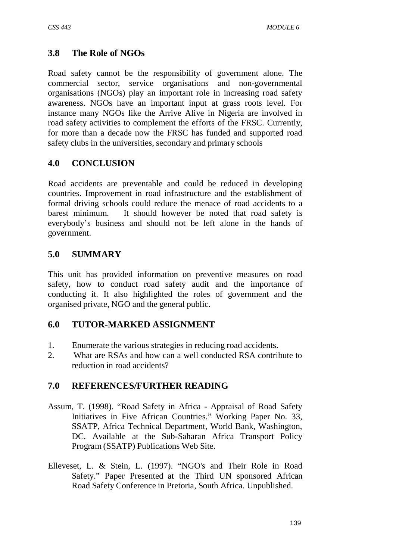# **3.8 The Role of NGOs**

Road safety cannot be the responsibility of government alone. The commercial sector, service organisations and non-governmental organisations (NGOs) play an important role in increasing road safety awareness. NGOs have an important input at grass roots level. For instance many NGOs like the Arrive Alive in Nigeria are involved in road safety activities to complement the efforts of the FRSC. Currently, for more than a decade now the FRSC has funded and supported road safety clubs in the universities, secondary and primary schools

# **4.0 CONCLUSION**

Road accidents are preventable and could be reduced in developing countries. Improvement in road infrastructure and the establishment of formal driving schools could reduce the menace of road accidents to a barest minimum. It should however be noted that road safety is everybody's business and should not be left alone in the hands of government.

## **5.0 SUMMARY**

This unit has provided information on preventive measures on road safety, how to conduct road safety audit and the importance of conducting it. It also highlighted the roles of government and the organised private, NGO and the general public.

## **6.0 TUTOR-MARKED ASSIGNMENT**

- 1. Enumerate the various strategies in reducing road accidents.
- 2. What are RSAs and how can a well conducted RSA contribute to reduction in road accidents?

# **7.0 REFERENCES/FURTHER READING**

- Assum, T. (1998). "Road Safety in Africa Appraisal of Road Safety Initiatives in Five African Countries." Working Paper No. 33, SSATP, Africa Technical Department, World Bank, Washington, DC. Available at the Sub-Saharan Africa Transport Policy Program (SSATP) Publications Web Site.
- Elleveset, L. & Stein, L. (1997). "NGO's and Their Role in Road Safety." Paper Presented at the Third UN sponsored African Road Safety Conference in Pretoria, South Africa. Unpublished.